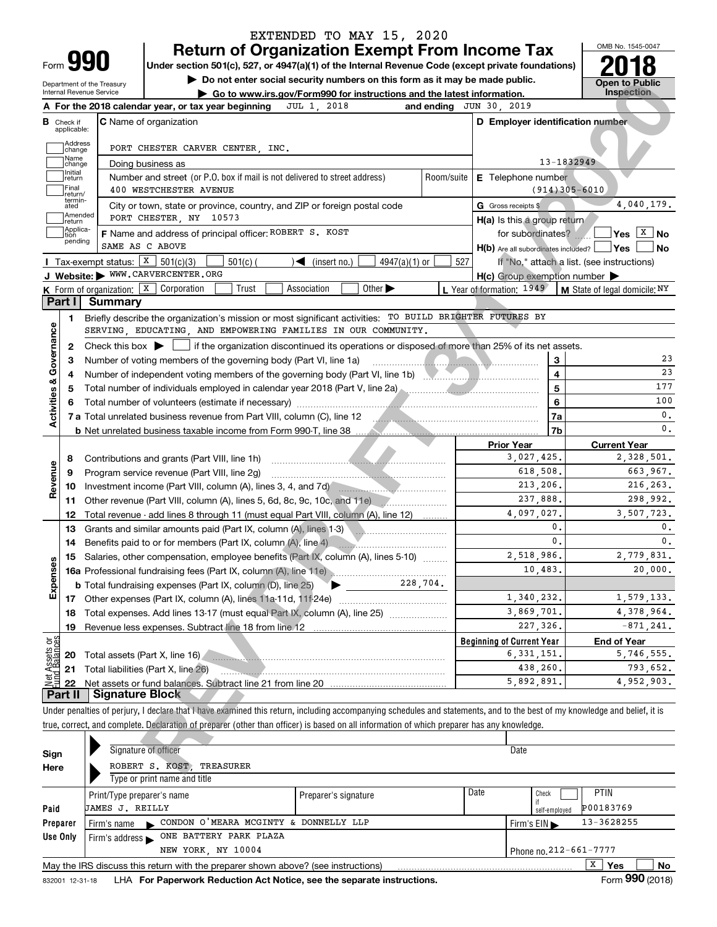|      | 990 |
|------|-----|
| Form | . . |

# **Return of Organization Exempt From Income Tax** EXTENDED TO MAY 15, 2020

Under section 501(c), 527, or 4947(a)(1) of the Internal Revenue Code (except private foundations) **2018** 

Department of the Treasury rnal Revenue Service

**| Do not enter social security numbers on this form as it may be made public. | Go to www.irs.gov/Form990 for instructions and the latest information. Inspection**

OMB No. 1545-0047

|                                | Department of the Treasury<br>Internal Revenue Service | $\triangleright$ Do not enter social security numbers on this form as it may be made public.<br>Go to www.irs.gov/Form990 for instructions and the latest information.     |            |                                                     | <b>Open to Public</b><br><b>Inspection</b> |
|--------------------------------|--------------------------------------------------------|----------------------------------------------------------------------------------------------------------------------------------------------------------------------------|------------|-----------------------------------------------------|--------------------------------------------|
|                                |                                                        | JUL 1, 2018<br>A For the 2018 calendar year, or tax year beginning                                                                                                         |            | and ending $JUN$ 30, 2019                           |                                            |
|                                | <b>B</b> Check if<br>applicable:                       | C Name of organization                                                                                                                                                     |            | D Employer identification number                    |                                            |
|                                | Address<br> change                                     | PORT CHESTER CARVER CENTER, INC.                                                                                                                                           |            |                                                     |                                            |
|                                | Name<br>change                                         | Doing business as                                                                                                                                                          |            |                                                     | 13-1832949                                 |
|                                | Initial<br>return                                      | Number and street (or P.O. box if mail is not delivered to street address)                                                                                                 | Room/suite | E Telephone number                                  |                                            |
|                                | Final<br>return/                                       | 400 WESTCHESTER AVENUE                                                                                                                                                     |            |                                                     | $(914)305 - 6010$                          |
|                                | termin-<br>ated                                        | City or town, state or province, country, and ZIP or foreign postal code                                                                                                   |            | G Gross receipts \$                                 | 4,040,179.                                 |
|                                | Amended<br> return                                     | PORT CHESTER, NY 10573                                                                                                                                                     |            | H(a) Is this a group return                         |                                            |
|                                | Applica-<br>tion                                       | F Name and address of principal officer: ROBERT S. KOST                                                                                                                    |            | for subordinates?                                   | $Yes \boxed{\overline{X}}$ No              |
|                                | pending                                                | SAME AS C ABOVE                                                                                                                                                            |            | H(b) Are all subordinates included? Ves             | l No                                       |
|                                |                                                        | Tax-exempt status: $X \mid 501(c)(3)$<br>$501(c)$ (<br>$\blacktriangleleft$ (insert no.)<br>4947(a)(1) or                                                                  | 527        |                                                     | If "No," attach a list. (see instructions) |
|                                |                                                        | J Website: WWW.CARVERCENTER.ORG                                                                                                                                            |            | $H(c)$ Group exemption number $\blacktriangleright$ |                                            |
|                                |                                                        | Other $\blacktriangleright$<br><b>K</b> Form of organization: $\boxed{\textbf{x}}$ Corporation<br>Trust<br>Association                                                     |            | L Year of formation: 1949                           | <b>M</b> State of legal domicile: $NY$     |
|                                | Part I                                                 | <b>Summary</b>                                                                                                                                                             |            |                                                     |                                            |
|                                | 1.                                                     | Briefly describe the organization's mission or most significant activities: TO BUILD BRIGHTER FUTURES BY                                                                   |            |                                                     |                                            |
|                                |                                                        | SERVING, EDUCATING, AND EMPOWERING FAMILIES IN OUR COMMUNITY.                                                                                                              |            |                                                     |                                            |
|                                | 2                                                      | Check this box $\blacktriangleright$   if the organization discontinued its operations or disposed of more than 25% of its net assets.                                     |            |                                                     |                                            |
|                                | 3                                                      | Number of voting members of the governing body (Part VI, line 1a)                                                                                                          |            | 3                                                   |                                            |
| Activities & Governance        | 4                                                      |                                                                                                                                                                            |            | 4                                                   |                                            |
|                                |                                                        | Total number of individuals employed in calendar year 2018 (Part V, line 2a) manufactured manufactured in calendary year 2018 (Part V, line 2a)                            |            | 5                                                   |                                            |
|                                |                                                        |                                                                                                                                                                            |            | 6                                                   |                                            |
|                                |                                                        | 7 a Total unrelated business revenue from Part VIII, column (C), line 12                                                                                                   |            | 7a                                                  |                                            |
|                                |                                                        |                                                                                                                                                                            |            | 7b                                                  |                                            |
|                                |                                                        |                                                                                                                                                                            |            | <b>Prior Year</b><br>3,027,425.                     | <b>Current Year</b><br>2,328,501.          |
|                                | 8                                                      | Contributions and grants (Part VIII, line 1h)<br>Program service revenue (Part VIII, line 2g)                                                                              |            | 618,508.                                            | 663,967.                                   |
| Revenue                        | 9<br>10                                                | Investment income (Part VIII, column (A), lines 3, 4, and 7d)                                                                                                              |            | 213,206.                                            | 216, 263.                                  |
|                                | 11                                                     | Other revenue (Part VIII, column (A), lines 5, 6d, 8c, 9c, 10c, and 11e) [2010]                                                                                            |            | 237,888.                                            | 298,992.                                   |
|                                | 12                                                     | Total revenue - add lines 8 through 11 (must equal Part VIII, column (A), line 12)                                                                                         |            | 4,097,027.                                          | 3,507,723.                                 |
|                                | 13                                                     | Grants and similar amounts paid (Part IX, column (A), lines 1-3)                                                                                                           |            | 0.                                                  |                                            |
|                                | 14                                                     | Benefits paid to or for members (Part IX, column (A), line 4)                                                                                                              |            | $\mathbf{0}$ .                                      |                                            |
|                                | 15                                                     | Salaries, other compensation, employee benefits (Part IX, column (A), lines 5-10)                                                                                          |            | 2,518,986.                                          | 2,779,831.                                 |
| Expenses                       |                                                        |                                                                                                                                                                            |            | 10,483.                                             | 20,000.                                    |
|                                |                                                        | 228,704.<br><b>b</b> Total fundraising expenses (Part IX, column (D), line 25)                                                                                             |            |                                                     |                                            |
|                                |                                                        | 17 Other expenses (Part IX, column (A), lines 11a-11d, 11f-24e)                                                                                                            |            | 1,340,232.                                          | 1,579,133.                                 |
|                                | 18                                                     | Total expenses. Add lines 13-17 (must equal Part IX, column (A), line 25)                                                                                                  |            | 3,869,701.                                          | 4,378,964.                                 |
|                                | 19                                                     | Revenue less expenses. Subtract line 18 from line 12                                                                                                                       |            | 227,326.                                            | $-871, 241.$                               |
|                                |                                                        |                                                                                                                                                                            |            | <b>Beginning of Current Year</b>                    | <b>End of Year</b>                         |
| Net Assets or<br>Fund Balances | 20                                                     | Total assets (Part X, line 16)                                                                                                                                             |            | 6, 331, 151.                                        | 5,746,555.                                 |
|                                | 21                                                     | Total liabilities (Part X, line 26)                                                                                                                                        |            | 438,260.                                            | 793,652.                                   |
|                                | 22                                                     |                                                                                                                                                                            |            | 5,892,891.                                          | 4,952,903.                                 |
|                                | Part II                                                | <b>Signature Block</b>                                                                                                                                                     |            |                                                     |                                            |
|                                |                                                        | Under penalties of perjury, I declare that I have examined this return, including accompanying schedules and statements, and to the best of my knowledge and belief, it is |            |                                                     |                                            |
|                                |                                                        | true, correct, and complete. Declaration of preparer (other than officer) is based on all information of which preparer has any knowledge.                                 |            |                                                     |                                            |
|                                |                                                        |                                                                                                                                                                            |            |                                                     |                                            |
| Sign                           |                                                        | Signature of officer                                                                                                                                                       |            | Date                                                |                                            |
| Here                           |                                                        | ROBERT S. KOST, TREASURER                                                                                                                                                  |            |                                                     |                                            |

| Sign     | Signature of officer                                                              |                      |      | Date                       |
|----------|-----------------------------------------------------------------------------------|----------------------|------|----------------------------|
| Here     | ROBERT S. KOST<br>TREASURER                                                       |                      |      |                            |
|          | Type or print name and title                                                      |                      |      |                            |
|          | Print/Type preparer's name                                                        | Preparer's signature | Date | PTIN<br>Check              |
| Paid     | <b>JAMES J. REILLY</b>                                                            |                      |      | P00183769<br>self-employed |
| Preparer | CONDON O'MEARA MCGINTY & DONNELLY LLP<br>Firm's name                              |                      |      | 13-3628255<br>Firm's $EIN$ |
| Use Only | ONE BATTERY PARK PLAZA<br>Firm's address $\blacktriangleright$                    |                      |      |                            |
|          | NEW YORK, NY 10004                                                                |                      |      | Phone no. 212-661-7777     |
|          | May the IRS discuss this return with the preparer shown above? (see instructions) |                      |      | x<br>Yes<br>No             |
|          |                                                                                   |                      |      | ---                        |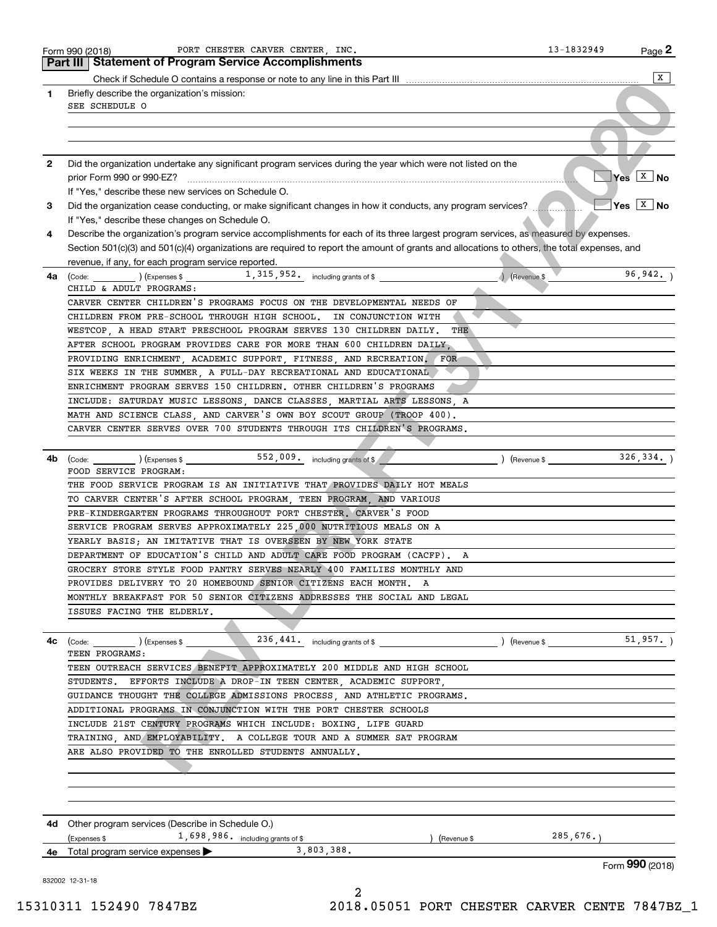|    | PORT CHESTER CARVER CENTER, INC.<br>Form 990 (2018)                                                                                                                           | 13-1832949    | $Page$ 2           |
|----|-------------------------------------------------------------------------------------------------------------------------------------------------------------------------------|---------------|--------------------|
|    | <b>Part III   Statement of Program Service Accomplishments</b>                                                                                                                |               |                    |
|    |                                                                                                                                                                               |               | X                  |
| 1  | Briefly describe the organization's mission:                                                                                                                                  |               |                    |
|    | SEE SCHEDULE O                                                                                                                                                                |               |                    |
|    |                                                                                                                                                                               |               |                    |
|    |                                                                                                                                                                               |               |                    |
|    |                                                                                                                                                                               |               |                    |
| 2  | Did the organization undertake any significant program services during the year which were not listed on the                                                                  |               |                    |
|    | prior Form 990 or 990-EZ?                                                                                                                                                     |               | $Yes \boxed{X}$ No |
|    | If "Yes," describe these new services on Schedule O.                                                                                                                          |               |                    |
| З. | Did the organization cease conducting, or make significant changes in how it conducts, any program services?                                                                  |               | $Yes \sqrt{X}$ No  |
|    | If "Yes," describe these changes on Schedule O.                                                                                                                               |               |                    |
| 4  | Describe the organization's program service accomplishments for each of its three largest program services, as measured by expenses.                                          |               |                    |
|    | Section 501(c)(3) and 501(c)(4) organizations are required to report the amount of grants and allocations to others, the total expenses, and                                  |               |                    |
|    | revenue, if any, for each program service reported.                                                                                                                           |               |                    |
| 4a | $\left(\text{Code:}\right)$ $\left(\text{Expenses $}\right)$ $\left(\text{Expenses $}\right)$ $\left(\text{2.15}\right)$ , $\text{315}$ , $\text{952}$ including grants of \$ | A (Revenue \$ | 96, 942.           |
|    | CHILD & ADULT PROGRAMS:                                                                                                                                                       |               |                    |
|    | CARVER CENTER CHILDREN'S PROGRAMS FOCUS ON THE DEVELOPMENTAL NEEDS OF                                                                                                         |               |                    |
|    | CHILDREN FROM PRE-SCHOOL THROUGH HIGH SCHOOL.<br>IN CONJUNCTION WITH                                                                                                          |               |                    |
|    | WESTCOP, A HEAD START PRESCHOOL PROGRAM SERVES 130 CHILDREN DAILY.<br>THE                                                                                                     |               |                    |
|    | AFTER SCHOOL PROGRAM PROVIDES CARE FOR MORE THAN 600 CHILDREN DAILY.                                                                                                          |               |                    |
|    | PROVIDING ENRICHMENT, ACADEMIC SUPPORT, FITNESS, AND RECREATION. FOR                                                                                                          |               |                    |
|    | SIX WEEKS IN THE SUMMER, A FULL-DAY RECREATIONAL AND EDUCATIONAL                                                                                                              |               |                    |
|    | ENRICHMENT PROGRAM SERVES 150 CHILDREN. OTHER CHILDREN'S PROGRAMS                                                                                                             |               |                    |
|    | INCLUDE: SATURDAY MUSIC LESSONS, DANCE CLASSES, MARTIAL ARTS LESSONS, A                                                                                                       |               |                    |
|    | MATH AND SCIENCE CLASS, AND CARVER'S OWN BOY SCOUT GROUP (TROOP 400).                                                                                                         |               |                    |
|    | CARVER CENTER SERVES OVER 700 STUDENTS THROUGH ITS CHILDREN'S PROGRAMS.                                                                                                       |               |                    |
|    |                                                                                                                                                                               |               |                    |
| 4b | 552,009. including grants of \$<br>$\begin{array}{c} \begin{array}{c} \begin{array}{c} \end{array} \end{array}$ (Expenses \$<br>(Code:                                        | (Revenue \$   | 326, 334.          |
|    | FOOD SERVICE PROGRAM:                                                                                                                                                         |               |                    |
|    | THE FOOD SERVICE PROGRAM IS AN INITIATIVE THAT PROVIDES DAILY HOT MEALS                                                                                                       |               |                    |
|    | TO CARVER CENTER'S AFTER SCHOOL PROGRAM, TEEN PROGRAM, AND VARIOUS                                                                                                            |               |                    |
|    | PRE-KINDERGARTEN PROGRAMS THROUGHOUT PORT CHESTER. CARVER'S FOOD                                                                                                              |               |                    |
|    | SERVICE PROGRAM SERVES APPROXIMATELY 225,000 NUTRITIOUS MEALS ON A                                                                                                            |               |                    |
|    | YEARLY BASIS; AN IMITATIVE THAT IS OVERSEEN BY NEW YORK STATE                                                                                                                 |               |                    |
|    | DEPARTMENT OF EDUCATION'S CHILD AND ADULT CARE FOOD PROGRAM (CACFP).<br>A                                                                                                     |               |                    |
|    | GROCERY STORE STYLE FOOD PANTRY SERVES NEARLY 400 FAMILIES MONTHLY AND                                                                                                        |               |                    |
|    | PROVIDES DELIVERY TO 20 HOMEBOUND SENIOR CITIZENS EACH MONTH.<br>A                                                                                                            |               |                    |
|    | MONTHLY BREAKFAST FOR 50 SENIOR CITIZENS ADDRESSES THE SOCIAL AND LEGAL                                                                                                       |               |                    |
|    | ISSUES FACING THE ELDERLY.                                                                                                                                                    |               |                    |
|    |                                                                                                                                                                               |               |                    |
| 4c | 236, 441. including grants of \$ (Revenue \$ 51, 957.)<br>(Code: ) (Expenses \$                                                                                               |               |                    |
|    | TEEN PROGRAMS:                                                                                                                                                                |               |                    |
|    | TEEN OUTREACH SERVICES BENEFIT APPROXIMATELY 200 MIDDLE AND HIGH SCHOOL                                                                                                       |               |                    |
|    | STUDENTS. EFFORTS INCLUDE A DROP-IN TEEN CENTER ACADEMIC SUPPORT.                                                                                                             |               |                    |
|    | GUIDANCE THOUGHT THE COLLEGE ADMISSIONS PROCESS, AND ATHLETIC PROGRAMS.                                                                                                       |               |                    |
|    | ADDITIONAL PROGRAMS IN CONJUNCTION WITH THE PORT CHESTER SCHOOLS                                                                                                              |               |                    |
|    | INCLUDE 21ST CENTURY PROGRAMS WHICH INCLUDE: BOXING, LIFE GUARD                                                                                                               |               |                    |
|    | TRAINING, AND EMPLOYABILITY. A COLLEGE TOUR AND A SUMMER SAT PROGRAM                                                                                                          |               |                    |
|    | ARE ALSO PROVIDED TO THE ENROLLED STUDENTS ANNUALLY.                                                                                                                          |               |                    |
|    |                                                                                                                                                                               |               |                    |
|    |                                                                                                                                                                               |               |                    |
|    |                                                                                                                                                                               |               |                    |
|    |                                                                                                                                                                               |               |                    |
|    |                                                                                                                                                                               |               |                    |
|    | <b>4d</b> Other program services (Describe in Schedule O.)                                                                                                                    |               |                    |
|    | $($ Expenses \$<br>1,698,986. including grants of \$<br>) (Revenue \$<br>3,803,388.                                                                                           | 285,676.      |                    |
|    | 4e Total program service expenses                                                                                                                                             |               | Form 990 (2018)    |
|    |                                                                                                                                                                               |               |                    |
|    | 832002 12-31-18<br>2                                                                                                                                                          |               |                    |
|    |                                                                                                                                                                               |               |                    |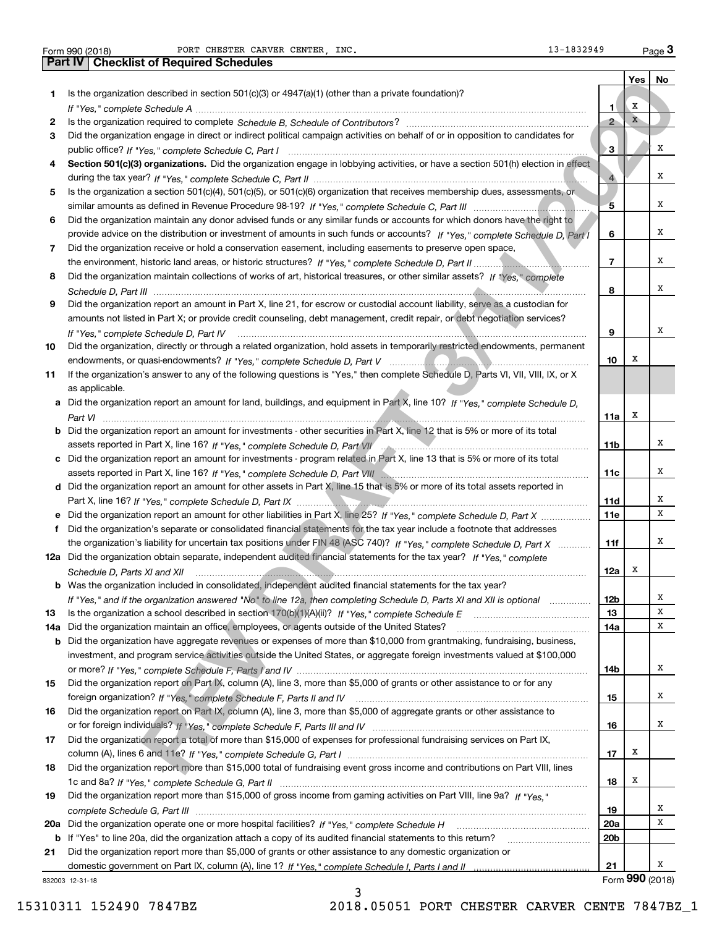**1**

**23**

**4**

**5**

**6**

**7**

**8**

**9**

**10**

**11**

as applicable.

**Yes No 12345678910Section 501(c)(3) organizations.** Did the organization engage in lobbying activities, or have a section 501(h) election in effect *If "Yes," complete Schedule A* ~~~~~~~~~~~~~~~~~~~~~~~~~~~~~~~~~~~~~~~~~~~~~~~ Is the organization required to complete Schedule B, Schedule of Contributors? …………………………………………………… *If "Yes," complete Schedule C, Part I* public office? ~~~~~~~~~~~~~~~~~~~~~~~~~~~~~~~~~~~~*If "Yes," complete Schedule C, Part II* during the tax year? ~~~~~~~~~~~~~~~~~~~~~~~~~~~~~~~~~*If "Yes," complete Schedule C, Part III* similar amounts as defined in Revenue Procedure 98-19? ~~~~~~~~~~~~~~*If "Yes," complete Schedule D, Part I* provide advice on the distribution or investment of amounts in such funds or accounts? *If "Yes," complete Schedule D, Part II* the environment, historic land areas, or historic structures? ~~~~~~~~~~~~~~*If "Yes," complete* Did the organization maintain collections of works of art, historical treasures, or other similar assets? *Schedule D, Part III* ~~~~~~~~~~~~~~~~~~~~~~~~~~~~~~~~~~~~~~~~~~~~~~~~~~~~ *If "Yes," complete Schedule D, Part IV If "Yes," complete Schedule D, Part V* endowments, or quasi-endowments? ~~~~~~~~~~~~~~~~~~~~~~~~Form 990 (2018) Page PORT CHESTER CARVER CENTER, INC. 13-1832949 Is the organization described in section 501(c)(3) or 4947(a)(1) (other than a private foundation)? Did the organization engage in direct or indirect political campaign activities on behalf of or in opposition to candidates for Is the organization a section 501(c)(4), 501(c)(5), or 501(c)(6) organization that receives membership dues, assessments, or Did the organization maintain any donor advised funds or any similar funds or accounts for which donors have the right to Did the organization receive or hold a conservation easement, including easements to preserve open space, Did the organization report an amount in Part X, line 21, for escrow or custodial account liability, serve as a custodian for amounts not listed in Part X; or provide credit counseling, debt management, credit repair, or debt negotiation services? Did the organization, directly or through a related organization, hold assets in temporarily restricted endowments, permanent ~~~~~~~~~~~~~~~~~~~~~~~~~~~~~~~~~~~~~~~~~~If the organization's answer to any of the following questions is "Yes," then complete Schedule D, Parts VI, VII, VIII, IX, or X Form 990 (2018) PORT CHESTER CARVER CENTER, INC**.** 13-1832949 <sub>Page</sub> 3<br>| **Part IV** | Checklist of Required Schedules n doctobes in section staticities) or electrical (e) tener hanno presente construction?<br> **REV DRAFT 3/2020**<br>
REV DRAFT 3/2020 and 2020 and 2020 and 2020 and 2021 and 2021 and 2021 and 2021 and 2021 and 2021 and 2021 and 2 XXXXXXXXXX

| a Did the organization report an amount for land, buildings, and equipment in Part X, line 10? If "Yes," complete Schedule D,        |
|--------------------------------------------------------------------------------------------------------------------------------------|
| Part VI                                                                                                                              |
| <b>b</b> Did the organization report an amount for investments - other securities in Part X, line 12 that is 5% or more of its total |

| assets reported in Part X, line 16? If "Yes," complete Schedule D, Part VII                                                  |
|------------------------------------------------------------------------------------------------------------------------------|
| c Did the organization report an amount for investments - program related in Part X, line 13 that is 5% or more of its total |
| assets reported in Part X, line 16? If "Yes," complete Schedule D, Part VIII                                                 |

**d** Did the organization report an amount for other assets in Part X, line 15 that is 5% or more of its total assets reported in *If "Yes," complete Schedule D, Part IX* Part X, line 16? ~~~~~~~~~~~~~~~~~~~~~~~~~~~~~~~~~~~ ~~~~~~~~~~~~~~~~~~~~~~~~~

| e Did the organization report an amount for other liabilities in Part X, line 25? If "Yes," complete Schedule D, Part X |
|-------------------------------------------------------------------------------------------------------------------------|
| Did the organization's separate or consolidated financial statements for the tax year include a footnote that addresses |
| the organization's liability for uncertain tax positions under FIN 48 (ASC 740)? If "Yes," complete Schedule D, Part X  |
| 12a Did the organization obtain separate, independent audited financial statements for the tax year? If "Yes." complete |
| Schedule D. Parts XI and XII                                                                                            |
| <b>b</b> Was the organization included in consolidated, independent audited financial statements for the tax year?      |
| If "Yes," and if the organization answered "No" to line 12a, then completing Schedule D, Parts XI and XII is optional   |

| 13 Is the organization a school described in section $170(b)(1)(A)(ii)$ ? If "Yes," complete Schedule E                          |
|----------------------------------------------------------------------------------------------------------------------------------|
| 14a Did the organization maintain an office, employees, or agents outside of the United States?                                  |
| <b>b</b> Did the organization have aggregate revenues or expenses of more than \$10,000 from grantmaking, fundraising, business, |
| investment, and program service activities outside the United States, or aggregate foreign investments valued at \$100,000       |
|                                                                                                                                  |
| 15 Did the organization report on Part (X, column (A) line 3, more than \$5,000 of grants or other assistance to or for any      |

| <b>15</b> Did the organization report on Part IX, column (A), line 3, more than \$5,000 of grants or other assistance to or for any |
|-------------------------------------------------------------------------------------------------------------------------------------|
|                                                                                                                                     |
| 16 Did the organization report on Part IX, column (A), line 3, more than \$5,000 of aggregate grants or other assistance to         |
| or for foreign individuals? If "Yes," complete Schedule F, Parts III and IV                                                         |

| 17 | Did the organization report a total of more than \$15,000 of expenses for professional fundraising services on Part IX,         |
|----|---------------------------------------------------------------------------------------------------------------------------------|
|    |                                                                                                                                 |
|    | 18 Did the organization report more than \$15,000 total of fundraising event gross income and contributions on Part VIII, lines |

|                                                                                                                        | 18  |
|------------------------------------------------------------------------------------------------------------------------|-----|
| Did the organization report more than \$15,000 of gross income from gaming activities on Part VIII, line 9a? If "Yes." |     |
|                                                                                                                        | 19  |
|                                                                                                                        | 20a |
|                                                                                                                        |     |

3

**b** If "Yes" to line 20a, did the organization attach a copy of its audited financial statements to this return? \_\_\_\_\_\_\_\_\_\_\_\_\_\_\_\_\_\_\_\_\_\_

832003 12-31-18 **21**domestic government on Part IX, column (A), line 1? If "Yes," complete Schedule I, Parts I and II …………………………………… Did the organization report more than \$5,000 of grants or other assistance to any domestic organization or 

| Form 990 (2018) |  |  |
|-----------------|--|--|
|-----------------|--|--|

**11a**

X

**11b**

**11c**

**11d11e**

**11f**

**12a**

X

X

X

X

XX

X

XX

X

X

X

X

X

X

**12b1314a**

**14b**

**15**

**16**

**17**

X

X

**20b**

**21**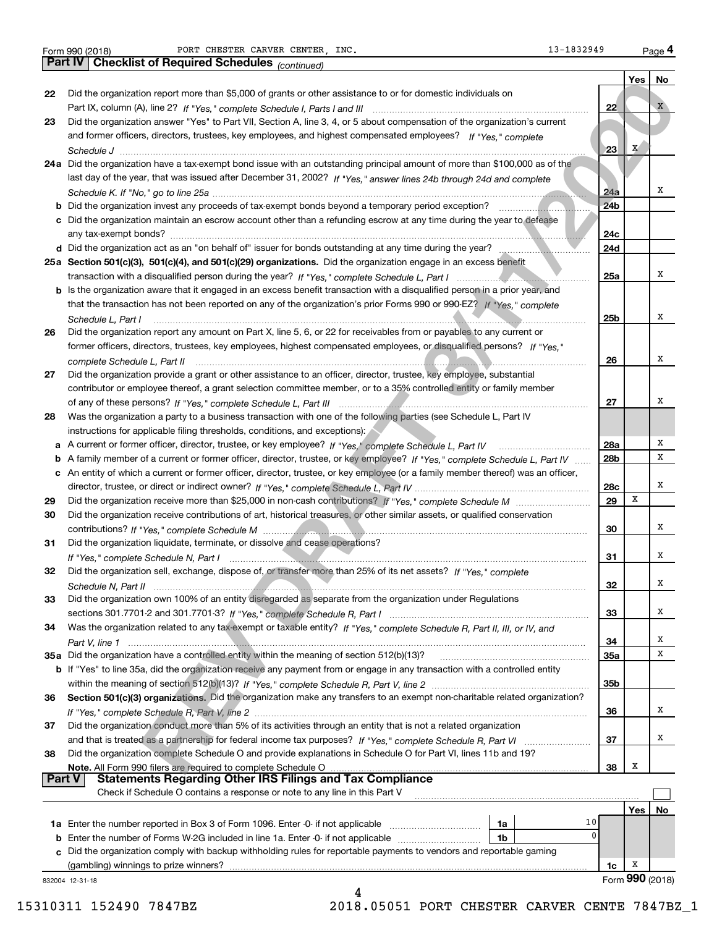|               | 13-1832949<br>PORT CHESTER CARVER CENTER, INC.<br>Form 990 (2018)                                                                              |                 |              | Page 4          |
|---------------|------------------------------------------------------------------------------------------------------------------------------------------------|-----------------|--------------|-----------------|
|               | Part IV   Checklist of Required Schedules (continued)                                                                                          |                 |              |                 |
|               |                                                                                                                                                |                 | Yes          | No              |
| 22            | Did the organization report more than \$5,000 of grants or other assistance to or for domestic individuals on                                  |                 |              |                 |
|               |                                                                                                                                                | 22              |              | $\mathbf{X}$    |
| 23            | Did the organization answer "Yes" to Part VII, Section A, line 3, 4, or 5 about compensation of the organization's current                     |                 |              |                 |
|               | and former officers, directors, trustees, key employees, and highest compensated employees? If "Yes," complete                                 |                 |              |                 |
|               |                                                                                                                                                | 23              | $\mathbf{x}$ |                 |
|               | 24a Did the organization have a tax-exempt bond issue with an outstanding principal amount of more than \$100,000 as of the                    |                 |              |                 |
|               | last day of the year, that was issued after December 31, 2002? If "Yes," answer lines 24b through 24d and complete                             |                 |              |                 |
|               |                                                                                                                                                | 24a             |              | x               |
|               |                                                                                                                                                | 24 <sub>b</sub> |              |                 |
|               | c Did the organization maintain an escrow account other than a refunding escrow at any time during the year to defease                         |                 |              |                 |
|               |                                                                                                                                                | 24c             |              |                 |
|               |                                                                                                                                                | 24d             |              |                 |
|               | 25a Section 501(c)(3), 501(c)(4), and 501(c)(29) organizations. Did the organization engage in an excess benefit                               |                 |              |                 |
|               |                                                                                                                                                | 25a             |              | х               |
|               | b Is the organization aware that it engaged in an excess benefit transaction with a disqualified person in a prior year, and                   |                 |              |                 |
|               | that the transaction has not been reported on any of the organization's prior Forms 990 or 990-EZ? If "Yes," complete                          |                 |              |                 |
|               |                                                                                                                                                | 25b             |              | x               |
| 26            | Schedule L, Part I<br>Did the organization report any amount on Part X, line 5, 6, or 22 for receivables from or payables to any current or    |                 |              |                 |
|               | former officers, directors, trustees, key employees, highest compensated employees, or disqualified persons? If "Yes."                         |                 |              |                 |
|               |                                                                                                                                                | 26              |              | x               |
| 27            | Did the organization provide a grant or other assistance to an officer, director, trustee, key employee, substantial                           |                 |              |                 |
|               | contributor or employee thereof, a grant selection committee member, or to a 35% controlled entity or family member                            |                 |              |                 |
|               |                                                                                                                                                | 27              |              | х               |
|               |                                                                                                                                                |                 |              |                 |
| 28            | Was the organization a party to a business transaction with one of the following parties (see Schedule L, Part IV                              |                 |              |                 |
|               | instructions for applicable filing thresholds, conditions, and exceptions):                                                                    |                 |              | Х               |
|               |                                                                                                                                                | 28a             |              | x               |
|               | b A family member of a current or former officer, director, trustee, or key employee? If "Yes," complete Schedule L, Part IV                   | 28b             |              |                 |
|               | c An entity of which a current or former officer, director, trustee, or key employee (or a family member thereof) was an officer,              |                 |              | x               |
|               |                                                                                                                                                | 28c<br>29       | X            |                 |
| 29            |                                                                                                                                                |                 |              |                 |
| 30            | Did the organization receive contributions of art, historical treasures, or other similar assets, or qualified conservation                    |                 |              | x               |
|               |                                                                                                                                                | 30              |              |                 |
| 31            | Did the organization liquidate, terminate, or dissolve and cease operations?                                                                   |                 |              |                 |
|               |                                                                                                                                                | 31              |              | x               |
|               | Did the organization sell, exchange, dispose of, or transfer more than 25% of its net assets? If "Yes," complete                               |                 |              |                 |
|               |                                                                                                                                                | 32              |              | Х               |
| 33            | Did the organization own 100% of an entity disregarded as separate from the organization under Regulations                                     |                 |              |                 |
|               |                                                                                                                                                | 33              |              | х               |
| 34            | Was the organization related to any tax-exempt or taxable entity? If "Yes," complete Schedule R, Part II, III, or IV, and                      |                 |              |                 |
|               |                                                                                                                                                | 34              |              | x               |
|               | 35a Did the organization have a controlled entity within the meaning of section 512(b)(13)?                                                    | <b>35a</b>      |              | x               |
|               | b If "Yes" to line 35a, did the organization receive any payment from or engage in any transaction with a controlled entity                    |                 |              |                 |
|               |                                                                                                                                                | 35b             |              |                 |
| 36            | Section 501(c)(3) organizations. Did the organization make any transfers to an exempt non-charitable related organization?                     |                 |              |                 |
|               |                                                                                                                                                | 36              |              | x               |
| 37            | Did the organization conduct more than 5% of its activities through an entity that is not a related organization                               |                 |              |                 |
|               |                                                                                                                                                | 37              |              | х               |
| 38            | Did the organization complete Schedule O and provide explanations in Schedule O for Part VI, lines 11b and 19?                                 |                 |              |                 |
| <b>Part V</b> | Note. All Form 990 filers are required to complete Schedule O                                                                                  | 38              | x            |                 |
|               | <b>Statements Regarding Other IRS Filings and Tax Compliance</b><br>Check if Schedule O contains a response or note to any line in this Part V |                 |              |                 |
|               |                                                                                                                                                |                 |              |                 |
|               |                                                                                                                                                |                 | Yes          | No.             |
|               | 10<br>1a                                                                                                                                       |                 |              |                 |
| b             | 0<br>1 <sub>b</sub><br>Enter the number of Forms W-2G included in line 1a. Enter -0- if not applicable                                         |                 |              |                 |
| c             | Did the organization comply with backup withholding rules for reportable payments to vendors and reportable gaming                             |                 |              |                 |
|               | (gambling) winnings to prize winners?                                                                                                          | 1c              | Х            |                 |
|               | 832004 12-31-18                                                                                                                                |                 |              | Form 990 (2018) |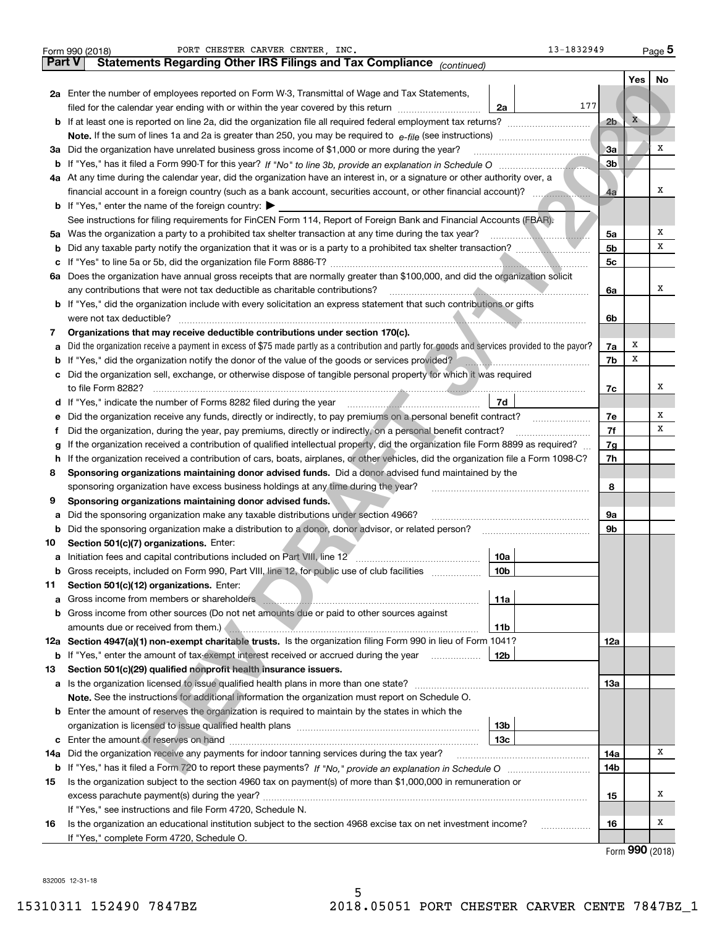|               | 13-1832949<br>PORT CHESTER CARVER CENTER, INC.<br>Form 990 (2018)                                                                                                                                                              |                |            | Page $5$            |  |  |  |  |  |  |
|---------------|--------------------------------------------------------------------------------------------------------------------------------------------------------------------------------------------------------------------------------|----------------|------------|---------------------|--|--|--|--|--|--|
| <b>Part V</b> | Statements Regarding Other IRS Filings and Tax Compliance (continued)                                                                                                                                                          |                |            |                     |  |  |  |  |  |  |
|               |                                                                                                                                                                                                                                |                | <b>Yes</b> | <b>No</b>           |  |  |  |  |  |  |
|               | <b>2a</b> Enter the number of employees reported on Form W-3, Transmittal of Wage and Tax Statements,                                                                                                                          |                |            |                     |  |  |  |  |  |  |
|               | 177<br>filed for the calendar year ending with or within the year covered by this return [11] [11] filed for the calendar year ending with or within the year covered by this return<br>2a                                     |                |            |                     |  |  |  |  |  |  |
|               |                                                                                                                                                                                                                                | 2 <sub>b</sub> | X          |                     |  |  |  |  |  |  |
|               |                                                                                                                                                                                                                                |                |            |                     |  |  |  |  |  |  |
|               | 3a Did the organization have unrelated business gross income of \$1,000 or more during the year?                                                                                                                               | 3a             |            | х                   |  |  |  |  |  |  |
|               |                                                                                                                                                                                                                                | 3 <sub>b</sub> |            |                     |  |  |  |  |  |  |
|               | 4a At any time during the calendar year, did the organization have an interest in, or a signature or other authority over, a                                                                                                   |                |            |                     |  |  |  |  |  |  |
|               | financial account in a foreign country (such as a bank account, securities account, or other financial account)?                                                                                                               | 4a             |            | x                   |  |  |  |  |  |  |
|               | <b>b</b> If "Yes," enter the name of the foreign country: $\blacktriangleright$                                                                                                                                                |                |            |                     |  |  |  |  |  |  |
|               | See instructions for filing requirements for FinCEN Form 114, Report of Foreign Bank and Financial Accounts (FBAR).                                                                                                            |                |            |                     |  |  |  |  |  |  |
|               | 5a Was the organization a party to a prohibited tax shelter transaction at any time during the tax year?                                                                                                                       | 5a             |            | Х                   |  |  |  |  |  |  |
| b             |                                                                                                                                                                                                                                | 5b             |            | х                   |  |  |  |  |  |  |
| с             |                                                                                                                                                                                                                                | 5c             |            |                     |  |  |  |  |  |  |
|               | 6a Does the organization have annual gross receipts that are normally greater than \$100,000, and did the organization solicit                                                                                                 |                |            |                     |  |  |  |  |  |  |
|               |                                                                                                                                                                                                                                |                |            |                     |  |  |  |  |  |  |
|               | any contributions that were not tax deductible as charitable contributions?<br>b If "Yes," did the organization include with every solicitation an express statement that such contributions or gifts                          |                |            |                     |  |  |  |  |  |  |
|               | were not tax deductible?                                                                                                                                                                                                       | 6b             |            |                     |  |  |  |  |  |  |
| 7             | Organizations that may receive deductible contributions under section 170(c).                                                                                                                                                  |                |            |                     |  |  |  |  |  |  |
|               | Did the organization receive a payment in excess of \$75 made partly as a contribution and partly for goods and services provided to the payor?                                                                                | 7a             | Х          |                     |  |  |  |  |  |  |
| а             | If "Yes," did the organization notify the donor of the value of the goods or services provided?                                                                                                                                | 7b             | x          |                     |  |  |  |  |  |  |
| b             | <u> 1999 - Januar Alemania, martin amerikan</u><br>c Did the organization sell, exchange, or otherwise dispose of tangible personal property for which it was required                                                         |                |            |                     |  |  |  |  |  |  |
|               |                                                                                                                                                                                                                                |                |            | х                   |  |  |  |  |  |  |
|               | 7d                                                                                                                                                                                                                             | 7с             |            |                     |  |  |  |  |  |  |
|               | d If "Yes," indicate the number of Forms 8282 filed during the year manufactured in the second of the number of Forms 8282 filed during the year manufactured in the second of the Second Internal state of the Second Interna |                |            | х                   |  |  |  |  |  |  |
| е             | Did the organization receive any funds, directly or indirectly, to pay premiums on a personal benefit contract?                                                                                                                | 7e<br>7f       |            | x                   |  |  |  |  |  |  |
|               | Did the organization, during the year, pay premiums, directly or indirectly, on a personal benefit contract?                                                                                                                   |                |            |                     |  |  |  |  |  |  |
|               | If the organization received a contribution of qualified intellectual property, did the organization file Form 8899 as required?                                                                                               |                |            |                     |  |  |  |  |  |  |
|               | If the organization received a contribution of cars, boats, airplanes, or other vehicles, did the organization file a Form 1098-C?<br>h                                                                                        |                |            |                     |  |  |  |  |  |  |
| 8             | Sponsoring organizations maintaining donor advised funds. Did a donor advised fund maintained by the                                                                                                                           |                |            |                     |  |  |  |  |  |  |
|               | sponsoring organization have excess business holdings at any time during the year?                                                                                                                                             | 8              |            |                     |  |  |  |  |  |  |
| 9             | Sponsoring organizations maintaining donor advised funds.                                                                                                                                                                      |                |            |                     |  |  |  |  |  |  |
| а             | Did the sponsoring organization make any taxable distributions under section 4966?                                                                                                                                             | 9a             |            |                     |  |  |  |  |  |  |
| b             |                                                                                                                                                                                                                                | 9 <sub>b</sub> |            |                     |  |  |  |  |  |  |
| 10            | Section 501(c)(7) organizations. Enter:                                                                                                                                                                                        |                |            |                     |  |  |  |  |  |  |
| а             | 10a                                                                                                                                                                                                                            |                |            |                     |  |  |  |  |  |  |
| b             | Gross receipts, included on Form 990, Part VIII, line 12, for public use of club facilities<br>10 <sub>b</sub>                                                                                                                 |                |            |                     |  |  |  |  |  |  |
| 11            | Section 501(c)(12) organizations. Enter:                                                                                                                                                                                       |                |            |                     |  |  |  |  |  |  |
| а             | 11a<br>Gross income from members or shareholders manufactured and contain an account of the state of the state of the                                                                                                          |                |            |                     |  |  |  |  |  |  |
|               | <b>b</b> Gross income from other sources (Do not net amounts due or paid to other sources against                                                                                                                              |                |            |                     |  |  |  |  |  |  |
|               | 11 <sub>b</sub><br>amounts due or received from them.                                                                                                                                                                          |                |            |                     |  |  |  |  |  |  |
|               | 12a Section 4947(a)(1) non-exempt charitable trusts. Is the organization filing Form 990 in lieu of Form 1041?                                                                                                                 | 12a            |            |                     |  |  |  |  |  |  |
|               | <b>b</b> If "Yes," enter the amount of tax-exempt interest received or accrued during the year<br>12b                                                                                                                          |                |            |                     |  |  |  |  |  |  |
| 13            | Section 501(c)(29) qualified nonprofit health insurance issuers.                                                                                                                                                               |                |            |                     |  |  |  |  |  |  |
|               |                                                                                                                                                                                                                                | 13a            |            |                     |  |  |  |  |  |  |
|               | Note. See the instructions for additional information the organization must report on Schedule O.                                                                                                                              |                |            |                     |  |  |  |  |  |  |
|               | <b>b</b> Enter the amount of reserves the organization is required to maintain by the states in which the                                                                                                                      |                |            |                     |  |  |  |  |  |  |
|               | 13 <sub>b</sub>                                                                                                                                                                                                                |                |            |                     |  |  |  |  |  |  |
|               | 13c                                                                                                                                                                                                                            |                |            |                     |  |  |  |  |  |  |
| 14a           | Did the organization receive any payments for indoor tanning services during the tax year?                                                                                                                                     | 14a            |            | Х                   |  |  |  |  |  |  |
|               |                                                                                                                                                                                                                                | 14b            |            |                     |  |  |  |  |  |  |
| 15            | Is the organization subject to the section 4960 tax on payment(s) of more than \$1,000,000 in remuneration or                                                                                                                  |                |            |                     |  |  |  |  |  |  |
|               |                                                                                                                                                                                                                                | 15             |            | х                   |  |  |  |  |  |  |
|               | If "Yes," see instructions and file Form 4720, Schedule N.                                                                                                                                                                     |                |            |                     |  |  |  |  |  |  |
| 16            | Is the organization an educational institution subject to the section 4968 excise tax on net investment income?                                                                                                                | 16             |            | х                   |  |  |  |  |  |  |
|               | If "Yes," complete Form 4720, Schedule O.                                                                                                                                                                                      |                |            | $000 \text{ hours}$ |  |  |  |  |  |  |
|               |                                                                                                                                                                                                                                |                |            |                     |  |  |  |  |  |  |

5

Form (2018) **990**

832005 12-31-18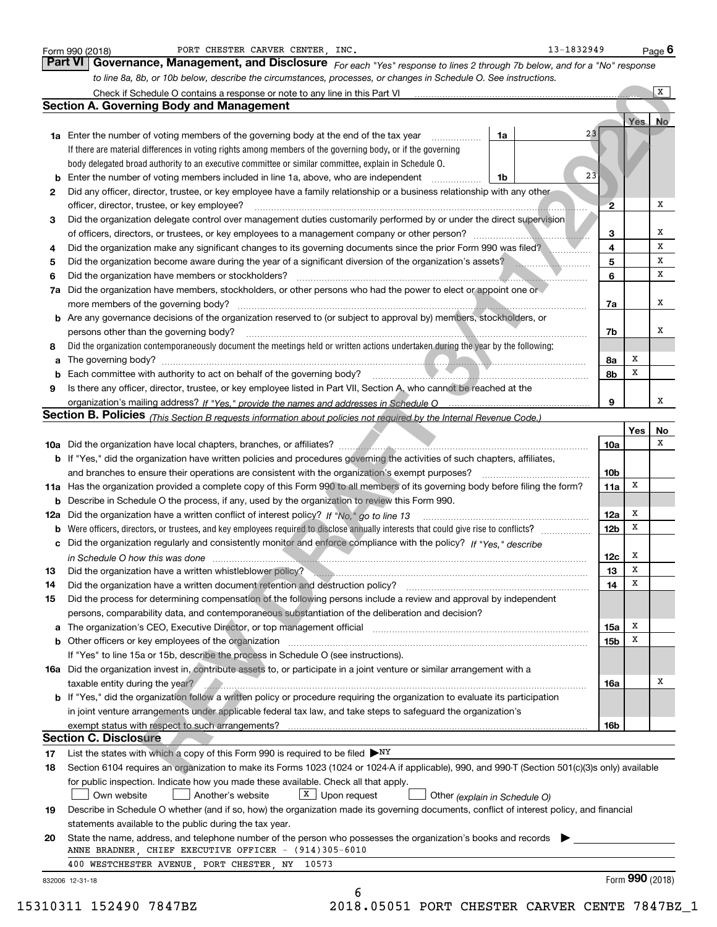|        | PORT CHESTER CARVER CENTER, INC.<br>Form 990 (2018)                                                                                                                                                                                        |    | 13-1832949 |                        |                 | Page $6$     |
|--------|--------------------------------------------------------------------------------------------------------------------------------------------------------------------------------------------------------------------------------------------|----|------------|------------------------|-----------------|--------------|
|        | Part VI<br>Governance, Management, and Disclosure For each "Yes" response to lines 2 through 7b below, and for a "No" response                                                                                                             |    |            |                        |                 |              |
|        | to line 8a, 8b, or 10b below, describe the circumstances, processes, or changes in Schedule O. See instructions.                                                                                                                           |    |            |                        |                 |              |
|        | Check if Schedule O contains a response or note to any line in this Part VI                                                                                                                                                                |    |            |                        |                 | $\mathbf{X}$ |
|        | <b>Section A. Governing Body and Management</b>                                                                                                                                                                                            |    |            |                        |                 |              |
|        |                                                                                                                                                                                                                                            |    |            |                        | Yes No          |              |
|        | <b>1a</b> Enter the number of voting members of the governing body at the end of the tax year                                                                                                                                              | 1a | 23         |                        |                 |              |
|        | If there are material differences in voting rights among members of the governing body, or if the governing                                                                                                                                |    |            |                        |                 |              |
|        | body delegated broad authority to an executive committee or similar committee, explain in Schedule O.                                                                                                                                      |    |            |                        |                 |              |
| b      | Enter the number of voting members included in line 1a, above, who are independent                                                                                                                                                         | 1b | 23         |                        |                 |              |
| 2      | Did any officer, director, trustee, or key employee have a family relationship or a business relationship with any other                                                                                                                   |    |            |                        |                 |              |
|        | officer, director, trustee, or key employee?                                                                                                                                                                                               |    |            | $\overline{2}$         |                 | х            |
| 3      | Did the organization delegate control over management duties customarily performed by or under the direct supervision                                                                                                                      |    |            |                        |                 |              |
|        | of officers, directors, or trustees, or key employees to a management company or other person?                                                                                                                                             |    |            | 3                      |                 | х            |
| 4      | Did the organization make any significant changes to its governing documents since the prior Form 990 was filed?                                                                                                                           |    |            | $\overline{4}$         |                 | х            |
| 5      | Did the organization become aware during the year of a significant diversion of the organization's assets?                                                                                                                                 |    |            | 5                      |                 | х            |
| 6      | Did the organization have members or stockholders?                                                                                                                                                                                         |    |            | 6                      |                 | х            |
| 7a     | Did the organization have members, stockholders, or other persons who had the power to elect or appoint one or                                                                                                                             |    |            |                        |                 |              |
|        | more members of the governing body?                                                                                                                                                                                                        |    |            | 7a                     |                 | х            |
| b      | Are any governance decisions of the organization reserved to (or subject to approval by) members, stockholders, or                                                                                                                         |    |            |                        |                 |              |
|        | persons other than the governing body?                                                                                                                                                                                                     |    |            | 7b                     |                 | х            |
| 8      | Did the organization contemporaneously document the meetings held or written actions undertaken during the year by the following:                                                                                                          |    |            |                        |                 |              |
|        |                                                                                                                                                                                                                                            |    |            | 8a                     | Х               |              |
| a      |                                                                                                                                                                                                                                            |    |            | 8b                     | х               |              |
| b<br>9 | Is there any officer, director, trustee, or key employee listed in Part VII, Section A, who cannot be reached at the                                                                                                                       |    |            |                        |                 |              |
|        |                                                                                                                                                                                                                                            |    |            | 9                      |                 | х            |
|        |                                                                                                                                                                                                                                            |    |            |                        |                 |              |
|        | Section B. Policies (This Section B requests information about policies not required by the Internal Revenue Code.)                                                                                                                        |    |            |                        |                 |              |
|        |                                                                                                                                                                                                                                            |    |            | <b>10a</b>             | Yes             | No<br>x      |
|        |                                                                                                                                                                                                                                            |    |            |                        |                 |              |
|        | <b>b</b> If "Yes," did the organization have written policies and procedures governing the activities of such chapters, affiliates,                                                                                                        |    |            |                        |                 |              |
|        | and branches to ensure their operations are consistent with the organization's exempt purposes?                                                                                                                                            |    |            | 10 <sub>b</sub><br>11a | х               |              |
|        | 11a Has the organization provided a complete copy of this Form 990 to all members of its governing body before filing the form?<br>Describe in Schedule O the process, if any, used by the organization to review this Form 990.           |    |            |                        |                 |              |
| b      | 12a Did the organization have a written conflict of interest policy? If "No," go to line 13                                                                                                                                                |    |            |                        | х               |              |
|        |                                                                                                                                                                                                                                            |    |            | 12a<br>12 <sub>b</sub> | x               |              |
| b      | Were officers, directors, or trustees, and key employees required to disclose annually interests that could give rise to conflicts?                                                                                                        |    |            |                        |                 |              |
| с      | Did the organization regularly and consistently monitor and enforce compliance with the policy? If "Yes," describe                                                                                                                         |    |            |                        | Х               |              |
|        | in Schedule O how this was done manufactured and continuum control of the Schedule O how this was done manufactured and continuum control of the Schedule O how this was done<br>Did the organization have a written whistleblower policy? |    |            | 12c                    | Χ               |              |
| 13     |                                                                                                                                                                                                                                            |    |            | 13<br>14               | х               |              |
| 14     | Did the organization have a written document retention and destruction policy?                                                                                                                                                             |    |            |                        |                 |              |
| 15     | Did the process for determining compensation of the following persons include a review and approval by independent                                                                                                                         |    |            |                        |                 |              |
|        | persons, comparability data, and contemporaneous substantiation of the deliberation and decision?                                                                                                                                          |    |            |                        | х               |              |
| а      | The organization's CEO, Executive Director, or top management official manufactured content of the organization's CEO, Executive Director, or top management official                                                                      |    |            | 15a                    | Х               |              |
| b      | Other officers or key employees of the organization                                                                                                                                                                                        |    |            | 15 <sub>b</sub>        |                 |              |
|        | If "Yes" to line 15a or 15b, describe the process in Schedule O (see instructions).                                                                                                                                                        |    |            |                        |                 |              |
|        | 16a Did the organization invest in, contribute assets to, or participate in a joint venture or similar arrangement with a                                                                                                                  |    |            |                        |                 | х            |
|        | taxable entity during the year?<br>b If "Yes," did the organization follow a written policy or procedure requiring the organization to evaluate its participation                                                                          |    |            | 16a                    |                 |              |
|        |                                                                                                                                                                                                                                            |    |            |                        |                 |              |
|        | in joint venture arrangements under applicable federal tax law, and take steps to safeguard the organization's                                                                                                                             |    |            |                        |                 |              |
|        | exempt status with respect to such arrangements?<br><b>Section C. Disclosure</b>                                                                                                                                                           |    |            | 16b                    |                 |              |
|        |                                                                                                                                                                                                                                            |    |            |                        |                 |              |
| 17     | List the states with which a copy of this Form 990 is required to be filed $\triangleright_{\rm{NY}}$                                                                                                                                      |    |            |                        |                 |              |
| 18     | Section 6104 requires an organization to make its Forms 1023 (1024 or 1024 A if applicable), 990, and 990-T (Section 501(c)(3)s only) available                                                                                            |    |            |                        |                 |              |
|        | for public inspection. Indicate how you made these available. Check all that apply.                                                                                                                                                        |    |            |                        |                 |              |
|        | $X$ Upon request<br>Own website<br>Another's website<br>Other (explain in Schedule O)                                                                                                                                                      |    |            |                        |                 |              |
| 19     | Describe in Schedule O whether (and if so, how) the organization made its governing documents, conflict of interest policy, and financial                                                                                                  |    |            |                        |                 |              |
|        | statements available to the public during the tax year.                                                                                                                                                                                    |    |            |                        |                 |              |
| 20     | State the name, address, and telephone number of the person who possesses the organization's books and records                                                                                                                             |    |            |                        |                 |              |
|        | ANNE BRADNER, CHIEF EXECUTIVE OFFICER - (914)305-6010                                                                                                                                                                                      |    |            |                        |                 |              |
|        | 400 WESTCHESTER AVENUE, PORT CHESTER, NY 10573                                                                                                                                                                                             |    |            |                        |                 |              |
|        | 832006 12-31-18                                                                                                                                                                                                                            |    |            |                        | Form 990 (2018) |              |
|        | 6                                                                                                                                                                                                                                          |    |            |                        |                 |              |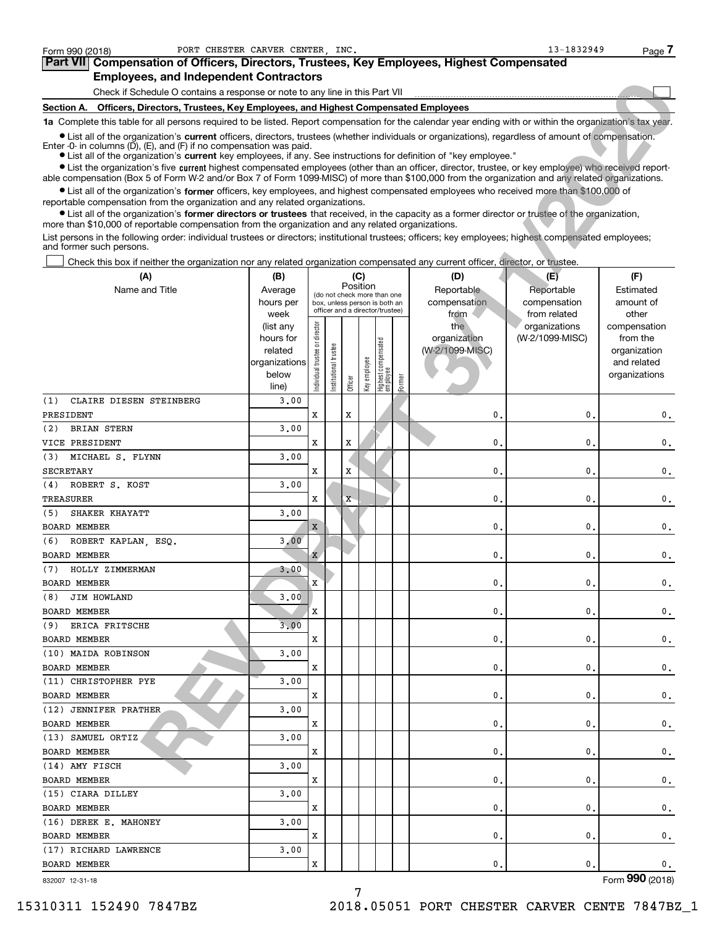| 13-1832949<br>PORT CHESTER CARVER CENTER INC.<br>Form 990 (2018)<br>Page <i>I</i>                                                                                                                                                                                                                                                                          |                                         |                                                                                                                                                                                                               |                                                                                                                                                                                                  |                                                                                                                                                                                                                                                                                                                                                                                                                                                                                                                                                       |  |  |  |  |  |  |
|------------------------------------------------------------------------------------------------------------------------------------------------------------------------------------------------------------------------------------------------------------------------------------------------------------------------------------------------------------|-----------------------------------------|---------------------------------------------------------------------------------------------------------------------------------------------------------------------------------------------------------------|--------------------------------------------------------------------------------------------------------------------------------------------------------------------------------------------------|-------------------------------------------------------------------------------------------------------------------------------------------------------------------------------------------------------------------------------------------------------------------------------------------------------------------------------------------------------------------------------------------------------------------------------------------------------------------------------------------------------------------------------------------------------|--|--|--|--|--|--|
|                                                                                                                                                                                                                                                                                                                                                            |                                         |                                                                                                                                                                                                               |                                                                                                                                                                                                  |                                                                                                                                                                                                                                                                                                                                                                                                                                                                                                                                                       |  |  |  |  |  |  |
|                                                                                                                                                                                                                                                                                                                                                            |                                         |                                                                                                                                                                                                               |                                                                                                                                                                                                  |                                                                                                                                                                                                                                                                                                                                                                                                                                                                                                                                                       |  |  |  |  |  |  |
|                                                                                                                                                                                                                                                                                                                                                            |                                         |                                                                                                                                                                                                               |                                                                                                                                                                                                  |                                                                                                                                                                                                                                                                                                                                                                                                                                                                                                                                                       |  |  |  |  |  |  |
|                                                                                                                                                                                                                                                                                                                                                            |                                         |                                                                                                                                                                                                               |                                                                                                                                                                                                  |                                                                                                                                                                                                                                                                                                                                                                                                                                                                                                                                                       |  |  |  |  |  |  |
|                                                                                                                                                                                                                                                                                                                                                            |                                         |                                                                                                                                                                                                               |                                                                                                                                                                                                  |                                                                                                                                                                                                                                                                                                                                                                                                                                                                                                                                                       |  |  |  |  |  |  |
| • List all of the organization's current officers, directors, trustees (whether individuals or organizations), regardless of amount of compensation.<br>Enter $-0$ in columns $(D)$ , $(E)$ , and $(F)$ if no compensation was paid.<br>• List all of the organization's current key employees, if any. See instructions for definition of "key employee." |                                         |                                                                                                                                                                                                               |                                                                                                                                                                                                  |                                                                                                                                                                                                                                                                                                                                                                                                                                                                                                                                                       |  |  |  |  |  |  |
| • List the organization's five current highest compensated employees (other than an officer, director, trustee, or key employee) who received report-<br>able compensation (Box 5 of Form W-2 and/or Box 7 of Form 1099-MISC) of more than \$100,000 from the organization and any related organizations.                                                  |                                         |                                                                                                                                                                                                               |                                                                                                                                                                                                  |                                                                                                                                                                                                                                                                                                                                                                                                                                                                                                                                                       |  |  |  |  |  |  |
|                                                                                                                                                                                                                                                                                                                                                            |                                         |                                                                                                                                                                                                               |                                                                                                                                                                                                  |                                                                                                                                                                                                                                                                                                                                                                                                                                                                                                                                                       |  |  |  |  |  |  |
|                                                                                                                                                                                                                                                                                                                                                            |                                         |                                                                                                                                                                                                               |                                                                                                                                                                                                  |                                                                                                                                                                                                                                                                                                                                                                                                                                                                                                                                                       |  |  |  |  |  |  |
| List persons in the following order: individual trustees or directors; institutional trustees; officers; key employees; highest compensated employees;<br>and former such persons.                                                                                                                                                                         |                                         |                                                                                                                                                                                                               |                                                                                                                                                                                                  |                                                                                                                                                                                                                                                                                                                                                                                                                                                                                                                                                       |  |  |  |  |  |  |
| Check this box if neither the organization nor any related organization compensated any current officer, director, or trustee.                                                                                                                                                                                                                             |                                         |                                                                                                                                                                                                               |                                                                                                                                                                                                  |                                                                                                                                                                                                                                                                                                                                                                                                                                                                                                                                                       |  |  |  |  |  |  |
| (B)                                                                                                                                                                                                                                                                                                                                                        | (C)                                     | (D)                                                                                                                                                                                                           | (E)                                                                                                                                                                                              | (F)                                                                                                                                                                                                                                                                                                                                                                                                                                                                                                                                                   |  |  |  |  |  |  |
| Average                                                                                                                                                                                                                                                                                                                                                    | Position<br>(do not check more than one | Reportable                                                                                                                                                                                                    | Reportable                                                                                                                                                                                       | Estimated                                                                                                                                                                                                                                                                                                                                                                                                                                                                                                                                             |  |  |  |  |  |  |
|                                                                                                                                                                                                                                                                                                                                                            |                                         | <b>Employees, and Independent Contractors</b><br>Check if Schedule O contains a response or note to any line in this Part VII<br>reportable compensation from the organization and any related organizations. | Section A. Officers, Directors, Trustees, Key Employees, and Highest Compensated Employees<br>more than \$10,000 of reportable compensation from the organization and any related organizations. | Compensation of Officers, Directors, Trustees, Key Employees, Highest Compensated<br>1a Complete this table for all persons required to be listed. Report compensation for the calendar year ending with or within the organization's tax year.<br>• List all of the organization's former officers, key employees, and highest compensated employees who received more than \$100,000 of<br>• List all of the organization's <b>former directors or trustees</b> that received, in the capacity as a former director or trustee of the organization, |  |  |  |  |  |  |

|                     | Employees, and muependent Comractors                                                                                                                                                                                                                                                                                                                                                                                                                                                                                |                   |                               |                       |          |              |                                                                  |        |                 |                              |                    |
|---------------------|---------------------------------------------------------------------------------------------------------------------------------------------------------------------------------------------------------------------------------------------------------------------------------------------------------------------------------------------------------------------------------------------------------------------------------------------------------------------------------------------------------------------|-------------------|-------------------------------|-----------------------|----------|--------------|------------------------------------------------------------------|--------|-----------------|------------------------------|--------------------|
|                     | Check if Schedule O contains a response or note to any line in this Part VII                                                                                                                                                                                                                                                                                                                                                                                                                                        |                   |                               |                       |          |              |                                                                  |        |                 |                              |                    |
|                     | Section A. Officers, Directors, Trustees, Key Employees, and Highest Compensated Employees                                                                                                                                                                                                                                                                                                                                                                                                                          |                   |                               |                       |          |              |                                                                  |        |                 |                              |                    |
|                     | 1a Complete this table for all persons required to be listed. Report compensation for the calendar year ending with or within the organization's tax year.                                                                                                                                                                                                                                                                                                                                                          |                   |                               |                       |          |              |                                                                  |        |                 |                              |                    |
|                     | • List all of the organization's current officers, directors, trustees (whether individuals or organizations), regardless of amount of compensation.<br>Enter $-0$ in columns $(D)$ , $(E)$ , and $(F)$ if no compensation was paid.<br>• List all of the organization's current key employees, if any. See instructions for definition of "key employee."<br>• List the organization's five current highest compensated employees (other than an officer, director, trustee, or key employee) who received report- |                   |                               |                       |          |              |                                                                  |        |                 |                              |                    |
|                     | able compensation (Box 5 of Form W-2 and/or Box 7 of Form 1099-MISC) of more than \$100,000 from the organization and any related organizations.                                                                                                                                                                                                                                                                                                                                                                    |                   |                               |                       |          |              |                                                                  |        |                 |                              |                    |
|                     | • List all of the organization's former officers, key employees, and highest compensated employees who received more than \$100,000 of<br>reportable compensation from the organization and any related organizations.<br>• List all of the organization's former directors or trustees that received, in the capacity as a former director or trustee of the organization,                                                                                                                                         |                   |                               |                       |          |              |                                                                  |        |                 |                              |                    |
|                     | more than \$10,000 of reportable compensation from the organization and any related organizations.<br>List persons in the following order: individual trustees or directors; institutional trustees; officers; key employees; highest compensated employees;<br>and former such persons.                                                                                                                                                                                                                            |                   |                               |                       |          |              |                                                                  |        |                 |                              |                    |
|                     |                                                                                                                                                                                                                                                                                                                                                                                                                                                                                                                     |                   |                               |                       |          |              |                                                                  |        |                 |                              |                    |
|                     | Check this box if neither the organization nor any related organization compensated any current officer, director, or trustee.                                                                                                                                                                                                                                                                                                                                                                                      |                   |                               |                       |          |              |                                                                  |        |                 |                              |                    |
|                     | (A)                                                                                                                                                                                                                                                                                                                                                                                                                                                                                                                 | (B)               |                               |                       | Position | (C)          |                                                                  |        | (D)             | (E)                          | (F)                |
|                     | Name and Title                                                                                                                                                                                                                                                                                                                                                                                                                                                                                                      | Average           |                               |                       |          |              | (do not check more than one                                      |        | Reportable      | Reportable                   | Estimated          |
|                     |                                                                                                                                                                                                                                                                                                                                                                                                                                                                                                                     | hours per         |                               |                       |          |              | box, unless person is both an<br>officer and a director/trustee) |        | compensation    | compensation<br>from related | amount of<br>other |
|                     |                                                                                                                                                                                                                                                                                                                                                                                                                                                                                                                     | week<br>(list any |                               |                       |          |              |                                                                  |        | from<br>the     | organizations                | compensation       |
|                     |                                                                                                                                                                                                                                                                                                                                                                                                                                                                                                                     | hours for         |                               |                       |          |              |                                                                  |        | organization    | (W-2/1099-MISC)              | from the           |
|                     |                                                                                                                                                                                                                                                                                                                                                                                                                                                                                                                     | related           |                               |                       |          |              |                                                                  |        | (W-2/1099-MISC) |                              | organization       |
|                     |                                                                                                                                                                                                                                                                                                                                                                                                                                                                                                                     | organizations     | ndividual trustee or director | Institutional trustee |          |              | Highest compensated<br>employee                                  |        |                 |                              | and related        |
|                     |                                                                                                                                                                                                                                                                                                                                                                                                                                                                                                                     | below             |                               |                       |          | Key employee |                                                                  |        |                 |                              | organizations      |
|                     |                                                                                                                                                                                                                                                                                                                                                                                                                                                                                                                     | line)             |                               |                       | Officer  |              |                                                                  | Former |                 |                              |                    |
| (1)                 | CLAIRE DIESEN STEINBERG                                                                                                                                                                                                                                                                                                                                                                                                                                                                                             | 3,00              |                               |                       |          |              |                                                                  |        |                 |                              |                    |
| PRESIDENT           |                                                                                                                                                                                                                                                                                                                                                                                                                                                                                                                     |                   | x                             |                       | x        |              |                                                                  |        | 0               | 0                            | 0.                 |
| (2)                 | <b>BRIAN STERN</b>                                                                                                                                                                                                                                                                                                                                                                                                                                                                                                  | 3,00              |                               |                       |          |              |                                                                  |        |                 |                              |                    |
| VICE PRESIDENT      |                                                                                                                                                                                                                                                                                                                                                                                                                                                                                                                     |                   | x                             |                       | x        |              |                                                                  |        | 0               | 0                            | 0.                 |
| (3)                 | MICHAEL S. FLYNN                                                                                                                                                                                                                                                                                                                                                                                                                                                                                                    | 3,00              |                               |                       |          |              |                                                                  |        |                 |                              |                    |
| <b>SECRETARY</b>    |                                                                                                                                                                                                                                                                                                                                                                                                                                                                                                                     |                   | x                             |                       | X        |              |                                                                  |        | 0               | 0                            | $\mathbf 0$ .      |
| (4)                 | ROBERT S. KOST                                                                                                                                                                                                                                                                                                                                                                                                                                                                                                      | 3,00              |                               |                       |          |              |                                                                  |        |                 |                              |                    |
| TREASURER           |                                                                                                                                                                                                                                                                                                                                                                                                                                                                                                                     |                   | x                             |                       | X        |              |                                                                  |        | 0               | 0                            | 0.                 |
| (5)                 | SHAKER KHAYATT                                                                                                                                                                                                                                                                                                                                                                                                                                                                                                      | 3,00              |                               |                       |          |              |                                                                  |        |                 |                              |                    |
| <b>BOARD MEMBER</b> |                                                                                                                                                                                                                                                                                                                                                                                                                                                                                                                     |                   | $\mathbf x$                   |                       |          |              |                                                                  |        | 0               | 0                            | 0.                 |
| (6)                 | ROBERT KAPLAN, ESQ.                                                                                                                                                                                                                                                                                                                                                                                                                                                                                                 | 3,00              |                               |                       |          |              |                                                                  |        |                 |                              |                    |
| <b>BOARD MEMBER</b> |                                                                                                                                                                                                                                                                                                                                                                                                                                                                                                                     |                   | X                             |                       |          |              |                                                                  |        | 0               | $\mathbf{0}$                 | 0.                 |
| (7)                 | HOLLY ZIMMERMAN                                                                                                                                                                                                                                                                                                                                                                                                                                                                                                     | 3.00              |                               |                       |          |              |                                                                  |        |                 |                              |                    |
| <b>BOARD MEMBER</b> |                                                                                                                                                                                                                                                                                                                                                                                                                                                                                                                     |                   | х                             |                       |          |              |                                                                  |        | $\mathbf{0}$    | 0                            | 0.                 |
| (8)                 | JIM HOWLAND                                                                                                                                                                                                                                                                                                                                                                                                                                                                                                         | 3.00              |                               |                       |          |              |                                                                  |        |                 |                              |                    |
| <b>BOARD MEMBER</b> |                                                                                                                                                                                                                                                                                                                                                                                                                                                                                                                     |                   | х                             |                       |          |              |                                                                  |        | 0.              | 0.                           | $\mathbf{0}$ .     |
|                     | (9) ERICA FRITSCHE                                                                                                                                                                                                                                                                                                                                                                                                                                                                                                  | 3.00              |                               |                       |          |              |                                                                  |        |                 |                              |                    |
| <b>BOARD MEMBER</b> |                                                                                                                                                                                                                                                                                                                                                                                                                                                                                                                     |                   | X                             |                       |          |              |                                                                  |        | 0.              | 0.                           | $\mathbf{0}$ .     |
|                     | (10) MAIDA ROBINSON                                                                                                                                                                                                                                                                                                                                                                                                                                                                                                 | 3.00              |                               |                       |          |              |                                                                  |        |                 |                              |                    |
| <b>BOARD MEMBER</b> |                                                                                                                                                                                                                                                                                                                                                                                                                                                                                                                     |                   | X                             |                       |          |              |                                                                  |        | 0.              | 0.                           | $\mathbf{0}$ .     |
|                     | (11) CHRISTOPHER PYE                                                                                                                                                                                                                                                                                                                                                                                                                                                                                                | 3.00              |                               |                       |          |              |                                                                  |        |                 |                              |                    |
| <b>BOARD MEMBER</b> |                                                                                                                                                                                                                                                                                                                                                                                                                                                                                                                     |                   | X                             |                       |          |              |                                                                  |        | 0.              | 0.                           | $\mathbf{0}$ .     |
|                     | (12) JENNIFER PRATHER                                                                                                                                                                                                                                                                                                                                                                                                                                                                                               | 3.00              |                               |                       |          |              |                                                                  |        |                 |                              |                    |
| <b>BOARD MEMBER</b> |                                                                                                                                                                                                                                                                                                                                                                                                                                                                                                                     |                   | X                             |                       |          |              |                                                                  |        | 0.              | 0.                           | $\mathbf{0}$ .     |
|                     | (13) SAMUEL ORTIZ                                                                                                                                                                                                                                                                                                                                                                                                                                                                                                   | 3.00              |                               |                       |          |              |                                                                  |        |                 |                              |                    |
| <b>BOARD MEMBER</b> |                                                                                                                                                                                                                                                                                                                                                                                                                                                                                                                     |                   | X                             |                       |          |              |                                                                  |        | 0.              | 0.                           | $\mathbf 0$ .      |
| $(14)$ AMY FISCH    |                                                                                                                                                                                                                                                                                                                                                                                                                                                                                                                     | 3.00              |                               |                       |          |              |                                                                  |        |                 |                              |                    |
| <b>BOARD MEMBER</b> |                                                                                                                                                                                                                                                                                                                                                                                                                                                                                                                     |                   | х                             |                       |          |              |                                                                  |        | 0.              | 0.                           | $\mathbf{0}$ .     |
|                     | (15) CIARA DILLEY                                                                                                                                                                                                                                                                                                                                                                                                                                                                                                   | 3.00              |                               |                       |          |              |                                                                  |        |                 |                              |                    |
| <b>BOARD MEMBER</b> |                                                                                                                                                                                                                                                                                                                                                                                                                                                                                                                     |                   | х                             |                       |          |              |                                                                  |        | 0.              | 0.                           | $\mathbf{0}$ .     |
|                     | (16) DEREK E. MAHONEY                                                                                                                                                                                                                                                                                                                                                                                                                                                                                               | 3.00              |                               |                       |          |              |                                                                  |        |                 |                              |                    |
| BOARD MEMBER        |                                                                                                                                                                                                                                                                                                                                                                                                                                                                                                                     |                   | х                             |                       |          |              |                                                                  |        | 0.              | 0.                           | 0.                 |
|                     | (17) RICHARD LAWRENCE                                                                                                                                                                                                                                                                                                                                                                                                                                                                                               | 3.00              |                               |                       |          |              |                                                                  |        |                 |                              |                    |
| <b>BOARD MEMBER</b> |                                                                                                                                                                                                                                                                                                                                                                                                                                                                                                                     |                   | X                             |                       |          |              |                                                                  |        | 0.              | 0.                           | 0.                 |

7

832007 12-31-18

Form (2018) **990**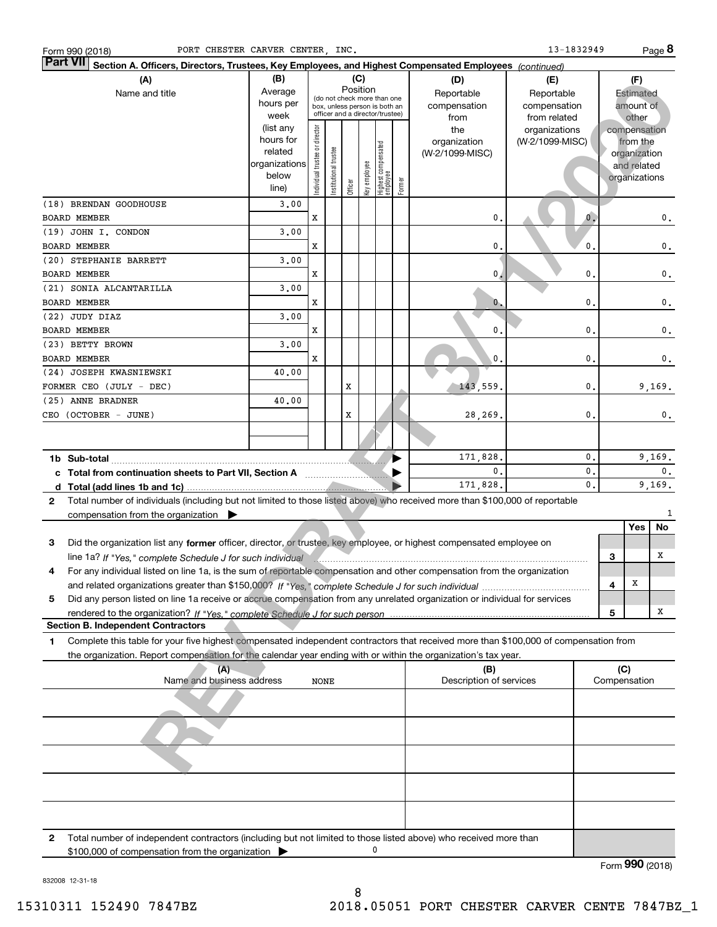| PORT CHESTER CARVER CENTER, INC.<br>Form 990 (2018)                                                                                          |               |                                |                       |         |              |                                                              |        |                         | 13-1832949      |   |               | Page 8         |
|----------------------------------------------------------------------------------------------------------------------------------------------|---------------|--------------------------------|-----------------------|---------|--------------|--------------------------------------------------------------|--------|-------------------------|-----------------|---|---------------|----------------|
| <b>Part VII</b><br>Section A. Officers, Directors, Trustees, Key Employees, and Highest Compensated Employees (continued)                    |               |                                |                       |         |              |                                                              |        |                         |                 |   |               |                |
| (A)                                                                                                                                          | (B)           |                                |                       |         | (C)          |                                                              |        | (D)                     | (E)             |   | (F)           |                |
| Name and title                                                                                                                               | Average       |                                |                       |         | Position     |                                                              |        | Reportable              | Reportable      |   | Estimated     |                |
|                                                                                                                                              | hours per     |                                |                       |         |              | (do not check more than one<br>box, unless person is both an |        | compensation            | compensation    |   | amount of     |                |
|                                                                                                                                              | week          |                                |                       |         |              | officer and a director/trustee)                              |        | from                    | from related    |   | other         |                |
|                                                                                                                                              | (list any     |                                |                       |         |              |                                                              |        | the                     | organizations   |   | compensation  |                |
|                                                                                                                                              | hours for     |                                |                       |         |              |                                                              |        | organization            | (W-2/1099-MISC) |   | from the      |                |
|                                                                                                                                              | related       |                                |                       |         |              |                                                              |        | (W-2/1099-MISC)         |                 |   | organization  |                |
|                                                                                                                                              | organizations |                                |                       |         |              |                                                              |        |                         |                 |   | and related   |                |
|                                                                                                                                              | below         | Individual trustee or director | Institutional trustee |         | Key employee | Highest compensated<br>  employee                            | Former |                         |                 |   | organizations |                |
|                                                                                                                                              | line)         |                                |                       | Officer |              |                                                              |        |                         |                 |   |               |                |
| (18) BRENDAN GOODHOUSE                                                                                                                       | 3,00          |                                |                       |         |              |                                                              |        |                         |                 |   |               |                |
| <b>BOARD MEMBER</b>                                                                                                                          |               | X                              |                       |         |              |                                                              |        | $\mathfrak{o}$ .        | $\mathbf{0}$ .  |   |               | 0.             |
| (19) JOHN I. CONDON                                                                                                                          | 3,00          |                                |                       |         |              |                                                              |        |                         |                 |   |               |                |
| <b>BOARD MEMBER</b>                                                                                                                          |               | x                              |                       |         |              |                                                              |        | 0.                      | $\mathbf{0}$ .  |   |               | 0.             |
| (20) STEPHANIE BARRETT                                                                                                                       | 3.00          |                                |                       |         |              |                                                              |        |                         |                 |   |               |                |
| <b>BOARD MEMBER</b>                                                                                                                          |               | x                              |                       |         |              |                                                              |        | 0.4                     | 0.              |   |               | 0.             |
| (21) SONIA ALCANTARILLA                                                                                                                      | 3.00          |                                |                       |         |              |                                                              |        |                         |                 |   |               |                |
| <b>BOARD MEMBER</b>                                                                                                                          |               | x                              |                       |         |              |                                                              |        | 0,                      | 0.              |   |               | 0.             |
| (22) JUDY DIAZ                                                                                                                               | 3.00          |                                |                       |         |              |                                                              |        |                         |                 |   |               |                |
|                                                                                                                                              |               |                                |                       |         |              |                                                              |        |                         |                 |   |               |                |
| <b>BOARD MEMBER</b>                                                                                                                          |               | x                              |                       |         |              |                                                              |        | 0.                      | 0.              |   |               | 0.             |
| (23) BETTY BROWN                                                                                                                             | 3,00          |                                |                       |         |              |                                                              |        |                         |                 |   |               |                |
| <b>BOARD MEMBER</b>                                                                                                                          |               | x                              |                       |         |              |                                                              |        | 0.                      | 0.              |   |               | 0.             |
| (24) JOSEPH KWASNIEWSKI                                                                                                                      | 40.00         |                                |                       |         |              |                                                              |        |                         |                 |   |               |                |
| FORMER CEO (JULY - DEC)                                                                                                                      |               |                                |                       | X       |              |                                                              |        | 143,559.                | 0.              |   |               | 9,169.         |
| (25) ANNE BRADNER                                                                                                                            | 40.00         |                                |                       |         |              |                                                              |        |                         |                 |   |               |                |
| CEO (OCTOBER - JUNE)                                                                                                                         |               |                                |                       | X       |              |                                                              |        | 28,269.                 | 0.              |   |               | 0.             |
|                                                                                                                                              |               |                                |                       |         |              |                                                              |        |                         |                 |   |               |                |
|                                                                                                                                              |               |                                |                       |         |              |                                                              |        |                         |                 |   |               |                |
|                                                                                                                                              |               |                                |                       |         |              |                                                              |        | 171,828.                | 0.              |   |               | 9,169.         |
| c Total from continuation sheets to Part VII, Section A [11] [12] Total from continuation sheets to Part VII, Section A                      |               |                                |                       |         |              |                                                              |        | 0.                      | 0.              |   |               | $\mathbf{0}$ . |
|                                                                                                                                              |               |                                |                       |         |              |                                                              |        | 171,828.                | 0.              |   |               | 9,169.         |
|                                                                                                                                              |               |                                |                       |         |              |                                                              |        |                         |                 |   |               |                |
| Total number of individuals (including but not limited to those listed above) who received more than \$100,000 of reportable<br>$\mathbf{2}$ |               |                                |                       |         |              |                                                              |        |                         |                 |   |               | 1              |
| compensation from the organization $\blacktriangleright$                                                                                     |               |                                |                       |         |              |                                                              |        |                         |                 |   |               |                |
|                                                                                                                                              |               |                                |                       |         |              |                                                              |        |                         |                 |   | Yes           | No             |
| Did the organization list any former officer, director, or trustee, key employee, or highest compensated employee on<br>3                    |               |                                |                       |         |              |                                                              |        |                         |                 |   |               |                |
|                                                                                                                                              |               |                                |                       |         |              |                                                              |        |                         |                 | 3 |               | х              |
| For any individual listed on line 1a, is the sum of reportable compensation and other compensation from the organization                     |               |                                |                       |         |              |                                                              |        |                         |                 |   |               |                |
|                                                                                                                                              |               |                                |                       |         |              |                                                              |        |                         |                 | 4 | Х             |                |
| Did any person listed on line 1a receive or accrue compensation from any unrelated organization or individual for services<br>5              |               |                                |                       |         |              |                                                              |        |                         |                 |   |               |                |
| rendered to the organization? If "Yes." complete Schedule J for such person.                                                                 |               |                                |                       |         |              |                                                              |        |                         |                 | 5 |               | х              |
| <b>Section B. Independent Contractors</b>                                                                                                    |               |                                |                       |         |              |                                                              |        |                         |                 |   |               |                |
| Complete this table for your five highest compensated independent contractors that received more than \$100,000 of compensation from<br>1    |               |                                |                       |         |              |                                                              |        |                         |                 |   |               |                |
| the organization. Report compensation for the calendar year ending with or within the organization's tax year.                               |               |                                |                       |         |              |                                                              |        |                         |                 |   |               |                |
| (A)                                                                                                                                          |               |                                |                       |         |              |                                                              |        | (B)                     |                 |   | (C)           |                |
| Name and business address                                                                                                                    |               | NONE                           |                       |         |              |                                                              |        | Description of services |                 |   | Compensation  |                |
|                                                                                                                                              |               |                                |                       |         |              |                                                              |        |                         |                 |   |               |                |
|                                                                                                                                              |               |                                |                       |         |              |                                                              |        |                         |                 |   |               |                |
|                                                                                                                                              |               |                                |                       |         |              |                                                              |        |                         |                 |   |               |                |
|                                                                                                                                              |               |                                |                       |         |              |                                                              |        |                         |                 |   |               |                |
|                                                                                                                                              |               |                                |                       |         |              |                                                              |        |                         |                 |   |               |                |
|                                                                                                                                              |               |                                |                       |         |              |                                                              |        |                         |                 |   |               |                |
|                                                                                                                                              |               |                                |                       |         |              |                                                              |        |                         |                 |   |               |                |
|                                                                                                                                              |               |                                |                       |         |              |                                                              |        |                         |                 |   |               |                |
|                                                                                                                                              |               |                                |                       |         |              |                                                              |        |                         |                 |   |               |                |
|                                                                                                                                              |               |                                |                       |         |              |                                                              |        |                         |                 |   |               |                |
|                                                                                                                                              |               |                                |                       |         |              |                                                              |        |                         |                 |   |               |                |
| Total number of independent contractors (including but not limited to those listed above) who received more than<br>2                        |               |                                |                       |         |              |                                                              |        |                         |                 |   |               |                |
| \$100,000 of compensation from the organization                                                                                              |               |                                |                       |         |              | 0                                                            |        |                         |                 |   |               |                |

Form (2018) **990**

832008 12-31-18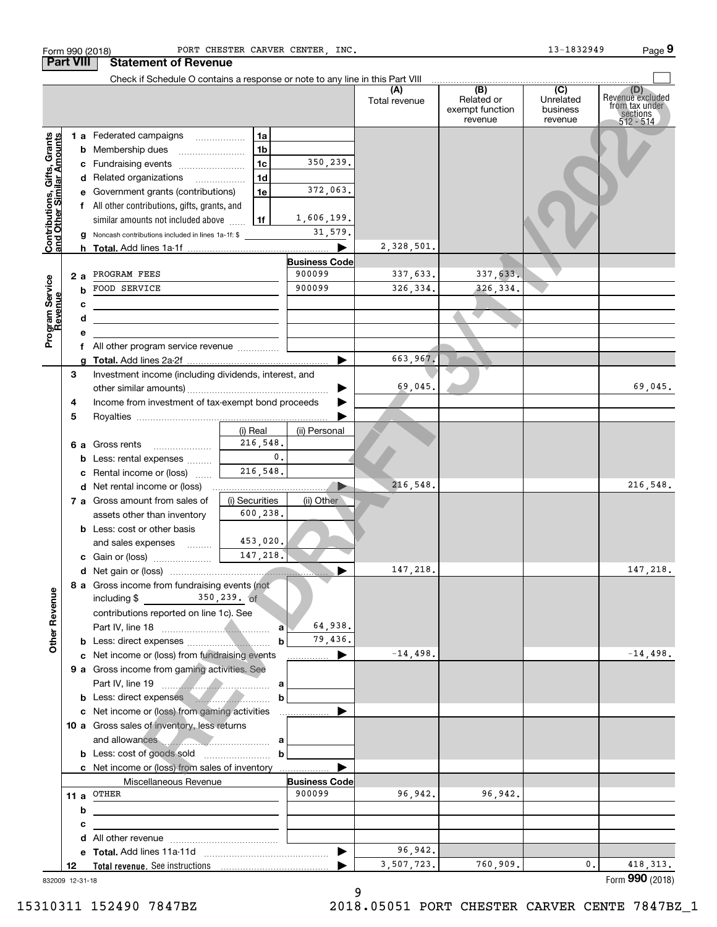| Check if Schedule O contains a response or note to any line in this Part VIII<br>(B)<br>$\overline{C}$<br>(A)<br>(D)<br>Revenuè excluded<br>Related or<br>Unrelated<br>Total revenue<br>from tax under<br>exempt function<br>business<br>sections<br>512 - 514<br>revenue<br>revenue<br>1 a Federated campaigns<br>1a<br>Contributions, Gifts, Grants<br>and Other Similar Amounts<br>1 <sub>b</sub><br><b>b</b> Membership dues<br>350,239.<br>1 <sub>c</sub><br>c Fundraising events<br>1 <sub>d</sub><br>d Related organizations<br>$\overline{\phantom{a}}$<br>372,063.<br>1e<br>e Government grants (contributions)<br>f All other contributions, gifts, grants, and<br>1,606,199.<br>1f<br>similar amounts not included above<br>31,579.<br>g Noncash contributions included in lines 1a-1f: \$<br>2,328,501.<br>▶<br><b>Business Code</b><br>900099<br>337,633.<br>337,633.<br>PROGRAM FEES<br>2а<br>Program Service<br>Revenue<br>900099<br>326, 334.<br>326,334.<br>FOOD SERVICE<br>b<br>с<br>d<br><u> 1989 - Johann Barn, amerikansk politiker (</u><br>е<br>f All other program service revenue<br>663,967.<br>▶<br>a<br>3<br>Investment income (including dividends, interest, and<br>69,045.<br>69,045.<br>Income from investment of tax-exempt bond proceeds<br>4<br>5<br>(i) Real<br>(ii) Personal<br>216,548.<br>6 a Gross rents<br>$\mathbf{0}$ .<br><b>b</b> Less: rental expenses<br>216,548.<br>c Rental income or (loss)<br>216,548.<br>216,548.<br>7 a Gross amount from sales of<br>(i) Securities<br>(ii) Other<br>600,238.<br>assets other than inventory<br><b>b</b> Less: cost or other basis<br>453,020.<br>and sales expenses<br>147,218.<br>147,218.<br>147,218.<br>8 a Gross income from fundraising events (not<br><b>Other Revenue</b><br>$350, 239.$ of<br>including \$<br>contributions reported on line 1c). See<br>64,938.<br>a<br>79,436.<br>b<br>$-14,498.$<br>$-14,498.$<br>c Net income or (loss) from fundraising events<br>9 a Gross income from gaming activities. See<br>Part IV, line 19<br>а<br>b Less: direct expenses<br>b<br>c Net income or (loss) from gaming activities<br>.<br>10 a Gross sales of inventory, less returns<br>and allowances<br>b<br>c Net income or (loss) from sales of inventory<br>Miscellaneous Revenue<br><b>Business Code</b><br>900099<br>96,942.<br>96,942.<br>11 a $^{\text{OTHER}}$<br>b<br>с<br>96,942.<br>▶<br>3,507,723.<br>760,909.<br>418, 313.<br>$\mathbf{0}$ .<br>12<br>Form 990 (2018)<br>832009 12-31-18 | <b>Part VIII</b> | <b>Statement of Revenue</b> |  |  |  |
|-----------------------------------------------------------------------------------------------------------------------------------------------------------------------------------------------------------------------------------------------------------------------------------------------------------------------------------------------------------------------------------------------------------------------------------------------------------------------------------------------------------------------------------------------------------------------------------------------------------------------------------------------------------------------------------------------------------------------------------------------------------------------------------------------------------------------------------------------------------------------------------------------------------------------------------------------------------------------------------------------------------------------------------------------------------------------------------------------------------------------------------------------------------------------------------------------------------------------------------------------------------------------------------------------------------------------------------------------------------------------------------------------------------------------------------------------------------------------------------------------------------------------------------------------------------------------------------------------------------------------------------------------------------------------------------------------------------------------------------------------------------------------------------------------------------------------------------------------------------------------------------------------------------------------------------------------------------------------------------------------------------------------------------------------------------------------------------------------------------------------------------------------------------------------------------------------------------------------------------------------------------------------------------------------------------------------------------------------------------------------------------------------------------------------------------------------------------------------------------------------------|------------------|-----------------------------|--|--|--|
|                                                                                                                                                                                                                                                                                                                                                                                                                                                                                                                                                                                                                                                                                                                                                                                                                                                                                                                                                                                                                                                                                                                                                                                                                                                                                                                                                                                                                                                                                                                                                                                                                                                                                                                                                                                                                                                                                                                                                                                                                                                                                                                                                                                                                                                                                                                                                                                                                                                                                                     |                  |                             |  |  |  |
|                                                                                                                                                                                                                                                                                                                                                                                                                                                                                                                                                                                                                                                                                                                                                                                                                                                                                                                                                                                                                                                                                                                                                                                                                                                                                                                                                                                                                                                                                                                                                                                                                                                                                                                                                                                                                                                                                                                                                                                                                                                                                                                                                                                                                                                                                                                                                                                                                                                                                                     |                  |                             |  |  |  |
|                                                                                                                                                                                                                                                                                                                                                                                                                                                                                                                                                                                                                                                                                                                                                                                                                                                                                                                                                                                                                                                                                                                                                                                                                                                                                                                                                                                                                                                                                                                                                                                                                                                                                                                                                                                                                                                                                                                                                                                                                                                                                                                                                                                                                                                                                                                                                                                                                                                                                                     |                  |                             |  |  |  |
|                                                                                                                                                                                                                                                                                                                                                                                                                                                                                                                                                                                                                                                                                                                                                                                                                                                                                                                                                                                                                                                                                                                                                                                                                                                                                                                                                                                                                                                                                                                                                                                                                                                                                                                                                                                                                                                                                                                                                                                                                                                                                                                                                                                                                                                                                                                                                                                                                                                                                                     |                  |                             |  |  |  |
|                                                                                                                                                                                                                                                                                                                                                                                                                                                                                                                                                                                                                                                                                                                                                                                                                                                                                                                                                                                                                                                                                                                                                                                                                                                                                                                                                                                                                                                                                                                                                                                                                                                                                                                                                                                                                                                                                                                                                                                                                                                                                                                                                                                                                                                                                                                                                                                                                                                                                                     |                  |                             |  |  |  |
|                                                                                                                                                                                                                                                                                                                                                                                                                                                                                                                                                                                                                                                                                                                                                                                                                                                                                                                                                                                                                                                                                                                                                                                                                                                                                                                                                                                                                                                                                                                                                                                                                                                                                                                                                                                                                                                                                                                                                                                                                                                                                                                                                                                                                                                                                                                                                                                                                                                                                                     |                  |                             |  |  |  |
|                                                                                                                                                                                                                                                                                                                                                                                                                                                                                                                                                                                                                                                                                                                                                                                                                                                                                                                                                                                                                                                                                                                                                                                                                                                                                                                                                                                                                                                                                                                                                                                                                                                                                                                                                                                                                                                                                                                                                                                                                                                                                                                                                                                                                                                                                                                                                                                                                                                                                                     |                  |                             |  |  |  |
|                                                                                                                                                                                                                                                                                                                                                                                                                                                                                                                                                                                                                                                                                                                                                                                                                                                                                                                                                                                                                                                                                                                                                                                                                                                                                                                                                                                                                                                                                                                                                                                                                                                                                                                                                                                                                                                                                                                                                                                                                                                                                                                                                                                                                                                                                                                                                                                                                                                                                                     |                  |                             |  |  |  |
|                                                                                                                                                                                                                                                                                                                                                                                                                                                                                                                                                                                                                                                                                                                                                                                                                                                                                                                                                                                                                                                                                                                                                                                                                                                                                                                                                                                                                                                                                                                                                                                                                                                                                                                                                                                                                                                                                                                                                                                                                                                                                                                                                                                                                                                                                                                                                                                                                                                                                                     |                  |                             |  |  |  |
|                                                                                                                                                                                                                                                                                                                                                                                                                                                                                                                                                                                                                                                                                                                                                                                                                                                                                                                                                                                                                                                                                                                                                                                                                                                                                                                                                                                                                                                                                                                                                                                                                                                                                                                                                                                                                                                                                                                                                                                                                                                                                                                                                                                                                                                                                                                                                                                                                                                                                                     |                  |                             |  |  |  |
|                                                                                                                                                                                                                                                                                                                                                                                                                                                                                                                                                                                                                                                                                                                                                                                                                                                                                                                                                                                                                                                                                                                                                                                                                                                                                                                                                                                                                                                                                                                                                                                                                                                                                                                                                                                                                                                                                                                                                                                                                                                                                                                                                                                                                                                                                                                                                                                                                                                                                                     |                  |                             |  |  |  |
|                                                                                                                                                                                                                                                                                                                                                                                                                                                                                                                                                                                                                                                                                                                                                                                                                                                                                                                                                                                                                                                                                                                                                                                                                                                                                                                                                                                                                                                                                                                                                                                                                                                                                                                                                                                                                                                                                                                                                                                                                                                                                                                                                                                                                                                                                                                                                                                                                                                                                                     |                  |                             |  |  |  |
|                                                                                                                                                                                                                                                                                                                                                                                                                                                                                                                                                                                                                                                                                                                                                                                                                                                                                                                                                                                                                                                                                                                                                                                                                                                                                                                                                                                                                                                                                                                                                                                                                                                                                                                                                                                                                                                                                                                                                                                                                                                                                                                                                                                                                                                                                                                                                                                                                                                                                                     |                  |                             |  |  |  |
|                                                                                                                                                                                                                                                                                                                                                                                                                                                                                                                                                                                                                                                                                                                                                                                                                                                                                                                                                                                                                                                                                                                                                                                                                                                                                                                                                                                                                                                                                                                                                                                                                                                                                                                                                                                                                                                                                                                                                                                                                                                                                                                                                                                                                                                                                                                                                                                                                                                                                                     |                  |                             |  |  |  |
|                                                                                                                                                                                                                                                                                                                                                                                                                                                                                                                                                                                                                                                                                                                                                                                                                                                                                                                                                                                                                                                                                                                                                                                                                                                                                                                                                                                                                                                                                                                                                                                                                                                                                                                                                                                                                                                                                                                                                                                                                                                                                                                                                                                                                                                                                                                                                                                                                                                                                                     |                  |                             |  |  |  |
|                                                                                                                                                                                                                                                                                                                                                                                                                                                                                                                                                                                                                                                                                                                                                                                                                                                                                                                                                                                                                                                                                                                                                                                                                                                                                                                                                                                                                                                                                                                                                                                                                                                                                                                                                                                                                                                                                                                                                                                                                                                                                                                                                                                                                                                                                                                                                                                                                                                                                                     |                  |                             |  |  |  |
|                                                                                                                                                                                                                                                                                                                                                                                                                                                                                                                                                                                                                                                                                                                                                                                                                                                                                                                                                                                                                                                                                                                                                                                                                                                                                                                                                                                                                                                                                                                                                                                                                                                                                                                                                                                                                                                                                                                                                                                                                                                                                                                                                                                                                                                                                                                                                                                                                                                                                                     |                  |                             |  |  |  |
|                                                                                                                                                                                                                                                                                                                                                                                                                                                                                                                                                                                                                                                                                                                                                                                                                                                                                                                                                                                                                                                                                                                                                                                                                                                                                                                                                                                                                                                                                                                                                                                                                                                                                                                                                                                                                                                                                                                                                                                                                                                                                                                                                                                                                                                                                                                                                                                                                                                                                                     |                  |                             |  |  |  |
|                                                                                                                                                                                                                                                                                                                                                                                                                                                                                                                                                                                                                                                                                                                                                                                                                                                                                                                                                                                                                                                                                                                                                                                                                                                                                                                                                                                                                                                                                                                                                                                                                                                                                                                                                                                                                                                                                                                                                                                                                                                                                                                                                                                                                                                                                                                                                                                                                                                                                                     |                  |                             |  |  |  |
|                                                                                                                                                                                                                                                                                                                                                                                                                                                                                                                                                                                                                                                                                                                                                                                                                                                                                                                                                                                                                                                                                                                                                                                                                                                                                                                                                                                                                                                                                                                                                                                                                                                                                                                                                                                                                                                                                                                                                                                                                                                                                                                                                                                                                                                                                                                                                                                                                                                                                                     |                  |                             |  |  |  |
|                                                                                                                                                                                                                                                                                                                                                                                                                                                                                                                                                                                                                                                                                                                                                                                                                                                                                                                                                                                                                                                                                                                                                                                                                                                                                                                                                                                                                                                                                                                                                                                                                                                                                                                                                                                                                                                                                                                                                                                                                                                                                                                                                                                                                                                                                                                                                                                                                                                                                                     |                  |                             |  |  |  |
|                                                                                                                                                                                                                                                                                                                                                                                                                                                                                                                                                                                                                                                                                                                                                                                                                                                                                                                                                                                                                                                                                                                                                                                                                                                                                                                                                                                                                                                                                                                                                                                                                                                                                                                                                                                                                                                                                                                                                                                                                                                                                                                                                                                                                                                                                                                                                                                                                                                                                                     |                  |                             |  |  |  |
|                                                                                                                                                                                                                                                                                                                                                                                                                                                                                                                                                                                                                                                                                                                                                                                                                                                                                                                                                                                                                                                                                                                                                                                                                                                                                                                                                                                                                                                                                                                                                                                                                                                                                                                                                                                                                                                                                                                                                                                                                                                                                                                                                                                                                                                                                                                                                                                                                                                                                                     |                  |                             |  |  |  |
|                                                                                                                                                                                                                                                                                                                                                                                                                                                                                                                                                                                                                                                                                                                                                                                                                                                                                                                                                                                                                                                                                                                                                                                                                                                                                                                                                                                                                                                                                                                                                                                                                                                                                                                                                                                                                                                                                                                                                                                                                                                                                                                                                                                                                                                                                                                                                                                                                                                                                                     |                  |                             |  |  |  |
|                                                                                                                                                                                                                                                                                                                                                                                                                                                                                                                                                                                                                                                                                                                                                                                                                                                                                                                                                                                                                                                                                                                                                                                                                                                                                                                                                                                                                                                                                                                                                                                                                                                                                                                                                                                                                                                                                                                                                                                                                                                                                                                                                                                                                                                                                                                                                                                                                                                                                                     |                  |                             |  |  |  |
|                                                                                                                                                                                                                                                                                                                                                                                                                                                                                                                                                                                                                                                                                                                                                                                                                                                                                                                                                                                                                                                                                                                                                                                                                                                                                                                                                                                                                                                                                                                                                                                                                                                                                                                                                                                                                                                                                                                                                                                                                                                                                                                                                                                                                                                                                                                                                                                                                                                                                                     |                  |                             |  |  |  |
|                                                                                                                                                                                                                                                                                                                                                                                                                                                                                                                                                                                                                                                                                                                                                                                                                                                                                                                                                                                                                                                                                                                                                                                                                                                                                                                                                                                                                                                                                                                                                                                                                                                                                                                                                                                                                                                                                                                                                                                                                                                                                                                                                                                                                                                                                                                                                                                                                                                                                                     |                  |                             |  |  |  |
|                                                                                                                                                                                                                                                                                                                                                                                                                                                                                                                                                                                                                                                                                                                                                                                                                                                                                                                                                                                                                                                                                                                                                                                                                                                                                                                                                                                                                                                                                                                                                                                                                                                                                                                                                                                                                                                                                                                                                                                                                                                                                                                                                                                                                                                                                                                                                                                                                                                                                                     |                  |                             |  |  |  |
|                                                                                                                                                                                                                                                                                                                                                                                                                                                                                                                                                                                                                                                                                                                                                                                                                                                                                                                                                                                                                                                                                                                                                                                                                                                                                                                                                                                                                                                                                                                                                                                                                                                                                                                                                                                                                                                                                                                                                                                                                                                                                                                                                                                                                                                                                                                                                                                                                                                                                                     |                  |                             |  |  |  |
|                                                                                                                                                                                                                                                                                                                                                                                                                                                                                                                                                                                                                                                                                                                                                                                                                                                                                                                                                                                                                                                                                                                                                                                                                                                                                                                                                                                                                                                                                                                                                                                                                                                                                                                                                                                                                                                                                                                                                                                                                                                                                                                                                                                                                                                                                                                                                                                                                                                                                                     |                  |                             |  |  |  |
|                                                                                                                                                                                                                                                                                                                                                                                                                                                                                                                                                                                                                                                                                                                                                                                                                                                                                                                                                                                                                                                                                                                                                                                                                                                                                                                                                                                                                                                                                                                                                                                                                                                                                                                                                                                                                                                                                                                                                                                                                                                                                                                                                                                                                                                                                                                                                                                                                                                                                                     |                  |                             |  |  |  |
|                                                                                                                                                                                                                                                                                                                                                                                                                                                                                                                                                                                                                                                                                                                                                                                                                                                                                                                                                                                                                                                                                                                                                                                                                                                                                                                                                                                                                                                                                                                                                                                                                                                                                                                                                                                                                                                                                                                                                                                                                                                                                                                                                                                                                                                                                                                                                                                                                                                                                                     |                  |                             |  |  |  |
|                                                                                                                                                                                                                                                                                                                                                                                                                                                                                                                                                                                                                                                                                                                                                                                                                                                                                                                                                                                                                                                                                                                                                                                                                                                                                                                                                                                                                                                                                                                                                                                                                                                                                                                                                                                                                                                                                                                                                                                                                                                                                                                                                                                                                                                                                                                                                                                                                                                                                                     |                  |                             |  |  |  |
|                                                                                                                                                                                                                                                                                                                                                                                                                                                                                                                                                                                                                                                                                                                                                                                                                                                                                                                                                                                                                                                                                                                                                                                                                                                                                                                                                                                                                                                                                                                                                                                                                                                                                                                                                                                                                                                                                                                                                                                                                                                                                                                                                                                                                                                                                                                                                                                                                                                                                                     |                  |                             |  |  |  |
|                                                                                                                                                                                                                                                                                                                                                                                                                                                                                                                                                                                                                                                                                                                                                                                                                                                                                                                                                                                                                                                                                                                                                                                                                                                                                                                                                                                                                                                                                                                                                                                                                                                                                                                                                                                                                                                                                                                                                                                                                                                                                                                                                                                                                                                                                                                                                                                                                                                                                                     |                  |                             |  |  |  |
|                                                                                                                                                                                                                                                                                                                                                                                                                                                                                                                                                                                                                                                                                                                                                                                                                                                                                                                                                                                                                                                                                                                                                                                                                                                                                                                                                                                                                                                                                                                                                                                                                                                                                                                                                                                                                                                                                                                                                                                                                                                                                                                                                                                                                                                                                                                                                                                                                                                                                                     |                  |                             |  |  |  |
|                                                                                                                                                                                                                                                                                                                                                                                                                                                                                                                                                                                                                                                                                                                                                                                                                                                                                                                                                                                                                                                                                                                                                                                                                                                                                                                                                                                                                                                                                                                                                                                                                                                                                                                                                                                                                                                                                                                                                                                                                                                                                                                                                                                                                                                                                                                                                                                                                                                                                                     |                  |                             |  |  |  |
|                                                                                                                                                                                                                                                                                                                                                                                                                                                                                                                                                                                                                                                                                                                                                                                                                                                                                                                                                                                                                                                                                                                                                                                                                                                                                                                                                                                                                                                                                                                                                                                                                                                                                                                                                                                                                                                                                                                                                                                                                                                                                                                                                                                                                                                                                                                                                                                                                                                                                                     |                  |                             |  |  |  |
|                                                                                                                                                                                                                                                                                                                                                                                                                                                                                                                                                                                                                                                                                                                                                                                                                                                                                                                                                                                                                                                                                                                                                                                                                                                                                                                                                                                                                                                                                                                                                                                                                                                                                                                                                                                                                                                                                                                                                                                                                                                                                                                                                                                                                                                                                                                                                                                                                                                                                                     |                  |                             |  |  |  |
|                                                                                                                                                                                                                                                                                                                                                                                                                                                                                                                                                                                                                                                                                                                                                                                                                                                                                                                                                                                                                                                                                                                                                                                                                                                                                                                                                                                                                                                                                                                                                                                                                                                                                                                                                                                                                                                                                                                                                                                                                                                                                                                                                                                                                                                                                                                                                                                                                                                                                                     |                  |                             |  |  |  |
|                                                                                                                                                                                                                                                                                                                                                                                                                                                                                                                                                                                                                                                                                                                                                                                                                                                                                                                                                                                                                                                                                                                                                                                                                                                                                                                                                                                                                                                                                                                                                                                                                                                                                                                                                                                                                                                                                                                                                                                                                                                                                                                                                                                                                                                                                                                                                                                                                                                                                                     |                  |                             |  |  |  |
|                                                                                                                                                                                                                                                                                                                                                                                                                                                                                                                                                                                                                                                                                                                                                                                                                                                                                                                                                                                                                                                                                                                                                                                                                                                                                                                                                                                                                                                                                                                                                                                                                                                                                                                                                                                                                                                                                                                                                                                                                                                                                                                                                                                                                                                                                                                                                                                                                                                                                                     |                  |                             |  |  |  |
|                                                                                                                                                                                                                                                                                                                                                                                                                                                                                                                                                                                                                                                                                                                                                                                                                                                                                                                                                                                                                                                                                                                                                                                                                                                                                                                                                                                                                                                                                                                                                                                                                                                                                                                                                                                                                                                                                                                                                                                                                                                                                                                                                                                                                                                                                                                                                                                                                                                                                                     |                  |                             |  |  |  |
|                                                                                                                                                                                                                                                                                                                                                                                                                                                                                                                                                                                                                                                                                                                                                                                                                                                                                                                                                                                                                                                                                                                                                                                                                                                                                                                                                                                                                                                                                                                                                                                                                                                                                                                                                                                                                                                                                                                                                                                                                                                                                                                                                                                                                                                                                                                                                                                                                                                                                                     |                  |                             |  |  |  |
|                                                                                                                                                                                                                                                                                                                                                                                                                                                                                                                                                                                                                                                                                                                                                                                                                                                                                                                                                                                                                                                                                                                                                                                                                                                                                                                                                                                                                                                                                                                                                                                                                                                                                                                                                                                                                                                                                                                                                                                                                                                                                                                                                                                                                                                                                                                                                                                                                                                                                                     |                  |                             |  |  |  |
|                                                                                                                                                                                                                                                                                                                                                                                                                                                                                                                                                                                                                                                                                                                                                                                                                                                                                                                                                                                                                                                                                                                                                                                                                                                                                                                                                                                                                                                                                                                                                                                                                                                                                                                                                                                                                                                                                                                                                                                                                                                                                                                                                                                                                                                                                                                                                                                                                                                                                                     |                  |                             |  |  |  |
|                                                                                                                                                                                                                                                                                                                                                                                                                                                                                                                                                                                                                                                                                                                                                                                                                                                                                                                                                                                                                                                                                                                                                                                                                                                                                                                                                                                                                                                                                                                                                                                                                                                                                                                                                                                                                                                                                                                                                                                                                                                                                                                                                                                                                                                                                                                                                                                                                                                                                                     |                  |                             |  |  |  |
|                                                                                                                                                                                                                                                                                                                                                                                                                                                                                                                                                                                                                                                                                                                                                                                                                                                                                                                                                                                                                                                                                                                                                                                                                                                                                                                                                                                                                                                                                                                                                                                                                                                                                                                                                                                                                                                                                                                                                                                                                                                                                                                                                                                                                                                                                                                                                                                                                                                                                                     |                  |                             |  |  |  |
|                                                                                                                                                                                                                                                                                                                                                                                                                                                                                                                                                                                                                                                                                                                                                                                                                                                                                                                                                                                                                                                                                                                                                                                                                                                                                                                                                                                                                                                                                                                                                                                                                                                                                                                                                                                                                                                                                                                                                                                                                                                                                                                                                                                                                                                                                                                                                                                                                                                                                                     |                  |                             |  |  |  |
|                                                                                                                                                                                                                                                                                                                                                                                                                                                                                                                                                                                                                                                                                                                                                                                                                                                                                                                                                                                                                                                                                                                                                                                                                                                                                                                                                                                                                                                                                                                                                                                                                                                                                                                                                                                                                                                                                                                                                                                                                                                                                                                                                                                                                                                                                                                                                                                                                                                                                                     |                  |                             |  |  |  |
|                                                                                                                                                                                                                                                                                                                                                                                                                                                                                                                                                                                                                                                                                                                                                                                                                                                                                                                                                                                                                                                                                                                                                                                                                                                                                                                                                                                                                                                                                                                                                                                                                                                                                                                                                                                                                                                                                                                                                                                                                                                                                                                                                                                                                                                                                                                                                                                                                                                                                                     |                  |                             |  |  |  |
|                                                                                                                                                                                                                                                                                                                                                                                                                                                                                                                                                                                                                                                                                                                                                                                                                                                                                                                                                                                                                                                                                                                                                                                                                                                                                                                                                                                                                                                                                                                                                                                                                                                                                                                                                                                                                                                                                                                                                                                                                                                                                                                                                                                                                                                                                                                                                                                                                                                                                                     |                  |                             |  |  |  |
|                                                                                                                                                                                                                                                                                                                                                                                                                                                                                                                                                                                                                                                                                                                                                                                                                                                                                                                                                                                                                                                                                                                                                                                                                                                                                                                                                                                                                                                                                                                                                                                                                                                                                                                                                                                                                                                                                                                                                                                                                                                                                                                                                                                                                                                                                                                                                                                                                                                                                                     |                  |                             |  |  |  |
|                                                                                                                                                                                                                                                                                                                                                                                                                                                                                                                                                                                                                                                                                                                                                                                                                                                                                                                                                                                                                                                                                                                                                                                                                                                                                                                                                                                                                                                                                                                                                                                                                                                                                                                                                                                                                                                                                                                                                                                                                                                                                                                                                                                                                                                                                                                                                                                                                                                                                                     |                  |                             |  |  |  |
|                                                                                                                                                                                                                                                                                                                                                                                                                                                                                                                                                                                                                                                                                                                                                                                                                                                                                                                                                                                                                                                                                                                                                                                                                                                                                                                                                                                                                                                                                                                                                                                                                                                                                                                                                                                                                                                                                                                                                                                                                                                                                                                                                                                                                                                                                                                                                                                                                                                                                                     |                  |                             |  |  |  |
|                                                                                                                                                                                                                                                                                                                                                                                                                                                                                                                                                                                                                                                                                                                                                                                                                                                                                                                                                                                                                                                                                                                                                                                                                                                                                                                                                                                                                                                                                                                                                                                                                                                                                                                                                                                                                                                                                                                                                                                                                                                                                                                                                                                                                                                                                                                                                                                                                                                                                                     |                  |                             |  |  |  |
|                                                                                                                                                                                                                                                                                                                                                                                                                                                                                                                                                                                                                                                                                                                                                                                                                                                                                                                                                                                                                                                                                                                                                                                                                                                                                                                                                                                                                                                                                                                                                                                                                                                                                                                                                                                                                                                                                                                                                                                                                                                                                                                                                                                                                                                                                                                                                                                                                                                                                                     |                  |                             |  |  |  |

Form 990 (2018) Page

PORT CHESTER CARVER CENTER, INC. 13-1832949

**9**

832009 12-31-18

9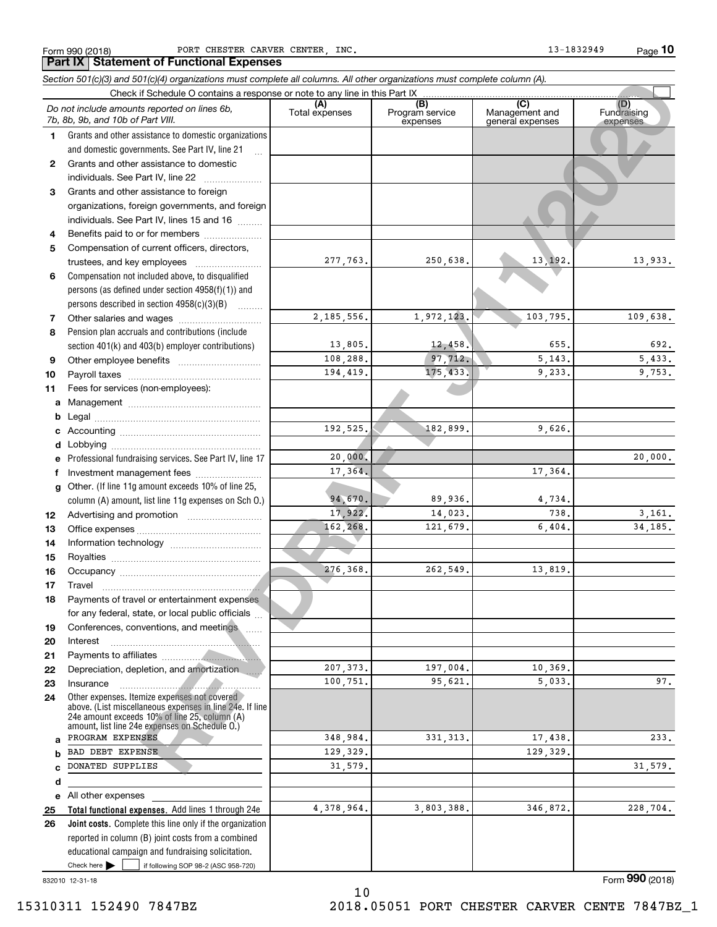**Part IX Statement of Functional Expenses**

Form 990 (2018) PORT CHESTER CARVER CENTER,INC. 13-1832949 Page

**10**

|              | Section 501(c)(3) and 501(c)(4) organizations must complete all columns. All other organizations must complete column (A).                                                                                                                                          |                |                                    |                                           |                                |
|--------------|---------------------------------------------------------------------------------------------------------------------------------------------------------------------------------------------------------------------------------------------------------------------|----------------|------------------------------------|-------------------------------------------|--------------------------------|
|              | Check if Schedule O contains a response or note to any line in this Part IX                                                                                                                                                                                         |                |                                    |                                           |                                |
|              | Do not include amounts reported on lines 6b,<br>7b, 8b, 9b, and 10b of Part VIII.                                                                                                                                                                                   | Total expenses | (B)<br>Program service<br>expenses | (C)<br>Management and<br>general expenses | (D)<br>Fundraising<br>expenses |
| 1.           | Grants and other assistance to domestic organizations                                                                                                                                                                                                               |                |                                    |                                           |                                |
|              | and domestic governments. See Part IV, line 21                                                                                                                                                                                                                      |                |                                    |                                           |                                |
| $\mathbf{2}$ | Grants and other assistance to domestic                                                                                                                                                                                                                             |                |                                    |                                           |                                |
|              | individuals. See Part IV, line 22<br>and a complete the complete state of the state of the state of the state of the state of the state of the state of the state of the state of the state of the state of the state of the state of the state of the state of the |                |                                    |                                           |                                |
| 3            | Grants and other assistance to foreign                                                                                                                                                                                                                              |                |                                    |                                           |                                |
|              | organizations, foreign governments, and foreign                                                                                                                                                                                                                     |                |                                    |                                           |                                |
|              | individuals. See Part IV, lines 15 and 16                                                                                                                                                                                                                           |                |                                    |                                           |                                |
| 4            | Benefits paid to or for members                                                                                                                                                                                                                                     |                |                                    |                                           |                                |
| 5            | Compensation of current officers, directors,                                                                                                                                                                                                                        |                |                                    |                                           |                                |
|              | trustees, and key employees                                                                                                                                                                                                                                         | 277,763.       | 250,638.                           | 13, 192.                                  | 13,933.                        |
| 6            | Compensation not included above, to disqualified                                                                                                                                                                                                                    |                |                                    |                                           |                                |
|              | persons (as defined under section 4958(f)(1)) and                                                                                                                                                                                                                   |                |                                    |                                           |                                |
|              | persons described in section 4958(c)(3)(B)                                                                                                                                                                                                                          |                |                                    |                                           |                                |
| 7            |                                                                                                                                                                                                                                                                     | 2, 185, 556.   | 1,972,123.                         | 103,795.                                  | 109,638.                       |
| 8            | Pension plan accruals and contributions (include                                                                                                                                                                                                                    |                |                                    |                                           |                                |
|              | section 401(k) and 403(b) employer contributions)                                                                                                                                                                                                                   | 13,805.        | 12,458.                            | 655.                                      | 692.                           |
| 9            |                                                                                                                                                                                                                                                                     | 108,288.       | 97,712.                            | 5, 143.                                   | 5,433.                         |
| 10           |                                                                                                                                                                                                                                                                     | 194,419.       | 175,433.                           | 9,233.                                    | 9,753.                         |
| 11           | Fees for services (non-employees):                                                                                                                                                                                                                                  |                |                                    |                                           |                                |
| а            |                                                                                                                                                                                                                                                                     |                |                                    |                                           |                                |
| b            |                                                                                                                                                                                                                                                                     |                |                                    |                                           |                                |
| с            |                                                                                                                                                                                                                                                                     | 192,525.       | 182,899.                           | 9,626.                                    |                                |
| d            |                                                                                                                                                                                                                                                                     |                |                                    |                                           |                                |
|              | Professional fundraising services. See Part IV, line 17                                                                                                                                                                                                             | 20,000.        |                                    |                                           | 20,000.                        |
| f            | Investment management fees                                                                                                                                                                                                                                          | 17,364.        |                                    | 17,364.                                   |                                |
| g            | Other. (If line 11g amount exceeds 10% of line 25,                                                                                                                                                                                                                  |                |                                    |                                           |                                |
|              | column (A) amount, list line 11g expenses on Sch O.)                                                                                                                                                                                                                | 94,670.        | 89,936.                            | 4,734.                                    |                                |
| 12           |                                                                                                                                                                                                                                                                     | 17,922.        | 14,023.                            | 738.                                      | 3,161.                         |
| 13           |                                                                                                                                                                                                                                                                     | 162,268.       | 121,679.                           | 6,404.                                    | 34,185.                        |
| 14           |                                                                                                                                                                                                                                                                     |                |                                    |                                           |                                |
| 15           |                                                                                                                                                                                                                                                                     |                |                                    |                                           |                                |
| 16           |                                                                                                                                                                                                                                                                     | 276,368.       | 262,549.                           | 13,819.                                   |                                |
| 17           |                                                                                                                                                                                                                                                                     |                |                                    |                                           |                                |
| 18           | Payments of travel or entertainment expenses                                                                                                                                                                                                                        |                |                                    |                                           |                                |
|              | for any federal, state, or local public officials                                                                                                                                                                                                                   |                |                                    |                                           |                                |
| 19           | Conferences, conventions, and meetings                                                                                                                                                                                                                              |                |                                    |                                           |                                |
| 20           | Interest                                                                                                                                                                                                                                                            |                |                                    |                                           |                                |
| 21           |                                                                                                                                                                                                                                                                     |                |                                    |                                           |                                |
| 22           | Depreciation, depletion, and amortization                                                                                                                                                                                                                           | 207, 373.      | 197,004.                           | 10,369.                                   |                                |
| 23           | Insurance                                                                                                                                                                                                                                                           | 100,751.       | 95,621.                            | 5,033.                                    | 97.                            |
| 24           | Other expenses. Itemize expenses not covered<br>above. (List miscellaneous expenses in line 24e. If line<br>24e amount exceeds 10% of line 25, column (A)<br>amount, list line 24e expenses on Schedule O.)                                                         |                |                                    |                                           |                                |
| a            | PROGRAM EXPENSES                                                                                                                                                                                                                                                    | 348,984.       | 331, 313.                          | 17,438.                                   | 233.                           |
| b            | BAD DEBT EXPENSE                                                                                                                                                                                                                                                    | 129,329.       |                                    | 129,329.                                  |                                |
| C            | DONATED SUPPLIES                                                                                                                                                                                                                                                    | 31,579.        |                                    |                                           | 31,579.                        |
| d            |                                                                                                                                                                                                                                                                     |                |                                    |                                           |                                |
| е            | All other expenses                                                                                                                                                                                                                                                  |                |                                    |                                           |                                |
| 25           | Total functional expenses. Add lines 1 through 24e                                                                                                                                                                                                                  | 4,378,964.     | 3,803,388.                         | 346,872.                                  | 228,704.                       |
| 26           | Joint costs. Complete this line only if the organization                                                                                                                                                                                                            |                |                                    |                                           |                                |
|              | reported in column (B) joint costs from a combined                                                                                                                                                                                                                  |                |                                    |                                           |                                |
|              | educational campaign and fundraising solicitation.                                                                                                                                                                                                                  |                |                                    |                                           |                                |
|              | Check here $\blacktriangleright$<br>if following SOP 98-2 (ASC 958-720)                                                                                                                                                                                             |                |                                    |                                           |                                |

10

832010 12-31-18

Form (2018) **990**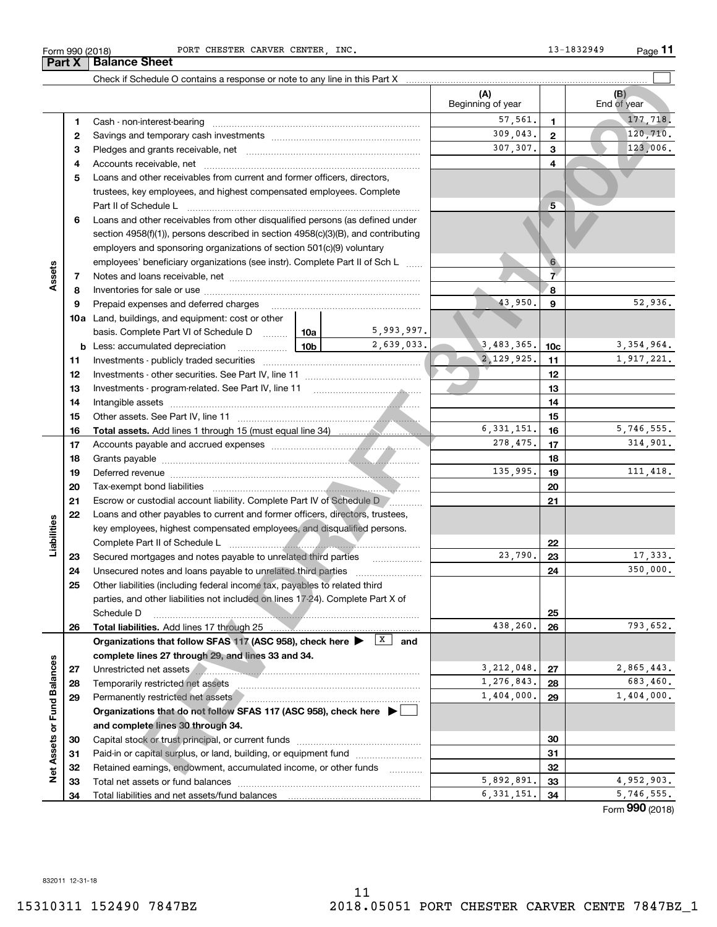# Form 990 (2018) PORT CHESTER CARVER CENTER,INC. 13-1832949 Page

Check if Schedule O contains a response or note to any line in this Part X

|                             |              | Check if Schedule O contains a response or note to any line in this Part X                                                 |            | (A)               |                 | (B)          |
|-----------------------------|--------------|----------------------------------------------------------------------------------------------------------------------------|------------|-------------------|-----------------|--------------|
|                             |              |                                                                                                                            |            | Beginning of year |                 | End of year  |
|                             | 1            | Cash - non-interest-bearing                                                                                                |            | 57,561.           | $\mathbf{1}$    | 177,718.     |
|                             | $\mathbf{2}$ |                                                                                                                            |            | 309,043.          | 2               | 120, 710.    |
|                             | з            |                                                                                                                            |            | 307.307.          | 3               | 123,006.     |
|                             | 4            | Accounts receivable, net                                                                                                   |            |                   | 4               |              |
|                             | 5            | Loans and other receivables from current and former officers, directors,                                                   |            |                   |                 |              |
|                             |              | trustees, key employees, and highest compensated employees. Complete                                                       |            |                   |                 |              |
|                             |              | Part II of Schedule L                                                                                                      |            |                   | $5\phantom{.0}$ |              |
|                             | 6            | Loans and other receivables from other disqualified persons (as defined under                                              |            |                   |                 |              |
|                             |              | section 4958(f)(1)), persons described in section 4958(c)(3)(B), and contributing                                          |            |                   |                 |              |
|                             |              | employers and sponsoring organizations of section 501(c)(9) voluntary                                                      |            |                   |                 |              |
|                             |              | employees' beneficiary organizations (see instr). Complete Part II of Sch L                                                |            |                   | 6               |              |
| Assets                      | 7            |                                                                                                                            |            |                   | $\overline{7}$  |              |
|                             | 8            |                                                                                                                            |            |                   | 8               |              |
|                             | 9            | Prepaid expenses and deferred charges                                                                                      |            | 43,950.           | 9               | 52,936.      |
|                             |              | <b>10a</b> Land, buildings, and equipment: cost or other                                                                   |            |                   |                 |              |
|                             |              | basis. Complete Part VI of Schedule D  10a                                                                                 | 5,993,997. |                   |                 |              |
|                             |              | $\frac{10b}{2}$<br><b>b</b> Less: accumulated depreciation                                                                 | 2,639,033. | 3,483,365.        | 10c             | 3, 354, 964. |
|                             | 11           |                                                                                                                            |            | 2, 129, 925.      | 11              | 1,917,221.   |
|                             | 12           |                                                                                                                            |            |                   | 12              |              |
|                             | 13           |                                                                                                                            |            |                   | 13              |              |
|                             | 14           |                                                                                                                            |            |                   | 14              |              |
|                             | 15           |                                                                                                                            |            |                   | 15              |              |
|                             | 16           |                                                                                                                            |            | 6, 331, 151.      | 16              | 5,746,555.   |
|                             | 17           |                                                                                                                            |            | 278,475.          | 17              | 314,901.     |
|                             | 18           |                                                                                                                            |            |                   | 18              |              |
|                             | 19           |                                                                                                                            |            | 135,995.          | 19              | 111,418.     |
|                             | 20           |                                                                                                                            |            |                   | 20              |              |
|                             | 21           | Escrow or custodial account liability. Complete Part IV of Schedule D [1, 2, 2006]                                         |            |                   | 21              |              |
|                             | 22           | Loans and other payables to current and former officers, directors, trustees,                                              |            |                   |                 |              |
| Liabilities                 |              | key employees, highest compensated employees, and disqualified persons.                                                    |            |                   |                 |              |
|                             |              | Complete Part II of Schedule L                                                                                             |            |                   | 22              |              |
|                             | 23           | Secured mortgages and notes payable to unrelated third parties                                                             |            | 23,790.           | 23              | 17,333.      |
|                             | 24           | Unsecured notes and loans payable to unrelated third parties                                                               |            |                   | 24              | 350,000.     |
|                             | 25           | Other liabilities (including federal income tax, payables to related third                                                 |            |                   |                 |              |
|                             |              | parties, and other liabilities not included on lines 17-24). Complete Part X of                                            |            |                   |                 |              |
|                             |              | Schedule D                                                                                                                 |            | 438,260.          | 25              | 793,652.     |
|                             | 26           | <b>Total liabilities.</b> Add lines 17 through 25                                                                          | X          |                   | 26              |              |
|                             |              | Organizations that follow SFAS 117 (ASC 958), check here >                                                                 | and        |                   |                 |              |
|                             |              | complete lines 27 through 29, and lines 33 and 34.                                                                         |            | 3, 212, 048.      |                 | 2,865,443.   |
|                             | 27           | Unrestricted net assets<br>Temporarily restricted net assets                                                               |            | 1,276,843.        | 27<br>28        | 683,460.     |
|                             | 28<br>29     |                                                                                                                            |            | 1,404,000.        | 29              | 1,404,000.   |
| Net Assets or Fund Balances |              | Permanently restricted net assets<br>Organizations that do not follow SFAS 117 (ASC 958), check here $\blacktriangleright$ |            |                   |                 |              |
|                             |              | and complete lines 30 through 34.                                                                                          |            |                   |                 |              |
|                             | 30           | Capital stock or trust principal, or current funds                                                                         |            |                   | 30              |              |
|                             | 31           | Paid-in or capital surplus, or land, building, or equipment fund                                                           |            |                   | 31              |              |
|                             | 32           | Retained earnings, endowment, accumulated income, or other funds                                                           |            |                   | 32              |              |
|                             | 33           |                                                                                                                            |            | 5,892,891.        | 33              | 4,952,903.   |
|                             |              |                                                                                                                            |            |                   |                 |              |

**11**

 $\mathcal{L}^{\text{max}}$ 

**Part X Balance Sheet**

11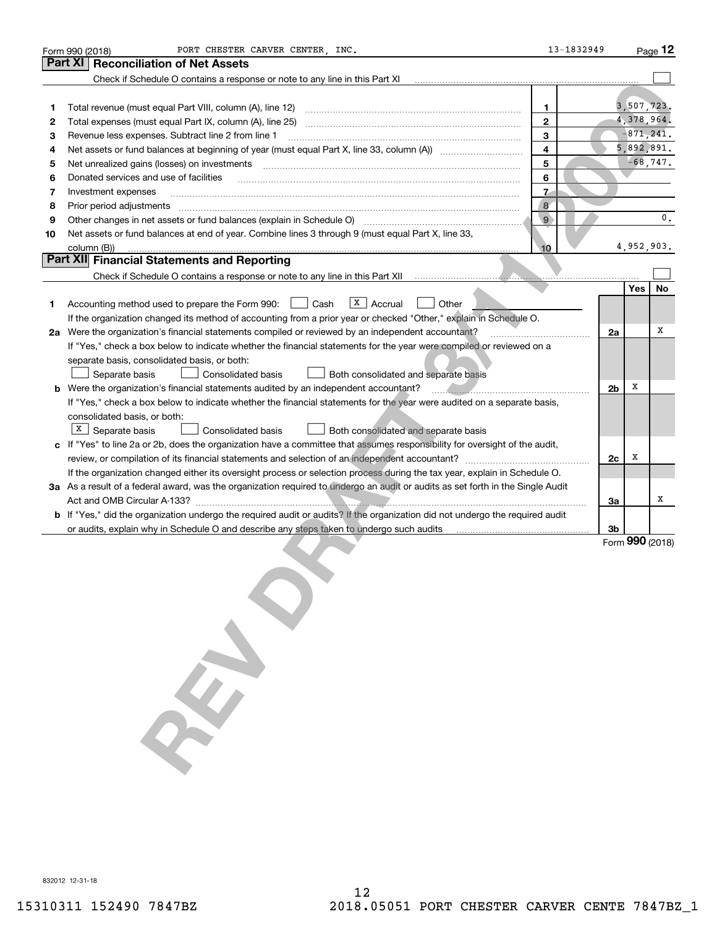| Form 990 (2018)<br>Part XI<br><b>Reconciliation of Net Assets</b><br>Check if Schedule O contains a response or note to any line in this Part XI                                                                                                    |                |            | Page 12         |
|-----------------------------------------------------------------------------------------------------------------------------------------------------------------------------------------------------------------------------------------------------|----------------|------------|-----------------|
|                                                                                                                                                                                                                                                     |                |            |                 |
|                                                                                                                                                                                                                                                     |                |            |                 |
|                                                                                                                                                                                                                                                     |                |            |                 |
| Total revenue (must equal Part VIII, column (A), line 12)<br>1<br>1                                                                                                                                                                                 |                |            | 3,507,723.      |
| $\mathbf{2}$<br>2                                                                                                                                                                                                                                   |                |            | 4,378,964.      |
| 3<br>Revenue less expenses. Subtract line 2 from line 1<br>з                                                                                                                                                                                        |                |            | $-871, 241.$    |
| 4<br>4                                                                                                                                                                                                                                              |                |            | 5,892,891.      |
| 5<br>Net unrealized gains (losses) on investments<br>5                                                                                                                                                                                              |                |            | $-68, 747.$     |
| 6<br>Donated services and use of facilities<br>6                                                                                                                                                                                                    |                |            |                 |
| $\mathbf{z}$<br>Investment expenses<br>7                                                                                                                                                                                                            |                |            |                 |
| $\mathbf{8}$<br>Prior period adjustments<br>8                                                                                                                                                                                                       |                |            |                 |
| $\overline{9}$<br>Other changes in net assets or fund balances (explain in Schedule O) [11] content changes in net assets or fund balances (explain in Schedule O) [11] content changes in net assets or fund balances (explain in Schedule O)<br>9 |                |            | $\mathbf 0$ .   |
| Net assets or fund balances at end of year. Combine lines 3 through 9 (must equal Part X, line 33,<br>10                                                                                                                                            |                |            |                 |
| column (B))<br>10                                                                                                                                                                                                                                   |                |            | 4,952,903.      |
| Part XII Financial Statements and Reporting                                                                                                                                                                                                         |                |            |                 |
|                                                                                                                                                                                                                                                     |                |            |                 |
|                                                                                                                                                                                                                                                     |                | <b>Yes</b> | <b>No</b>       |
| $ X $ Accrual<br>Accounting method used to prepare the Form 990: <u>[</u> Cash<br>Other<br>1                                                                                                                                                        |                |            |                 |
| If the organization changed its method of accounting from a prior year or checked "Other," explain in Schedule O.                                                                                                                                   |                |            |                 |
| 2a Were the organization's financial statements compiled or reviewed by an independent accountant?                                                                                                                                                  | 2a             |            | x               |
| If "Yes," check a box below to indicate whether the financial statements for the year were compiled or reviewed on a                                                                                                                                |                |            |                 |
| separate basis, consolidated basis, or both:                                                                                                                                                                                                        |                |            |                 |
| Consolidated basis<br>Both consolidated and separate basis<br>Separate basis                                                                                                                                                                        |                |            |                 |
| <b>b</b> Were the organization's financial statements audited by an independent accountant?                                                                                                                                                         | 2 <sub>b</sub> | х          |                 |
| If "Yes," check a box below to indicate whether the financial statements for the year were audited on a separate basis,                                                                                                                             |                |            |                 |
| consolidated basis, or both:                                                                                                                                                                                                                        |                |            |                 |
| $X$ Separate basis<br>Consolidated basis<br>Both consolidated and separate basis                                                                                                                                                                    |                |            |                 |
| c If "Yes" to line 2a or 2b, does the organization have a committee that assumes responsibility for oversight of the audit,                                                                                                                         |                |            |                 |
| review, or compilation of its financial statements and selection of an independent accountant?                                                                                                                                                      | 2c             | x          |                 |
| If the organization changed either its oversight process or selection process during the tax year, explain in Schedule O.                                                                                                                           |                |            |                 |
| 3a As a result of a federal award, was the organization required to undergo an audit or audits as set forth in the Single Audit                                                                                                                     |                |            |                 |
|                                                                                                                                                                                                                                                     | 3a             |            | х               |
| <b>b</b> If "Yes," did the organization undergo the required audit or audits? If the organization did not undergo the required audit                                                                                                                |                |            |                 |
| or audits, explain why in Schedule O and describe any steps taken to undergo such audits                                                                                                                                                            | Зb             |            |                 |
|                                                                                                                                                                                                                                                     |                |            | Form 990 (2018) |

**REV DRAFT**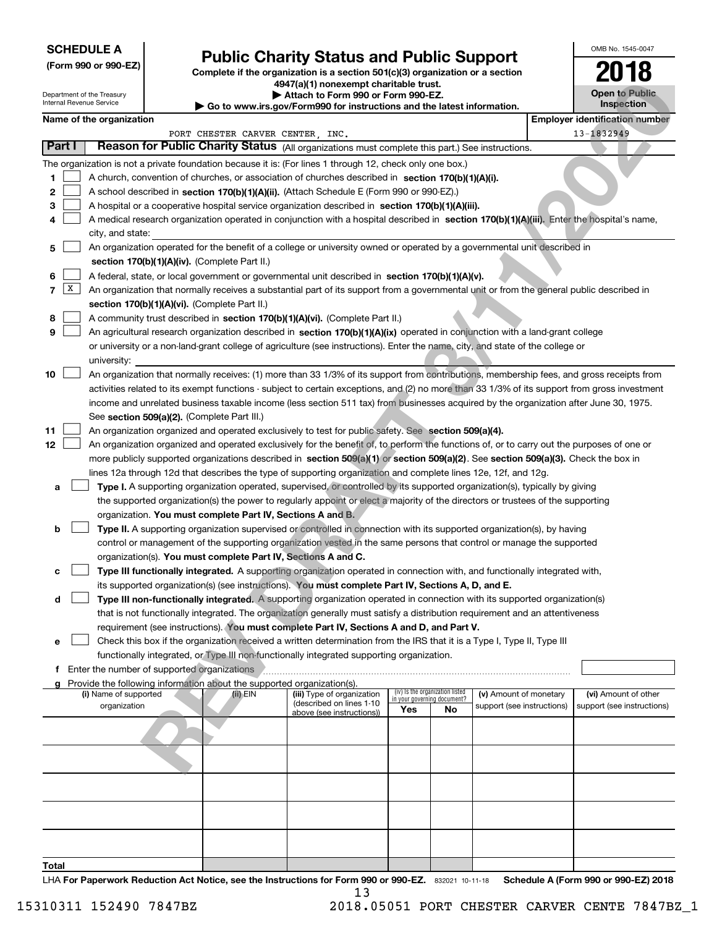# **SCHEDULE A**

**(Form 990 or 990-EZ)**

# **Public Charity Status and Public Support**

**Complete if the organization is a section 501(c)(3) organization or a section 4947(a)(1) nonexempt charitable trust.**

|  |  |  | Attach to Form 990 or Form 990-EZ. |  |  |
|--|--|--|------------------------------------|--|--|
|  |  |  |                                    |  |  |

| OMB No 1545-0047                    |
|-------------------------------------|
| 2018                                |
| <b>Open to Public</b><br>Inspection |

# **Name of the organization Employer identification number Employer identification number**

|                                                                                                           |              |                                                                                                                           | 4947(a)(1) nonexempt charitable trust. |                                                                                    |                                                                                                                                               |     |                                 |                            |                                       | LV IV                               |  |  |
|-----------------------------------------------------------------------------------------------------------|--------------|---------------------------------------------------------------------------------------------------------------------------|----------------------------------------|------------------------------------------------------------------------------------|-----------------------------------------------------------------------------------------------------------------------------------------------|-----|---------------------------------|----------------------------|---------------------------------------|-------------------------------------|--|--|
| Department of the Treasury<br>Internal Revenue Service                                                    |              |                                                                                                                           |                                        | Attach to Form 990 or Form 990-EZ.                                                 |                                                                                                                                               |     |                                 |                            |                                       | <b>Open to Public</b><br>Inspection |  |  |
|                                                                                                           |              |                                                                                                                           |                                        |                                                                                    | Go to www.irs.gov/Form990 for instructions and the latest information.                                                                        |     |                                 |                            |                                       |                                     |  |  |
|                                                                                                           |              | Name of the organization                                                                                                  |                                        |                                                                                    |                                                                                                                                               |     |                                 |                            | <b>Employer identification number</b> |                                     |  |  |
|                                                                                                           |              |                                                                                                                           |                                        | PORT CHESTER CARVER CENTER, INC.                                                   |                                                                                                                                               |     |                                 |                            |                                       | 13-1832949                          |  |  |
| Part I<br>Reason for Public Charity Status (All organizations must complete this part.) See instructions. |              |                                                                                                                           |                                        |                                                                                    |                                                                                                                                               |     |                                 |                            |                                       |                                     |  |  |
|                                                                                                           |              |                                                                                                                           |                                        |                                                                                    | The organization is not a private foundation because it is: (For lines 1 through 12, check only one box.)                                     |     |                                 |                            |                                       |                                     |  |  |
| 1                                                                                                         |              | A church, convention of churches, or association of churches described in section 170(b)(1)(A)(i).                        |                                        |                                                                                    |                                                                                                                                               |     |                                 |                            |                                       |                                     |  |  |
| 2                                                                                                         |              | A school described in section 170(b)(1)(A)(ii). (Attach Schedule E (Form 990 or 990-EZ).)                                 |                                        |                                                                                    |                                                                                                                                               |     |                                 |                            |                                       |                                     |  |  |
| 3                                                                                                         |              |                                                                                                                           |                                        |                                                                                    | A hospital or a cooperative hospital service organization described in section 170(b)(1)(A)(iii).                                             |     |                                 |                            |                                       |                                     |  |  |
| 4                                                                                                         |              |                                                                                                                           |                                        |                                                                                    | A medical research organization operated in conjunction with a hospital described in section 170(b)(1)(A)(iii). Enter the hospital's name,    |     |                                 |                            |                                       |                                     |  |  |
|                                                                                                           |              | city, and state:                                                                                                          |                                        |                                                                                    |                                                                                                                                               |     |                                 |                            |                                       |                                     |  |  |
| 5                                                                                                         |              | An organization operated for the benefit of a college or university owned or operated by a governmental unit described in |                                        |                                                                                    |                                                                                                                                               |     |                                 |                            |                                       |                                     |  |  |
|                                                                                                           |              |                                                                                                                           |                                        | section 170(b)(1)(A)(iv). (Complete Part II.)                                      |                                                                                                                                               |     |                                 |                            |                                       |                                     |  |  |
| 6                                                                                                         |              |                                                                                                                           |                                        |                                                                                    | A federal, state, or local government or governmental unit described in section 170(b)(1)(A)(v).                                              |     |                                 |                            |                                       |                                     |  |  |
| 7                                                                                                         | $\mathbf{X}$ |                                                                                                                           |                                        |                                                                                    | An organization that normally receives a substantial part of its support from a governmental unit or from the general public described in     |     |                                 |                            |                                       |                                     |  |  |
|                                                                                                           |              |                                                                                                                           |                                        | section 170(b)(1)(A)(vi). (Complete Part II.)                                      |                                                                                                                                               |     |                                 |                            |                                       |                                     |  |  |
| 8                                                                                                         |              |                                                                                                                           |                                        |                                                                                    | A community trust described in section 170(b)(1)(A)(vi). (Complete Part II.)                                                                  |     |                                 |                            |                                       |                                     |  |  |
| 9                                                                                                         |              |                                                                                                                           |                                        |                                                                                    | An agricultural research organization described in section 170(b)(1)(A)(ix) operated in conjunction with a land-grant college                 |     |                                 |                            |                                       |                                     |  |  |
|                                                                                                           |              |                                                                                                                           |                                        |                                                                                    | or university or a non-land-grant college of agriculture (see instructions). Enter the name, city, and state of the college or                |     |                                 |                            |                                       |                                     |  |  |
|                                                                                                           |              | university:                                                                                                               |                                        |                                                                                    |                                                                                                                                               |     |                                 |                            |                                       |                                     |  |  |
| 10                                                                                                        |              |                                                                                                                           |                                        |                                                                                    | An organization that normally receives: (1) more than 33 1/3% of its support from contributions, membership fees, and gross receipts from     |     |                                 |                            |                                       |                                     |  |  |
|                                                                                                           |              |                                                                                                                           |                                        |                                                                                    | activities related to its exempt functions - subject to certain exceptions, and (2) no more than 33 1/3% of its support from gross investment |     |                                 |                            |                                       |                                     |  |  |
|                                                                                                           |              |                                                                                                                           |                                        |                                                                                    | income and unrelated business taxable income (less section 511 tax) from businesses acquired by the organization after June 30, 1975.         |     |                                 |                            |                                       |                                     |  |  |
|                                                                                                           |              |                                                                                                                           |                                        | See section 509(a)(2). (Complete Part III.)                                        |                                                                                                                                               |     |                                 |                            |                                       |                                     |  |  |
| 11                                                                                                        |              |                                                                                                                           |                                        |                                                                                    | An organization organized and operated exclusively to test for public safety. See section 509(a)(4).                                          |     |                                 |                            |                                       |                                     |  |  |
| 12                                                                                                        |              |                                                                                                                           |                                        |                                                                                    | An organization organized and operated exclusively for the benefit of, to perform the functions of, or to carry out the purposes of one or    |     |                                 |                            |                                       |                                     |  |  |
|                                                                                                           |              |                                                                                                                           |                                        |                                                                                    | more publicly supported organizations described in section 509(a)(1) or section 509(a)(2). See section 509(a)(3). Check the box in            |     |                                 |                            |                                       |                                     |  |  |
|                                                                                                           |              |                                                                                                                           |                                        |                                                                                    | lines 12a through 12d that describes the type of supporting organization and complete lines 12e, 12f, and 12g.                                |     |                                 |                            |                                       |                                     |  |  |
|                                                                                                           |              |                                                                                                                           |                                        |                                                                                    | Type I. A supporting organization operated, supervised, or controlled by its supported organization(s), typically by giving                   |     |                                 |                            |                                       |                                     |  |  |
| a                                                                                                         |              |                                                                                                                           |                                        |                                                                                    |                                                                                                                                               |     |                                 |                            |                                       |                                     |  |  |
|                                                                                                           |              |                                                                                                                           |                                        |                                                                                    | the supported organization(s) the power to regularly appoint or elect a majority of the directors or trustees of the supporting               |     |                                 |                            |                                       |                                     |  |  |
|                                                                                                           |              |                                                                                                                           |                                        | organization. You must complete Part IV, Sections A and B.                         |                                                                                                                                               |     |                                 |                            |                                       |                                     |  |  |
| b                                                                                                         |              |                                                                                                                           |                                        |                                                                                    | Type II. A supporting organization supervised or controlled in connection with its supported organization(s), by having                       |     |                                 |                            |                                       |                                     |  |  |
|                                                                                                           |              |                                                                                                                           |                                        |                                                                                    | control or management of the supporting organization vested in the same persons that control or manage the supported                          |     |                                 |                            |                                       |                                     |  |  |
|                                                                                                           |              |                                                                                                                           |                                        | organization(s). You must complete Part IV, Sections A and C.                      |                                                                                                                                               |     |                                 |                            |                                       |                                     |  |  |
| с                                                                                                         |              |                                                                                                                           |                                        |                                                                                    | Type III functionally integrated. A supporting organization operated in connection with, and functionally integrated with,                    |     |                                 |                            |                                       |                                     |  |  |
|                                                                                                           |              |                                                                                                                           |                                        |                                                                                    | its supported organization(s) (see instructions). You must complete Part IV, Sections A, D, and E.                                            |     |                                 |                            |                                       |                                     |  |  |
| d                                                                                                         |              |                                                                                                                           |                                        |                                                                                    | Type III non-functionally integrated. A supporting organization operated in connection with its supported organization(s)                     |     |                                 |                            |                                       |                                     |  |  |
|                                                                                                           |              |                                                                                                                           |                                        |                                                                                    | that is not functionally integrated. The organization generally must satisfy a distribution requirement and an attentiveness                  |     |                                 |                            |                                       |                                     |  |  |
|                                                                                                           |              |                                                                                                                           |                                        |                                                                                    | requirement (see instructions). You must complete Part IV, Sections A and D, and Part V.                                                      |     |                                 |                            |                                       |                                     |  |  |
| е                                                                                                         |              |                                                                                                                           |                                        |                                                                                    | Check this box if the organization received a written determination from the IRS that it is a Type I, Type II, Type III                       |     |                                 |                            |                                       |                                     |  |  |
|                                                                                                           |              |                                                                                                                           |                                        |                                                                                    | functionally integrated, or Type III non-functionally integrated supporting organization.                                                     |     |                                 |                            |                                       |                                     |  |  |
|                                                                                                           |              | f Enter the number of supported organizations                                                                             |                                        |                                                                                    |                                                                                                                                               |     |                                 |                            |                                       |                                     |  |  |
|                                                                                                           |              | (i) Name of supported                                                                                                     |                                        | Provide the following information about the supported organization(s).<br>(ii) EIN | (iii) Type of organization                                                                                                                    |     | (iv) Is the organization listed | (v) Amount of monetary     |                                       | (vi) Amount of other                |  |  |
|                                                                                                           |              | organization                                                                                                              |                                        |                                                                                    | (described on lines 1-10                                                                                                                      |     | in your governing document?     | support (see instructions) |                                       | support (see instructions)          |  |  |
|                                                                                                           |              |                                                                                                                           |                                        |                                                                                    | above (see instructions))                                                                                                                     | Yes | No                              |                            |                                       |                                     |  |  |
|                                                                                                           |              |                                                                                                                           |                                        |                                                                                    |                                                                                                                                               |     |                                 |                            |                                       |                                     |  |  |
|                                                                                                           |              |                                                                                                                           |                                        |                                                                                    |                                                                                                                                               |     |                                 |                            |                                       |                                     |  |  |
|                                                                                                           |              |                                                                                                                           |                                        |                                                                                    |                                                                                                                                               |     |                                 |                            |                                       |                                     |  |  |
|                                                                                                           |              |                                                                                                                           |                                        |                                                                                    |                                                                                                                                               |     |                                 |                            |                                       |                                     |  |  |
|                                                                                                           |              |                                                                                                                           |                                        |                                                                                    |                                                                                                                                               |     |                                 |                            |                                       |                                     |  |  |
|                                                                                                           |              |                                                                                                                           |                                        |                                                                                    |                                                                                                                                               |     |                                 |                            |                                       |                                     |  |  |
|                                                                                                           |              |                                                                                                                           |                                        |                                                                                    |                                                                                                                                               |     |                                 |                            |                                       |                                     |  |  |
|                                                                                                           |              |                                                                                                                           |                                        |                                                                                    |                                                                                                                                               |     |                                 |                            |                                       |                                     |  |  |
|                                                                                                           |              |                                                                                                                           |                                        |                                                                                    |                                                                                                                                               |     |                                 |                            |                                       |                                     |  |  |
|                                                                                                           |              |                                                                                                                           |                                        |                                                                                    |                                                                                                                                               |     |                                 |                            |                                       |                                     |  |  |
| Total                                                                                                     |              |                                                                                                                           |                                        |                                                                                    |                                                                                                                                               |     |                                 |                            |                                       |                                     |  |  |

LHA For Paperwork Reduction Act Notice, see the Instructions for Form 990 or 990-EZ. 832021 10-11-18 Schedule A (Form 990 or 990-EZ) 2018 13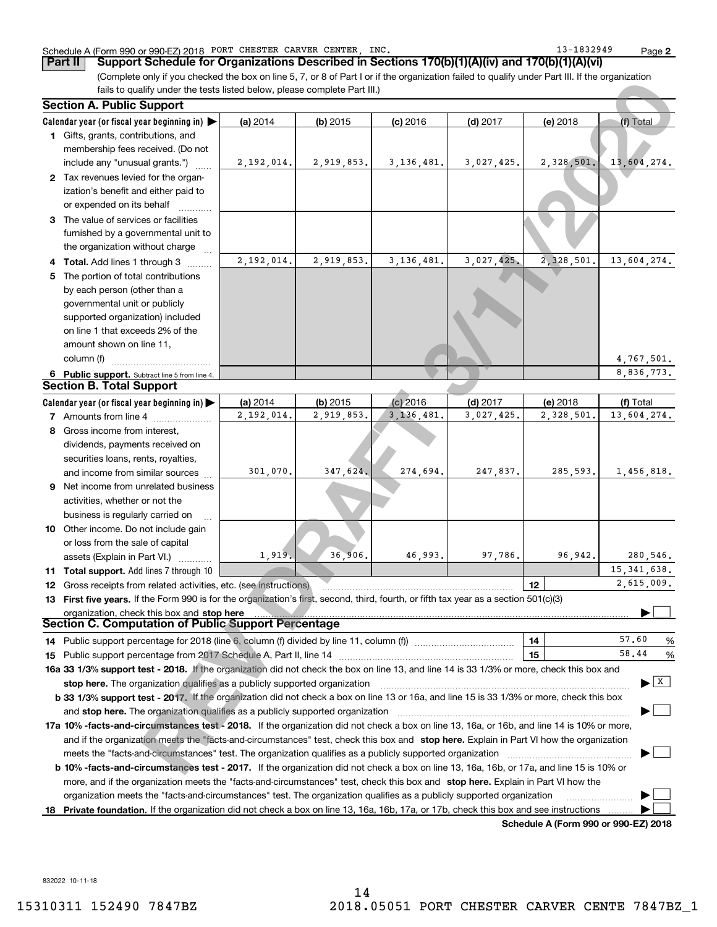# Schedule A (Form 990 or 990-EZ) 2018 Page PORT CHESTER CARVER CENTER, INC. 13-1832949

(Complete only if you checked the box on line 5, 7, or 8 of Part I or if the organization failed to qualify under Part III. If the organization fails to qualify under the tests listed below, please complete Part III.) **Part II Support Schedule for Organizations Described in Sections 170(b)(1)(A)(iv) and 170(b)(1)(A)(vi)**

| (Complete only in you criecked the box on line 5, 7, 6) o or Part For in the organization railed to qualify driver Part in. In the organization<br>fails to qualify under the tests listed below, please complete Part III.) |            |            |              |            |            |                        |
|------------------------------------------------------------------------------------------------------------------------------------------------------------------------------------------------------------------------------|------------|------------|--------------|------------|------------|------------------------|
| <b>Section A. Public Support</b>                                                                                                                                                                                             |            |            |              |            |            |                        |
| Calendar year (or fiscal year beginning in) $\blacktriangleright$                                                                                                                                                            | (a) 2014   | $(b)$ 2015 | $(c)$ 2016   | $(d)$ 2017 | (e) 2018   | (f) Total              |
| 1 Gifts, grants, contributions, and                                                                                                                                                                                          |            |            |              |            |            |                        |
| membership fees received. (Do not                                                                                                                                                                                            |            |            |              |            |            |                        |
| include any "unusual grants.")                                                                                                                                                                                               | 2,192,014. | 2,919,853. | 3, 136, 481. | 3,027,425. | 2,328,501. | 13,604,274.            |
| 2 Tax revenues levied for the organ-                                                                                                                                                                                         |            |            |              |            |            |                        |
| ization's benefit and either paid to                                                                                                                                                                                         |            |            |              |            |            |                        |
| or expended on its behalf                                                                                                                                                                                                    |            |            |              |            |            |                        |
| 3 The value of services or facilities                                                                                                                                                                                        |            |            |              |            |            |                        |
| furnished by a governmental unit to                                                                                                                                                                                          |            |            |              |            |            |                        |
| the organization without charge                                                                                                                                                                                              |            |            |              |            |            |                        |
| 4 Total. Add lines 1 through 3                                                                                                                                                                                               | 2,192,014. | 2,919,853. | 3,136,481.   | 3,027,425. | 2,328,501. | 13,604,274.            |
| 5 The portion of total contributions                                                                                                                                                                                         |            |            |              |            |            |                        |
| by each person (other than a                                                                                                                                                                                                 |            |            |              |            |            |                        |
| governmental unit or publicly                                                                                                                                                                                                |            |            |              |            |            |                        |
| supported organization) included                                                                                                                                                                                             |            |            |              |            |            |                        |
| on line 1 that exceeds 2% of the                                                                                                                                                                                             |            |            |              |            |            |                        |
| amount shown on line 11,                                                                                                                                                                                                     |            |            |              |            |            |                        |
| column (f)                                                                                                                                                                                                                   |            |            |              |            |            | 4,767,501.             |
| 6 Public support. Subtract line 5 from line 4.                                                                                                                                                                               |            |            |              |            |            | 8.836.773.             |
| <b>Section B. Total Support</b>                                                                                                                                                                                              |            |            |              |            |            |                        |
| Calendar year (or fiscal year beginning in) $\blacktriangleright$                                                                                                                                                            | (a) 2014   | $(b)$ 2015 | $(c)$ 2016   | $(d)$ 2017 | (e) 2018   | (f) Total              |
| 7 Amounts from line 4                                                                                                                                                                                                        | 2,192,014. | 2,919,853. | 3, 136, 481. | 3,027,425. | 2,328,501. | 13,604,274.            |
| 8 Gross income from interest,                                                                                                                                                                                                |            |            |              |            |            |                        |
| dividends, payments received on                                                                                                                                                                                              |            |            |              |            |            |                        |
| securities loans, rents, royalties,                                                                                                                                                                                          |            |            |              |            |            |                        |
| and income from similar sources                                                                                                                                                                                              | 301,070.   | 347,624.   | 274,694.     | 247,837.   | 285,593.   | 1,456,818.             |
| <b>9</b> Net income from unrelated business                                                                                                                                                                                  |            |            |              |            |            |                        |
| activities, whether or not the                                                                                                                                                                                               |            |            |              |            |            |                        |
| business is regularly carried on                                                                                                                                                                                             |            |            |              |            |            |                        |
| 10 Other income. Do not include gain<br>or loss from the sale of capital                                                                                                                                                     |            |            |              |            |            |                        |
| assets (Explain in Part VI.)                                                                                                                                                                                                 | 1,919.     | 36,906.    | 46,993.      | 97,786.    | 96,942.    | 280,546.               |
| 11 Total support. Add lines 7 through 10                                                                                                                                                                                     |            |            |              |            |            | 15, 341, 638.          |
| 12 Gross receipts from related activities, etc. (see instructions)                                                                                                                                                           |            |            |              |            | 12         | 2,615,009.             |
| 13 First five years. If the Form 990 is for the organization's first, second, third, fourth, or fifth tax year as a section 501(c)(3)                                                                                        |            |            |              |            |            |                        |
| organization, check this box and stop here                                                                                                                                                                                   |            |            |              |            |            |                        |
| Section C. Computation of Public Support Percentage                                                                                                                                                                          |            |            |              |            |            |                        |
|                                                                                                                                                                                                                              |            |            |              |            | 14         | 57.60<br>%             |
|                                                                                                                                                                                                                              |            |            |              |            | 15         | 58.44<br>$\frac{9}{6}$ |
| 16a 33 1/3% support test - 2018. If the organization did not check the box on line 13, and line 14 is 33 1/3% or more, check this box and                                                                                    |            |            |              |            |            |                        |
| stop here. The organization qualifies as a publicly supported organization                                                                                                                                                   |            |            |              |            |            | X                      |
| b 33 1/3% support test - 2017. If the organization did not check a box on line 13 or 16a, and line 15 is 33 1/3% or more, check this box                                                                                     |            |            |              |            |            |                        |
|                                                                                                                                                                                                                              |            |            |              |            |            |                        |
| 17a 10% -facts-and-circumstances test - 2018. If the organization did not check a box on line 13, 16a, or 16b, and line 14 is 10% or more,                                                                                   |            |            |              |            |            |                        |
| and if the organization meets the "facts-and-circumstances" test, check this box and stop here. Explain in Part VI how the organization                                                                                      |            |            |              |            |            |                        |
|                                                                                                                                                                                                                              |            |            |              |            |            |                        |
| <b>b 10% -facts-and-circumstances test - 2017.</b> If the organization did not check a box on line 13, 16a, 16b, or 17a, and line 15 is 10% or                                                                               |            |            |              |            |            |                        |
| more, and if the organization meets the "facts-and-circumstances" test, check this box and stop here. Explain in Part VI how the                                                                                             |            |            |              |            |            |                        |
| organization meets the "facts-and-circumstances" test. The organization qualifies as a publicly supported organization                                                                                                       |            |            |              |            |            |                        |
| 18 Private foundation. If the organization did not check a box on line 13, 16a, 16b, 17a, or 17b, check this box and see instructions                                                                                        |            |            |              |            |            |                        |

**Schedule A (Form 990 or 990-EZ) 2018**

832022 10-11-18

| Part II   Support Schedule for Organizations Described in Section |  |
|-------------------------------------------------------------------|--|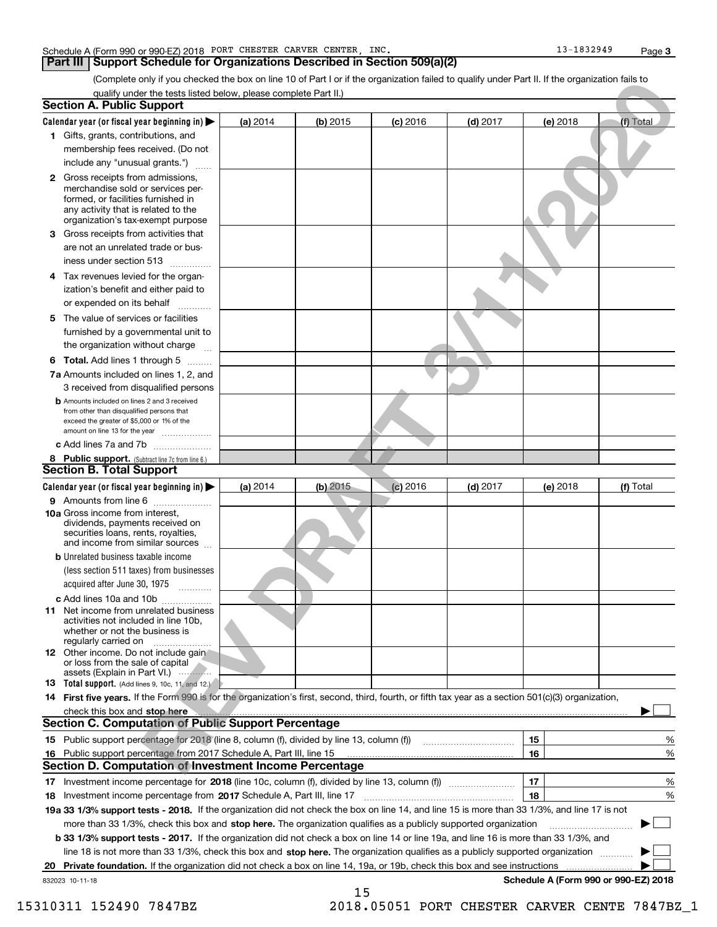### Schedule A (Form 990 or 990-EZ) 2018 Page PORT CHESTER CARVER CENTER, INC. 13-1832949

# **Part III Support Schedule for Organizations Described in Section 509(a)(2)**

(Complete only if you checked the box on line 10 of Part I or if the organization failed to qualify under Part II. If the organization fails to qualify under the tests listed below, please complete Part II.)

| (Complete only if you checked the box on line 10 of Part I or if the organization failed to qualify under Part II. If the organization fails to                                                 |          |            |            |            |                                      |                                |
|-------------------------------------------------------------------------------------------------------------------------------------------------------------------------------------------------|----------|------------|------------|------------|--------------------------------------|--------------------------------|
| qualify under the tests listed below, please complete Part II.)<br><b>Section A. Public Support</b>                                                                                             |          |            |            |            |                                      |                                |
| Calendar year (or fiscal year beginning in) $\blacktriangleright$                                                                                                                               | (a) 2014 | $(b)$ 2015 | $(c)$ 2016 | $(d)$ 2017 | (e) 2018                             | (f) Total                      |
| 1 Gifts, grants, contributions, and<br>membership fees received. (Do not<br>include any "unusual grants.")                                                                                      |          |            |            |            |                                      |                                |
| <b>2</b> Gross receipts from admissions,<br>merchandise sold or services per-<br>formed, or facilities furnished in<br>any activity that is related to the<br>organization's tax-exempt purpose |          |            |            |            |                                      |                                |
| 3 Gross receipts from activities that<br>are not an unrelated trade or bus-<br>iness under section 513                                                                                          |          |            |            |            |                                      |                                |
| 4 Tax revenues levied for the organ-<br>ization's benefit and either paid to<br>or expended on its behalf                                                                                       |          |            |            |            |                                      |                                |
| 5 The value of services or facilities<br>furnished by a governmental unit to<br>the organization without charge                                                                                 |          |            |            |            |                                      |                                |
| 6 Total. Add lines 1 through 5                                                                                                                                                                  |          |            |            |            |                                      |                                |
| 7a Amounts included on lines 1, 2, and<br>3 received from disqualified persons                                                                                                                  |          |            |            |            |                                      |                                |
| <b>b</b> Amounts included on lines 2 and 3 received<br>from other than disqualified persons that<br>exceed the greater of \$5,000 or 1% of the<br>amount on line 13 for the year                |          |            |            |            |                                      |                                |
| c Add lines 7a and 7b                                                                                                                                                                           |          |            |            |            |                                      |                                |
| 8 Public support. (Subtract line 7c from line 6.)                                                                                                                                               |          |            |            |            |                                      |                                |
| <b>Section B. Total Support</b>                                                                                                                                                                 |          |            |            |            |                                      |                                |
| Calendar year (or fiscal year beginning in)                                                                                                                                                     | (a) 2014 | $(b)$ 2015 | $(c)$ 2016 | $(d)$ 2017 | (e) 2018                             | (f) Total                      |
| 9 Amounts from line 6                                                                                                                                                                           |          |            |            |            |                                      |                                |
| .<br><b>10a</b> Gross income from interest,<br>dividends, payments received on<br>securities loans, rents, royalties,<br>and income from similar sources                                        |          |            |            |            |                                      |                                |
| <b>b</b> Unrelated business taxable income<br>(less section 511 taxes) from businesses<br>acquired after June 30, 1975                                                                          |          |            |            |            |                                      |                                |
| c Add lines 10a and 10b<br><b>11</b> Net income from unrelated business<br>activities not included in line 10b,<br>whether or not the business is<br>regularly carried on                       |          |            |            |            |                                      |                                |
| 12 Other income. Do not include gain<br>or loss from the sale of capital<br>assets (Explain in Part VI.)                                                                                        |          |            |            |            |                                      |                                |
| <b>13 Total support.</b> (Add lines 9, 10c, 11, and 12.)                                                                                                                                        |          |            |            |            |                                      |                                |
| 14 First five years. If the Form 990 is for the organization's first, second, third, fourth, or fifth tax year as a section 501(c)(3) organization,                                             |          |            |            |            |                                      |                                |
| check this box and stop here                                                                                                                                                                    |          |            |            |            |                                      |                                |
| <b>Section C. Computation of Public Support Percentage</b>                                                                                                                                      |          |            |            |            |                                      |                                |
|                                                                                                                                                                                                 |          |            |            |            | 15                                   | %                              |
| 16 Public support percentage from 2017 Schedule A, Part III, line 15                                                                                                                            |          |            |            |            | 16                                   | %                              |
| <b>Section D. Computation of Investment Income Percentage</b>                                                                                                                                   |          |            |            |            |                                      |                                |
|                                                                                                                                                                                                 |          |            |            |            | 17<br>18                             | $\frac{9}{6}$<br>$\frac{9}{6}$ |
| 19a 33 1/3% support tests - 2018. If the organization did not check the box on line 14, and line 15 is more than 33 1/3%, and line 17 is not                                                    |          |            |            |            |                                      |                                |
| more than 33 1/3%, check this box and stop here. The organization qualifies as a publicly supported organization                                                                                |          |            |            |            |                                      |                                |
| b 33 1/3% support tests - 2017. If the organization did not check a box on line 14 or line 19a, and line 16 is more than 33 1/3%, and                                                           |          |            |            |            |                                      |                                |
| line 18 is not more than 33 1/3%, check this box and stop here. The organization qualifies as a publicly supported organization                                                                 |          |            |            |            |                                      |                                |
| 20 Private foundation. If the organization did not check a box on line 14, 19a, or 19b, check this box and see instructions                                                                     |          |            |            |            |                                      |                                |
| 832023 10-11-18                                                                                                                                                                                 |          |            |            |            | Schedule A (Form 990 or 990-EZ) 2018 |                                |
|                                                                                                                                                                                                 |          | 15         |            |            |                                      |                                |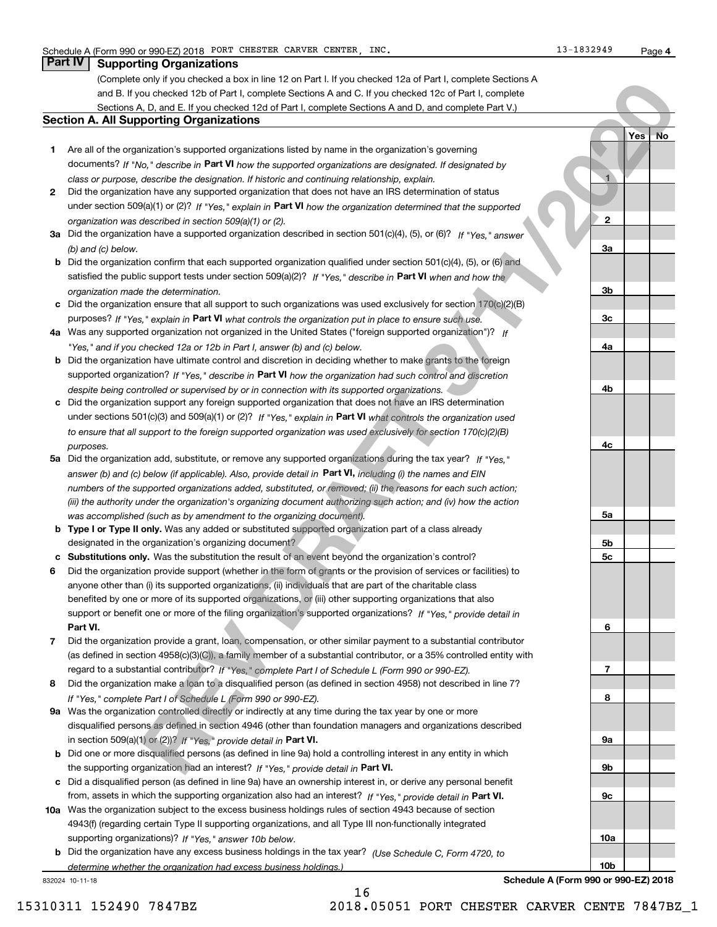**1**

**2**

**3a**

**3b**

**3c**

**4a**

**4b**

**4c**

**5a**

**5b5c**

**6**

**7**

**8**

**9a**

**9b**

**9c**

**10a**

**10b**

**Yes No**

# **Part IV Supporting Organizations**

(Complete only if you checked a box in line 12 on Part I. If you checked 12a of Part I, complete Sections A and B. If you checked 12b of Part I, complete Sections A and C. If you checked 12c of Part I, complete Sections A, D, and E. If you checked 12d of Part I, complete Sections A and D, and complete Part V.)

## **Section A. All Supporting Organizations**

- **1** Are all of the organization's supported organizations listed by name in the organization's governing documents? If "No," describe in **Part VI** how the supported organizations are designated. If designated by *class or purpose, describe the designation. If historic and continuing relationship, explain.*
- **2** Did the organization have any supported organization that does not have an IRS determination of status under section 509(a)(1) or (2)? If "Yes," explain in Part VI how the organization determined that the supported *organization was described in section 509(a)(1) or (2).*
- **3a** Did the organization have a supported organization described in section 501(c)(4), (5), or (6)? If "Yes," answer *(b) and (c) below.*
- **b** Did the organization confirm that each supported organization qualified under section 501(c)(4), (5), or (6) and satisfied the public support tests under section 509(a)(2)? If "Yes," describe in **Part VI** when and how the *organization made the determination.*
- **c**Did the organization ensure that all support to such organizations was used exclusively for section 170(c)(2)(B) purposes? If "Yes," explain in **Part VI** what controls the organization put in place to ensure such use.
- **4a***If* Was any supported organization not organized in the United States ("foreign supported organization")? *"Yes," and if you checked 12a or 12b in Part I, answer (b) and (c) below.*
- **b** Did the organization have ultimate control and discretion in deciding whether to make grants to the foreign supported organization? If "Yes," describe in **Part VI** how the organization had such control and discretion *despite being controlled or supervised by or in connection with its supported organizations.*
- **c** Did the organization support any foreign supported organization that does not have an IRS determination under sections 501(c)(3) and 509(a)(1) or (2)? If "Yes," explain in **Part VI** what controls the organization used *to ensure that all support to the foreign supported organization was used exclusively for section 170(c)(2)(B) purposes.*
- **5a***If "Yes,"* Did the organization add, substitute, or remove any supported organizations during the tax year? answer (b) and (c) below (if applicable). Also, provide detail in **Part VI,** including (i) the names and EIN *numbers of the supported organizations added, substituted, or removed; (ii) the reasons for each such action; (iii) the authority under the organization's organizing document authorizing such action; and (iv) how the action was accomplished (such as by amendment to the organizing document).*
- **b** Type I or Type II only. Was any added or substituted supported organization part of a class already designated in the organization's organizing document?
- **cSubstitutions only.**  Was the substitution the result of an event beyond the organization's control?
- **6** Did the organization provide support (whether in the form of grants or the provision of services or facilities) to **Part VI.** *If "Yes," provide detail in* support or benefit one or more of the filing organization's supported organizations? anyone other than (i) its supported organizations, (ii) individuals that are part of the charitable class benefited by one or more of its supported organizations, or (iii) other supporting organizations that also of the frequencies rates then if Or Parti. If you can collect 124 at the frequencies Section And the control of the frequencies of the control of the control of the control of the control of the control of the control of
- **7**Did the organization provide a grant, loan, compensation, or other similar payment to a substantial contributor *If "Yes," complete Part I of Schedule L (Form 990 or 990-EZ).* regard to a substantial contributor? (as defined in section 4958(c)(3)(C)), a family member of a substantial contributor, or a 35% controlled entity with
- **8** Did the organization make a loan to a disqualified person (as defined in section 4958) not described in line 7? *If "Yes," complete Part I of Schedule L (Form 990 or 990-EZ).*
- **9a** Was the organization controlled directly or indirectly at any time during the tax year by one or more in section 509(a)(1) or (2))? If "Yes," *provide detail in* <code>Part VI.</code> disqualified persons as defined in section 4946 (other than foundation managers and organizations described
- **b**the supporting organization had an interest? If "Yes," provide detail in Part VI. Did one or more disqualified persons (as defined in line 9a) hold a controlling interest in any entity in which
- **c**Did a disqualified person (as defined in line 9a) have an ownership interest in, or derive any personal benefit from, assets in which the supporting organization also had an interest? If "Yes," provide detail in P**art VI.**
- **10a** Was the organization subject to the excess business holdings rules of section 4943 because of section supporting organizations)? If "Yes," answer 10b below. 4943(f) (regarding certain Type II supporting organizations, and all Type III non-functionally integrated
- **b** Did the organization have any excess business holdings in the tax year? (Use Schedule C, Form 4720, to *determine whether the organization had excess business holdings.)*

16

832024 10-11-18

**Schedule A (Form 990 or 990-EZ) 2018**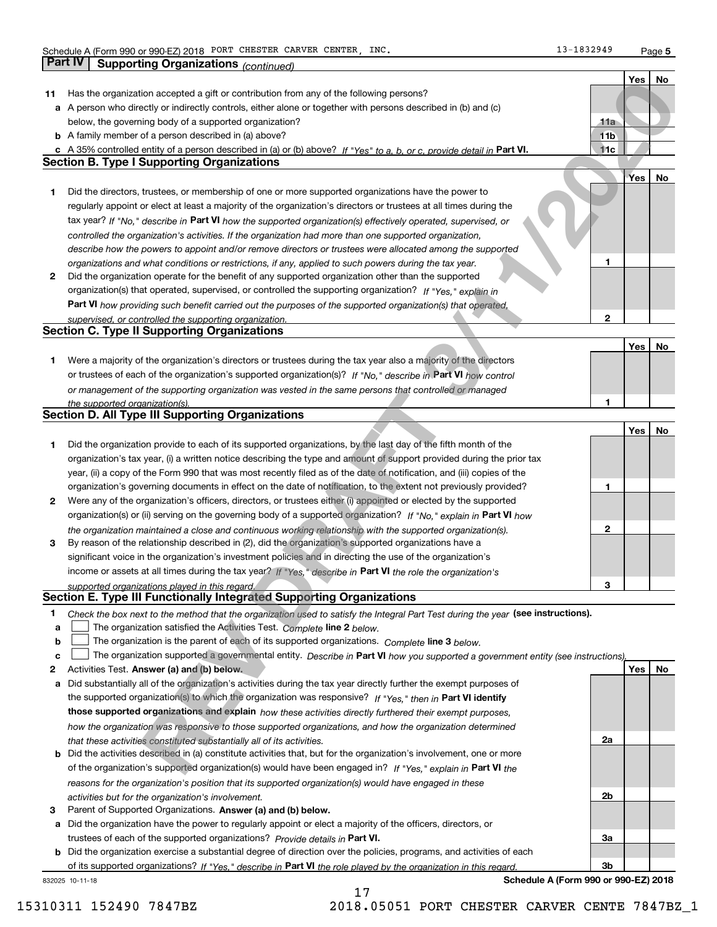**5**

|    |                                                                                                                                   |                 | Yes | No |
|----|-----------------------------------------------------------------------------------------------------------------------------------|-----------------|-----|----|
| 11 | Has the organization accepted a gift or contribution from any of the following persons?                                           |                 |     |    |
|    | a A person who directly or indirectly controls, either alone or together with persons described in (b) and (c)                    |                 |     |    |
|    | below, the governing body of a supported organization?                                                                            | 11a             |     |    |
|    | <b>b</b> A family member of a person described in (a) above?                                                                      | 11 <sub>b</sub> |     |    |
|    | c A 35% controlled entity of a person described in (a) or (b) above? If "Yes" to a, b, or c, provide detail in Part VI.           | 11c             |     |    |
|    | <b>Section B. Type I Supporting Organizations</b>                                                                                 |                 |     |    |
|    |                                                                                                                                   |                 |     |    |
|    |                                                                                                                                   |                 | Yes | No |
| 1  | Did the directors, trustees, or membership of one or more supported organizations have the power to                               |                 |     |    |
|    | regularly appoint or elect at least a majority of the organization's directors or trustees at all times during the                |                 |     |    |
|    | tax year? If "No," describe in Part VI how the supported organization(s) effectively operated, supervised, or                     |                 |     |    |
|    | controlled the organization's activities. If the organization had more than one supported organization,                           |                 |     |    |
|    | describe how the powers to appoint and/or remove directors or trustees were allocated among the supported                         |                 |     |    |
|    | organizations and what conditions or restrictions, if any, applied to such powers during the tax year.                            | 1               |     |    |
| 2  | Did the organization operate for the benefit of any supported organization other than the supported                               |                 |     |    |
|    | organization(s) that operated, supervised, or controlled the supporting organization? If "Yes," explain in                        |                 |     |    |
|    | Part VI how providing such benefit carried out the purposes of the supported organization(s) that operated,                       |                 |     |    |
|    | supervised, or controlled the supporting organization.                                                                            | $\overline{2}$  |     |    |
|    | <b>Section C. Type II Supporting Organizations</b>                                                                                |                 |     |    |
|    |                                                                                                                                   |                 | Yes | No |
|    |                                                                                                                                   |                 |     |    |
| 1  | Were a majority of the organization's directors or trustees during the tax year also a majority of the directors                  |                 |     |    |
|    | or trustees of each of the organization's supported organization(s)? If "No," describe in Part VI how control                     |                 |     |    |
|    | or management of the supporting organization was vested in the same persons that controlled or managed                            |                 |     |    |
|    | the supported organization(s).                                                                                                    | 1               |     |    |
|    | Section D. All Type III Supporting Organizations                                                                                  |                 |     |    |
|    |                                                                                                                                   |                 | Yes | No |
| 1  | Did the organization provide to each of its supported organizations, by the last day of the fifth month of the                    |                 |     |    |
|    | organization's tax year, (i) a written notice describing the type and amount of support provided during the prior tax             |                 |     |    |
|    | year, (ii) a copy of the Form 990 that was most recently filed as of the date of notification, and (iii) copies of the            |                 |     |    |
|    | organization's governing documents in effect on the date of notification, to the extent not previously provided?                  | 1               |     |    |
| 2  | Were any of the organization's officers, directors, or trustees either (i) appointed or elected by the supported                  |                 |     |    |
|    | organization(s) or (ii) serving on the governing body of a supported organization? If "No," explain in Part VI how                |                 |     |    |
|    | the organization maintained a close and continuous working relationship with the supported organization(s).                       | $\mathbf 2$     |     |    |
| 3  | By reason of the relationship described in (2), did the organization's supported organizations have a                             |                 |     |    |
|    | significant voice in the organization's investment policies and in directing the use of the organization's                        |                 |     |    |
|    | income or assets at all times during the tax year? If "Yes," describe in Part VI the role the organization's                      |                 |     |    |
|    |                                                                                                                                   | 3               |     |    |
|    | supported organizations played in this regard.<br>Section E. Type III Functionally Integrated Supporting Organizations            |                 |     |    |
|    |                                                                                                                                   |                 |     |    |
| 1  | Check the box next to the method that the organization used to satisfy the Integral Part Test during the year (see instructions). |                 |     |    |
| a  | The organization satisfied the Activities Test. Complete line 2 below.                                                            |                 |     |    |
| b  | The organization is the parent of each of its supported organizations. Complete line 3 below.                                     |                 |     |    |
| c  | The organization supported a governmental entity. Describe in Part VI how you supported a government entity (see instructions),   |                 |     |    |
| 2  | Activities Test. Answer (a) and (b) below.                                                                                        |                 | Yes | No |
| a  | Did substantially all of the organization's activities during the tax year directly further the exempt purposes of                |                 |     |    |
|    | the supported organization(s) to which the organization was responsive? If "Yes." then in Part VI identify                        |                 |     |    |
|    | those supported organizations and explain how these activities directly furthered their exempt purposes,                          |                 |     |    |
|    | how the organization was responsive to those supported organizations, and how the organization determined                         |                 |     |    |
|    | that these activities constituted substantially all of its activities.                                                            | 2a              |     |    |
|    | <b>b</b> Did the activities described in (a) constitute activities that, but for the organization's involvement, one or more      |                 |     |    |
|    | of the organization's supported organization(s) would have been engaged in? If "Yes," explain in Part VI the                      |                 |     |    |
|    | reasons for the organization's position that its supported organization(s) would have engaged in these                            |                 |     |    |
|    |                                                                                                                                   | 2b              |     |    |
|    | activities but for the organization's involvement.                                                                                |                 |     |    |
| з  | Parent of Supported Organizations. Answer (a) and (b) below.                                                                      |                 |     |    |
|    | a Did the organization have the power to regularly appoint or elect a majority of the officers, directors, or                     |                 |     |    |
|    | trustees of each of the supported organizations? Provide details in Part VI.                                                      | За              |     |    |
|    | <b>b</b> Did the organization exercise a substantial degree of direction over the policies, programs, and activities of each      |                 |     |    |
|    | of its supported organizations? If "Yes," describe in Part VI the role played by the organization in this regard.                 | 3b              |     |    |
|    | Schedule A (Form 990 or 990-EZ) 2018<br>832025 10-11-18                                                                           |                 |     |    |

17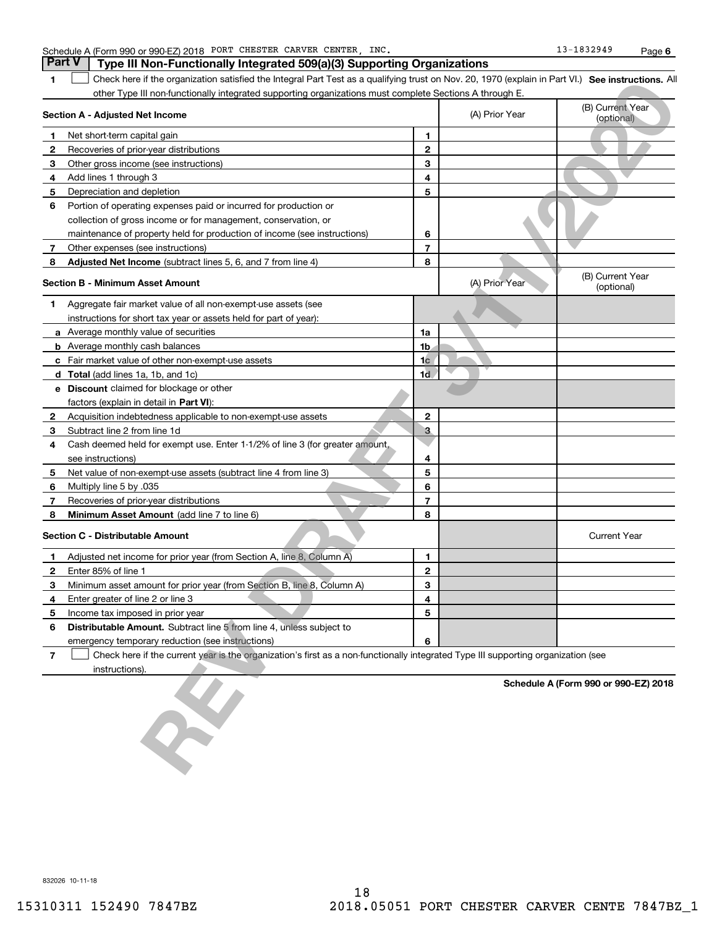|                | Part V<br>Type III Non-Functionally Integrated 509(a)(3) Supporting Organizations                                                                  |                |                |                                      |
|----------------|----------------------------------------------------------------------------------------------------------------------------------------------------|----------------|----------------|--------------------------------------|
|                | Check here if the organization satisfied the Integral Part Test as a qualifying trust on Nov. 20, 1970 (explain in Part VI.) See instructions. All |                |                |                                      |
|                | other Type III non-functionally integrated supporting organizations must complete Sections A through E.                                            |                |                |                                      |
|                | Section A - Adjusted Net Income                                                                                                                    |                | (A) Prior Year | (B) Current Year<br>(optional)       |
|                | Net short-term capital gain                                                                                                                        | 1              |                |                                      |
| 2              | Recoveries of prior-year distributions                                                                                                             | $\mathbf{2}$   |                |                                      |
| 3              | Other gross income (see instructions)                                                                                                              | 3              |                |                                      |
| 4              | Add lines 1 through 3                                                                                                                              | 4              |                |                                      |
| 5              | Depreciation and depletion                                                                                                                         | 5              |                |                                      |
| 6              | Portion of operating expenses paid or incurred for production or                                                                                   |                |                |                                      |
|                | collection of gross income or for management, conservation, or                                                                                     |                |                |                                      |
|                | maintenance of property held for production of income (see instructions)                                                                           | 6              |                |                                      |
|                | Other expenses (see instructions)                                                                                                                  | 7              |                |                                      |
| 8              | Adjusted Net Income (subtract lines 5, 6, and 7 from line 4)                                                                                       | 8              |                |                                      |
|                | <b>Section B - Minimum Asset Amount</b>                                                                                                            |                | (A) Prior Year | (B) Current Year<br>(optional)       |
| 1.             | Aggregate fair market value of all non-exempt-use assets (see                                                                                      |                |                |                                      |
|                | instructions for short tax year or assets held for part of year):                                                                                  |                |                |                                      |
|                | <b>a</b> Average monthly value of securities                                                                                                       | 1a             |                |                                      |
|                | <b>b</b> Average monthly cash balances                                                                                                             | 1b             |                |                                      |
|                | <b>c</b> Fair market value of other non-exempt-use assets                                                                                          | 1 <sub>c</sub> |                |                                      |
|                | d Total (add lines 1a, 1b, and 1c)                                                                                                                 | 1 <sub>d</sub> |                |                                      |
|                | <b>e</b> Discount claimed for blockage or other                                                                                                    |                |                |                                      |
|                | factors (explain in detail in Part VI):                                                                                                            |                |                |                                      |
| 2              | Acquisition indebtedness applicable to non-exempt-use assets                                                                                       | $\mathbf{2}$   |                |                                      |
| З              | Subtract line 2 from line 1d                                                                                                                       | 3.             |                |                                      |
| 4              | Cash deemed held for exempt use. Enter 1-1/2% of line 3 (for greater amount,                                                                       |                |                |                                      |
|                | see instructions)                                                                                                                                  | 4              |                |                                      |
| 5              | Net value of non-exempt-use assets (subtract line 4 from line 3)                                                                                   | 5              |                |                                      |
| 6              | Multiply line 5 by .035                                                                                                                            | 6              |                |                                      |
|                | Recoveries of prior-year distributions                                                                                                             | 7              |                |                                      |
| 8              | Minimum Asset Amount (add line 7 to line 6)                                                                                                        | 8              |                |                                      |
|                | <b>Section C - Distributable Amount</b>                                                                                                            |                |                | <b>Current Year</b>                  |
|                | Adjusted net income for prior year (from Section A, line 8, Column A)                                                                              | 1              |                |                                      |
| 2              | Enter 85% of line 1                                                                                                                                | $\mathbf{2}$   |                |                                      |
| з              | Minimum asset amount for prior year (from Section B, line 8, Column A)                                                                             | 3              |                |                                      |
| 4              | Enter greater of line 2 or line 3                                                                                                                  | 4              |                |                                      |
| 5.             | Income tax imposed in prior year                                                                                                                   | 5              |                |                                      |
| 6              | Distributable Amount. Subtract line 5 from line 4, unless subject to                                                                               |                |                |                                      |
|                | emergency temporary reduction (see instructions)                                                                                                   | 6              |                |                                      |
| $\overline{7}$ | Check here if the current year is the organization's first as a non-functionally integrated Type III supporting organization (see                  |                |                |                                      |
|                | instructions).                                                                                                                                     |                |                |                                      |
|                | X                                                                                                                                                  |                |                | Schedule A (Form 990 or 990-EZ) 2018 |
|                |                                                                                                                                                    |                |                |                                      |

832026 10-11-18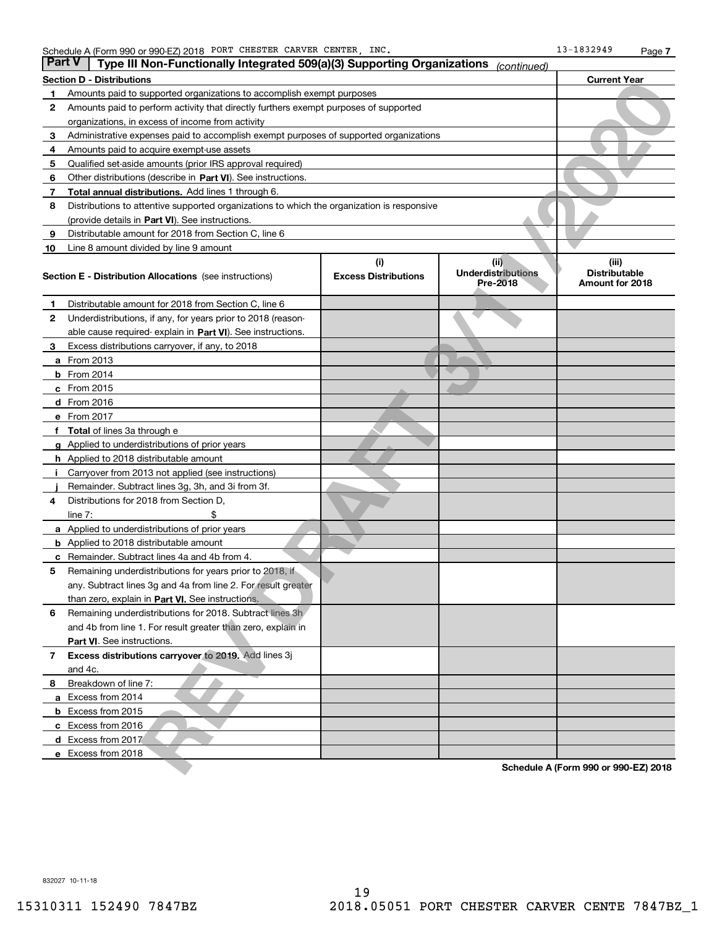| <b>Part V</b> |                      | Type III Non-Functionally Integrated 509(a)(3) Supporting Organizations (continued)        |                                    |                                               |                                                  |
|---------------|----------------------|--------------------------------------------------------------------------------------------|------------------------------------|-----------------------------------------------|--------------------------------------------------|
|               |                      | Section D - Distributions                                                                  |                                    |                                               | <b>Current Year</b>                              |
|               |                      | Amounts paid to supported organizations to accomplish exempt purposes                      |                                    |                                               |                                                  |
| 2             |                      | Amounts paid to perform activity that directly furthers exempt purposes of supported       |                                    |                                               |                                                  |
|               |                      | organizations, in excess of income from activity                                           |                                    |                                               |                                                  |
| з             |                      | Administrative expenses paid to accomplish exempt purposes of supported organizations      |                                    |                                               |                                                  |
| 4             |                      | Amounts paid to acquire exempt-use assets                                                  |                                    |                                               |                                                  |
| 5             |                      | Qualified set-aside amounts (prior IRS approval required)                                  |                                    |                                               |                                                  |
| 6             |                      | Other distributions (describe in Part VI). See instructions.                               |                                    |                                               |                                                  |
| 7             |                      | <b>Total annual distributions.</b> Add lines 1 through 6.                                  |                                    |                                               |                                                  |
| 8             |                      | Distributions to attentive supported organizations to which the organization is responsive |                                    |                                               |                                                  |
|               |                      | (provide details in Part VI). See instructions.                                            |                                    |                                               |                                                  |
| 9             |                      | Distributable amount for 2018 from Section C, line 6                                       |                                    |                                               |                                                  |
| 10            |                      | Line 8 amount divided by line 9 amount                                                     |                                    |                                               |                                                  |
|               |                      | <b>Section E - Distribution Allocations</b> (see instructions)                             | (i)<br><b>Excess Distributions</b> | (ii)<br><b>Underdistributions</b><br>Pre-2018 | (iii)<br><b>Distributable</b><br>Amount for 2018 |
| 1             |                      | Distributable amount for 2018 from Section C, line 6                                       |                                    |                                               |                                                  |
| 2             |                      | Underdistributions, if any, for years prior to 2018 (reason-                               |                                    |                                               |                                                  |
|               |                      | able cause required-explain in Part VI). See instructions.                                 |                                    |                                               |                                                  |
| з             |                      | Excess distributions carryover, if any, to 2018                                            |                                    |                                               |                                                  |
| a             | From 2013            |                                                                                            |                                    |                                               |                                                  |
|               | <b>b</b> From $2014$ |                                                                                            |                                    |                                               |                                                  |
|               | c From 2015          |                                                                                            |                                    |                                               |                                                  |
|               | <b>d</b> From 2016   |                                                                                            |                                    |                                               |                                                  |
|               | e From 2017          |                                                                                            |                                    |                                               |                                                  |
|               |                      | <b>Total</b> of lines 3a through e                                                         |                                    |                                               |                                                  |
|               |                      | <b>g</b> Applied to underdistributions of prior years                                      |                                    |                                               |                                                  |
|               |                      | <b>h</b> Applied to 2018 distributable amount                                              |                                    |                                               |                                                  |
|               |                      | Carryover from 2013 not applied (see instructions)                                         |                                    |                                               |                                                  |
|               |                      | Remainder. Subtract lines 3g, 3h, and 3i from 3f.                                          |                                    |                                               |                                                  |
| 4             |                      | Distributions for 2018 from Section D,                                                     |                                    |                                               |                                                  |
|               | line $7:$            |                                                                                            |                                    |                                               |                                                  |
|               |                      | <b>a</b> Applied to underdistributions of prior years                                      |                                    |                                               |                                                  |
|               |                      | <b>b</b> Applied to 2018 distributable amount                                              |                                    |                                               |                                                  |
| с             |                      | Remainder. Subtract lines 4a and 4b from 4.                                                |                                    |                                               |                                                  |
| 5             |                      | Remaining underdistributions for years prior to 2018, if                                   |                                    |                                               |                                                  |
|               |                      | any. Subtract lines 3g and 4a from line 2. For result greater                              |                                    |                                               |                                                  |
|               |                      | than zero, explain in Part VI. See instructions.                                           |                                    |                                               |                                                  |
| 6             |                      | Remaining underdistributions for 2018. Subtract lines 3h                                   |                                    |                                               |                                                  |
|               |                      | and 4b from line 1. For result greater than zero, explain in                               |                                    |                                               |                                                  |
|               |                      | Part VI. See instructions.                                                                 |                                    |                                               |                                                  |
| 7             |                      | Excess distributions carryover to 2019. Add lines 3j                                       |                                    |                                               |                                                  |
|               | and 4c.              |                                                                                            |                                    |                                               |                                                  |
| 8             |                      | Breakdown of line 7:                                                                       |                                    |                                               |                                                  |
|               |                      | a Excess from 2014                                                                         |                                    |                                               |                                                  |
|               |                      | <b>b</b> Excess from 2015                                                                  |                                    |                                               |                                                  |
|               |                      | c Excess from 2016                                                                         |                                    |                                               |                                                  |
|               |                      | d Excess from 2017                                                                         |                                    |                                               |                                                  |
|               |                      | e Excess from 2018                                                                         |                                    |                                               |                                                  |
|               |                      |                                                                                            |                                    |                                               | Schedule A (Form 990 or 990-EZ) 2018             |

832027 10-11-18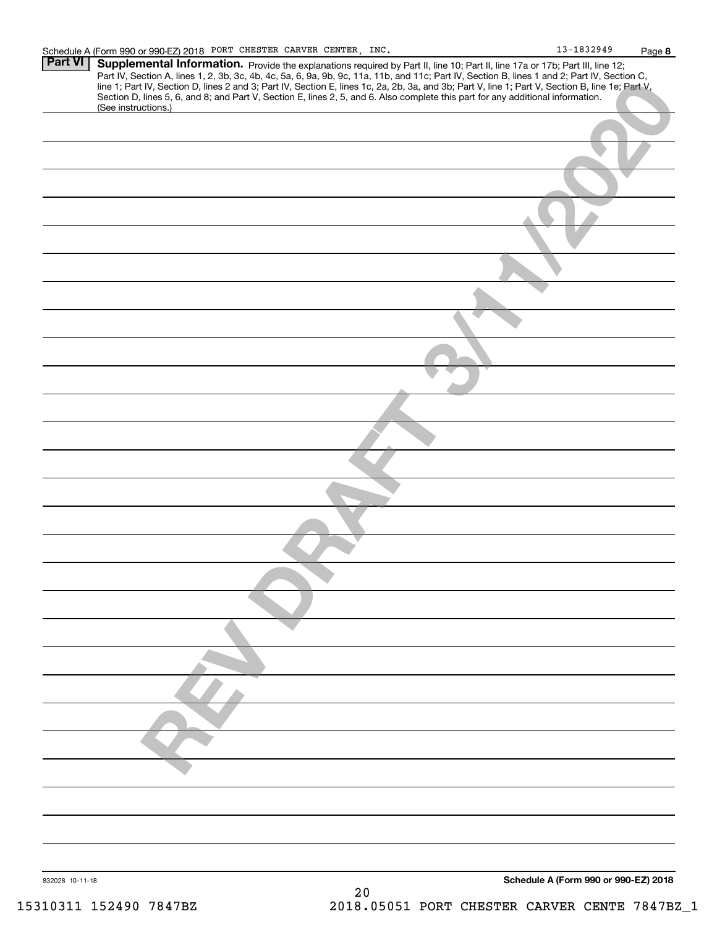| <b>Part VI</b>  | Supplemental Information. Provide the explanations required by Part II, line 10; Part II, line 17a or 17b; Part III, line 12;                                                                                                                                                                    |
|-----------------|--------------------------------------------------------------------------------------------------------------------------------------------------------------------------------------------------------------------------------------------------------------------------------------------------|
|                 | Part IV, Section A, lines 1, 2, 3b, 3c, 4b, 4c, 5a, 6, 9a, 9b, 9c, 11a, 11b, and 11c; Part IV, Section B, lines 1 and 2; Part IV, Section C,<br>line 1; Part IV, Section D, lines 2 and 3; Part IV, Section E, lines 1c, 2a, 2b, 3a, and 3b; Part V, line 1; Part V, Section B, line 1e; Part V, |
|                 | Section D, lines 5, 6, and 8; and Part V, Section E, lines 2, 5, and 6. Also complete this part for any additional information.                                                                                                                                                                  |
|                 | (See instructions.)                                                                                                                                                                                                                                                                              |
|                 |                                                                                                                                                                                                                                                                                                  |
|                 |                                                                                                                                                                                                                                                                                                  |
|                 |                                                                                                                                                                                                                                                                                                  |
|                 |                                                                                                                                                                                                                                                                                                  |
|                 |                                                                                                                                                                                                                                                                                                  |
|                 |                                                                                                                                                                                                                                                                                                  |
|                 |                                                                                                                                                                                                                                                                                                  |
|                 |                                                                                                                                                                                                                                                                                                  |
|                 |                                                                                                                                                                                                                                                                                                  |
|                 |                                                                                                                                                                                                                                                                                                  |
|                 |                                                                                                                                                                                                                                                                                                  |
|                 |                                                                                                                                                                                                                                                                                                  |
|                 |                                                                                                                                                                                                                                                                                                  |
|                 |                                                                                                                                                                                                                                                                                                  |
|                 |                                                                                                                                                                                                                                                                                                  |
|                 |                                                                                                                                                                                                                                                                                                  |
|                 |                                                                                                                                                                                                                                                                                                  |
|                 |                                                                                                                                                                                                                                                                                                  |
|                 |                                                                                                                                                                                                                                                                                                  |
|                 |                                                                                                                                                                                                                                                                                                  |
|                 |                                                                                                                                                                                                                                                                                                  |
|                 |                                                                                                                                                                                                                                                                                                  |
|                 |                                                                                                                                                                                                                                                                                                  |
|                 |                                                                                                                                                                                                                                                                                                  |
|                 |                                                                                                                                                                                                                                                                                                  |
|                 |                                                                                                                                                                                                                                                                                                  |
| 832028 10-11-18 | Schedule A (Form 990 or 990-EZ) 2018                                                                                                                                                                                                                                                             |
|                 | 20                                                                                                                                                                                                                                                                                               |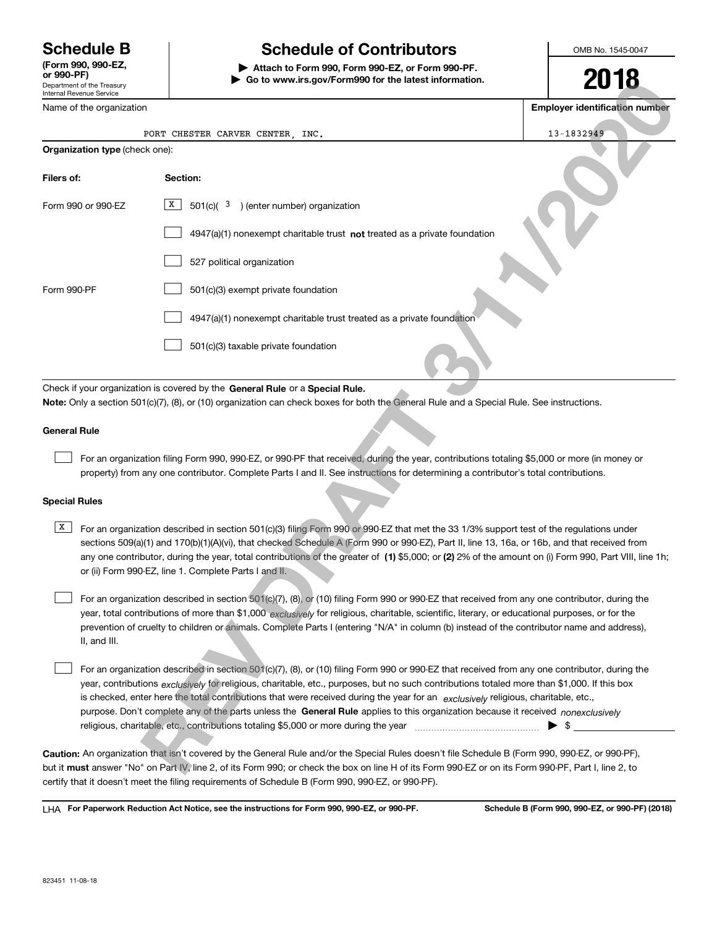Department of the Treasury Internal Revenue Service **(Form 990, 990-EZ, or 990-PF)**

# **Schedule B Schedule of Contributors**

**| Attach to Form 990, Form 990-EZ, or Form 990-PF. | Go to www.irs.gov/Form990 for the latest information.** OMB No. 1545-0047

| Go to www.irs.gov/Form990 for the latest information.<br>Department of the Treasury<br>Internal Revenue Service                                                                                                                                                                                                                                                                                                                                                                                                                                                                                                                                                                            | ZU IO                                 |  |  |  |  |  |
|--------------------------------------------------------------------------------------------------------------------------------------------------------------------------------------------------------------------------------------------------------------------------------------------------------------------------------------------------------------------------------------------------------------------------------------------------------------------------------------------------------------------------------------------------------------------------------------------------------------------------------------------------------------------------------------------|---------------------------------------|--|--|--|--|--|
| Name of the organization                                                                                                                                                                                                                                                                                                                                                                                                                                                                                                                                                                                                                                                                   | <b>Employer identification number</b> |  |  |  |  |  |
| PORT CHESTER CARVER CENTER, INC.                                                                                                                                                                                                                                                                                                                                                                                                                                                                                                                                                                                                                                                           | 13-1832949                            |  |  |  |  |  |
| Organization type (check one):                                                                                                                                                                                                                                                                                                                                                                                                                                                                                                                                                                                                                                                             |                                       |  |  |  |  |  |
| Filers of:<br>Section:                                                                                                                                                                                                                                                                                                                                                                                                                                                                                                                                                                                                                                                                     |                                       |  |  |  |  |  |
| X<br>$501(c)$ ( $3$ ) (enter number) organization<br>Form 990 or 990-EZ                                                                                                                                                                                                                                                                                                                                                                                                                                                                                                                                                                                                                    |                                       |  |  |  |  |  |
| $4947(a)(1)$ nonexempt charitable trust not treated as a private foundation                                                                                                                                                                                                                                                                                                                                                                                                                                                                                                                                                                                                                |                                       |  |  |  |  |  |
| 527 political organization                                                                                                                                                                                                                                                                                                                                                                                                                                                                                                                                                                                                                                                                 |                                       |  |  |  |  |  |
| Form 990-PF<br>501(c)(3) exempt private foundation                                                                                                                                                                                                                                                                                                                                                                                                                                                                                                                                                                                                                                         |                                       |  |  |  |  |  |
| 4947(a)(1) nonexempt charitable trust treated as a private foundation                                                                                                                                                                                                                                                                                                                                                                                                                                                                                                                                                                                                                      |                                       |  |  |  |  |  |
| 501(c)(3) taxable private foundation                                                                                                                                                                                                                                                                                                                                                                                                                                                                                                                                                                                                                                                       |                                       |  |  |  |  |  |
| <b>General Rule</b><br>For an organization filing Form 990, 990-EZ, or 990-PF that received, during the year, contributions totaling \$5,000 or more (in money or<br>property) from any one contributor. Complete Parts I and II. See instructions for determining a contributor's total contributions.<br><b>Special Rules</b>                                                                                                                                                                                                                                                                                                                                                            |                                       |  |  |  |  |  |
|                                                                                                                                                                                                                                                                                                                                                                                                                                                                                                                                                                                                                                                                                            |                                       |  |  |  |  |  |
| X<br>For an organization described in section 501(c)(3) filing Form 990 or 990-EZ that met the 33 1/3% support test of the regulations under<br>sections 509(a)(1) and 170(b)(1)(A)(vi), that checked Schedule A (Form 990 or 990-EZ), Part II, line 13, 16a, or 16b, and that received from<br>any one contributor, during the year, total contributions of the greater of (1) \$5,000; or (2) 2% of the amount on (i) Form 990, Part VIII, line 1h;<br>or (ii) Form 990-EZ, line 1. Complete Parts I and II.                                                                                                                                                                             |                                       |  |  |  |  |  |
| For an organization described in section 501(c)(7), (8), or (10) filing Form 990 or 990-EZ that received from any one contributor, during the<br>year, total contributions of more than \$1,000 exclusively for religious, charitable, scientific, literary, or educational purposes, or for the<br>prevention of cruelty to children or animals. Complete Parts I (entering "N/A" in column (b) instead of the contributor name and address),<br>II, and III.                                                                                                                                                                                                                             |                                       |  |  |  |  |  |
| For an organization described in section 501(c)(7), (8), or (10) filing Form 990 or 990-EZ that received from any one contributor, during the<br>year, contributions exclusively for religious, charitable, etc., purposes, but no such contributions totaled more than \$1,000. If this box<br>is checked, enter here the total contributions that were received during the year for an exclusively religious, charitable, etc.,<br>purpose. Don't complete any of the parts unless the General Rule applies to this organization because it received nonexclusively<br>religious, charitable, etc., contributions totaling \$5,000 or more during the year manufacture manufacture etc., | $\blacktriangleright$ s               |  |  |  |  |  |
| Caution: An organization that isn't covered by the General Rule and/or the Special Rules doesn't file Schedule B (Form 990, 990-EZ, or 990-PF),<br>but it must answer "No" on Part IV, line 2, of its Form 990; or check the box on line H of its Form 990-EZ or on its Form 990-PF, Part I, line 2, to                                                                                                                                                                                                                                                                                                                                                                                    |                                       |  |  |  |  |  |

**Caution:**  An organization that isn't covered by the General Rule and/or the Special Rules doesn't file Schedule B (Form 990, 990-EZ, or 990-PF),  **must** but it answer "No" on Part IV, line 2, of its Form 990; or check the box on line H of its Form 990-EZ or on its Form 990-PF, Part I, line 2, to certify that it doesn't meet the filing requirements of Schedule B (Form 990, 990-EZ, or 990-PF).

**For Paperwork Reduction Act Notice, see the instructions for Form 990, 990-EZ, or 990-PF. Schedule B (Form 990, 990-EZ, or 990-PF) (2018)** LHA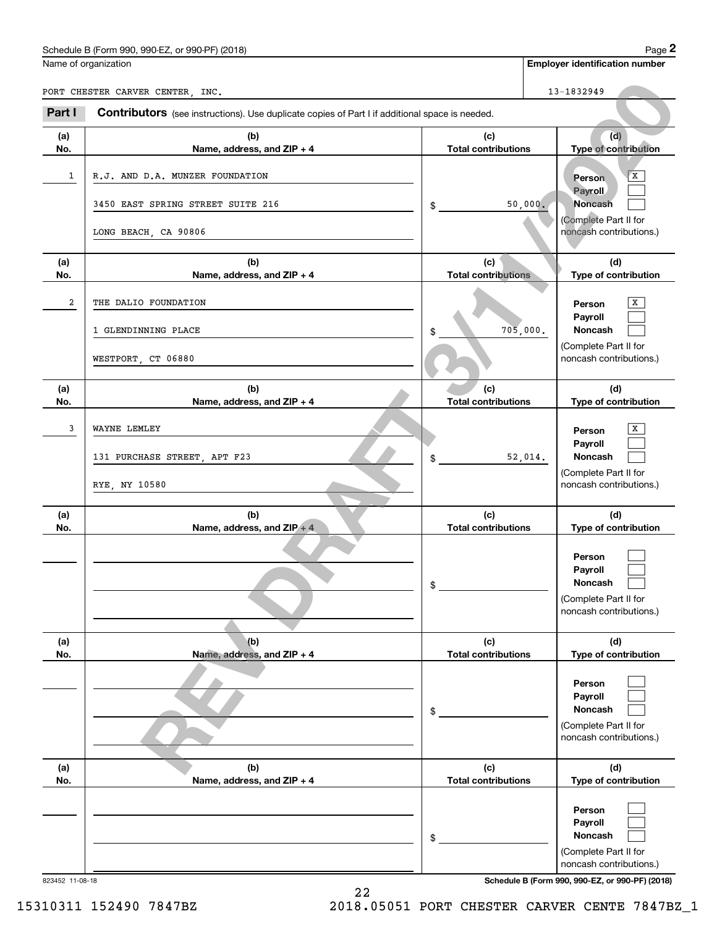| (2018)<br>Schedule<br>990-EZ<br>$\sim$<br>990 ا<br>DE.<br>- 75<br>. (Form 1<br>or<br>990-P | 12000<br>aue |
|--------------------------------------------------------------------------------------------|--------------|
|                                                                                            |              |

|                | Schedule B (Form 990, 990-EZ, or 990-PF) (2018)                                                |                                   |          |                                                  | Page 2 |
|----------------|------------------------------------------------------------------------------------------------|-----------------------------------|----------|--------------------------------------------------|--------|
|                | Name of organization                                                                           |                                   |          | <b>Employer identification number</b>            |        |
|                | PORT CHESTER CARVER CENTER, INC.                                                               |                                   |          | 13-1832949                                       |        |
| Part I         | Contributors (see instructions). Use duplicate copies of Part I if additional space is needed. |                                   |          |                                                  |        |
| (a)<br>No.     | (b)<br>Name, address, and ZIP + 4                                                              | (c)<br><b>Total contributions</b> |          | (d)<br>Type of contribution                      |        |
| 1              | R.J. AND D.A. MUNZER FOUNDATION                                                                |                                   |          | Person<br>Payroll                                | X      |
|                | 3450 EAST SPRING STREET SUITE 216                                                              | \$                                | 50,000.  | <b>Noncash</b><br>(Complete Part II for          |        |
|                | LONG BEACH, CA 90806                                                                           |                                   |          | noncash contributions.)                          |        |
| (a)<br>No.     | (b)<br>Name, address, and ZIP + 4                                                              | (c)<br><b>Total contributions</b> |          | (d)<br>Type of contribution                      |        |
| $\overline{a}$ | THE DALIO FOUNDATION                                                                           |                                   |          | Person                                           | X      |
|                | 1 GLENDINNING PLACE                                                                            | \$                                | 705,000. | Payroll<br>Noncash                               |        |
|                | WESTPORT, CT 06880                                                                             |                                   |          | (Complete Part II for<br>noncash contributions.) |        |
| (a)<br>No.     | (b)<br>Name, address, and ZIP + 4                                                              | (c)<br><b>Total contributions</b> |          | (d)<br>Type of contribution                      |        |
| 3              | WAYNE LEMLEY                                                                                   |                                   |          | Person                                           | x      |
|                | 131 PURCHASE STREET, APT F23                                                                   | \$                                | 52,014.  | Payroll<br>Noncash                               |        |
|                | RYE, NY 10580                                                                                  |                                   |          | (Complete Part II for<br>noncash contributions.) |        |
| (a)<br>No.     | (b)<br>Name, address, and ZIP + 4                                                              | (c)<br><b>Total contributions</b> |          | (d)<br>Type of contribution                      |        |
|                |                                                                                                |                                   |          | Person                                           |        |
|                |                                                                                                | \$                                |          | Payroll<br>Noncash                               |        |
|                |                                                                                                |                                   |          | (Complete Part II for<br>noncash contributions.) |        |
| (a)<br>No.     | (b)<br>Name, address, and ZIP + 4                                                              | (c)<br><b>Total contributions</b> |          | (d)<br>Type of contribution                      |        |
|                |                                                                                                |                                   |          | Person                                           |        |
|                |                                                                                                | \$                                |          | Payroll<br><b>Noncash</b>                        |        |
|                |                                                                                                |                                   |          | (Complete Part II for<br>noncash contributions.) |        |
| (a)<br>No.     | (b)<br>Name, address, and ZIP + 4                                                              | (c)<br><b>Total contributions</b> |          | (d)<br>Type of contribution                      |        |
|                |                                                                                                |                                   |          | Person                                           |        |
|                |                                                                                                | \$                                |          | Payroll<br>Noncash                               |        |
|                |                                                                                                |                                   |          | (Complete Part II for<br>noncash contributions.) |        |

823452 11-08-18 **Schedule B (Form 990, 990-EZ, or 990-PF) (2018)**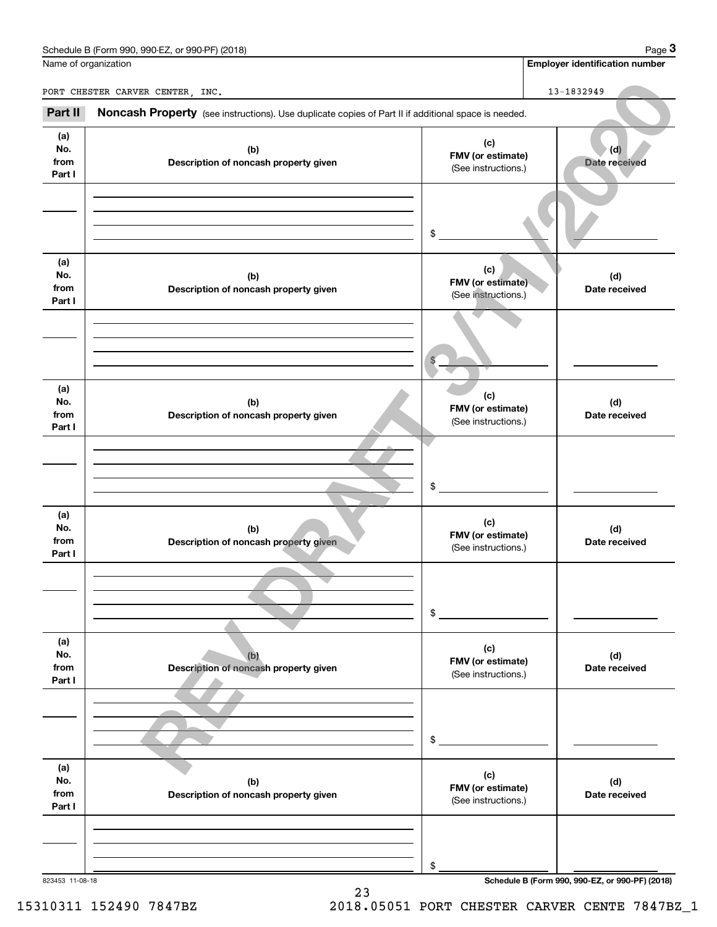| Schedule B (Form 990, 990-EZ, ‹<br>. or 990-PF)<br>) (2018)<br>Page |
|---------------------------------------------------------------------|
|---------------------------------------------------------------------|

| Name of organization         | Schedule B (Form 990, 990-EZ, or 990-PF) (2018)                                                     |                                                 | Page 3<br><b>Employer identification number</b> |
|------------------------------|-----------------------------------------------------------------------------------------------------|-------------------------------------------------|-------------------------------------------------|
|                              | PORT CHESTER CARVER CENTER, INC.                                                                    |                                                 | 13-1832949                                      |
| Part II                      | Noncash Property (see instructions). Use duplicate copies of Part II if additional space is needed. |                                                 |                                                 |
| (a)<br>No.<br>from<br>Part I | (b)<br>Description of noncash property given                                                        | (c)<br>FMV (or estimate)<br>(See instructions.) | (d)<br>Date received                            |
|                              |                                                                                                     | \$                                              |                                                 |
| (a)<br>No.<br>from<br>Part I | (b)<br>Description of noncash property given                                                        | (c)<br>FMV (or estimate)<br>(See instructions.) | (d)<br>Date received                            |
|                              |                                                                                                     |                                                 |                                                 |
| (a)<br>No.<br>from<br>Part I | (b)<br>Description of noncash property given                                                        | (c)<br>FMV (or estimate)<br>(See instructions.) | (d)<br>Date received                            |
|                              |                                                                                                     | \$                                              |                                                 |
| (a)<br>No.<br>from<br>Part I | (b)<br>Description of noncash property given                                                        | (c)<br>FMV (or estimate)<br>(See instructions.) | (d)<br>Date received                            |
|                              |                                                                                                     | \$                                              |                                                 |
| (a)<br>No.<br>from<br>Part I | (b)<br>Description of noncash property given                                                        | (c)<br>FMV (or estimate)<br>(See instructions.) | (d)<br>Date received                            |
|                              |                                                                                                     | \$                                              |                                                 |
| (a)<br>No.<br>from<br>Part I | (b)<br>Description of noncash property given                                                        | (c)<br>FMV (or estimate)<br>(See instructions.) | (d)<br>Date received                            |
|                              |                                                                                                     |                                                 |                                                 |
| 823453 11-08-18              |                                                                                                     | \$                                              | Schedule B (Form 990, 990-EZ, or 990-PF) (2018) |

23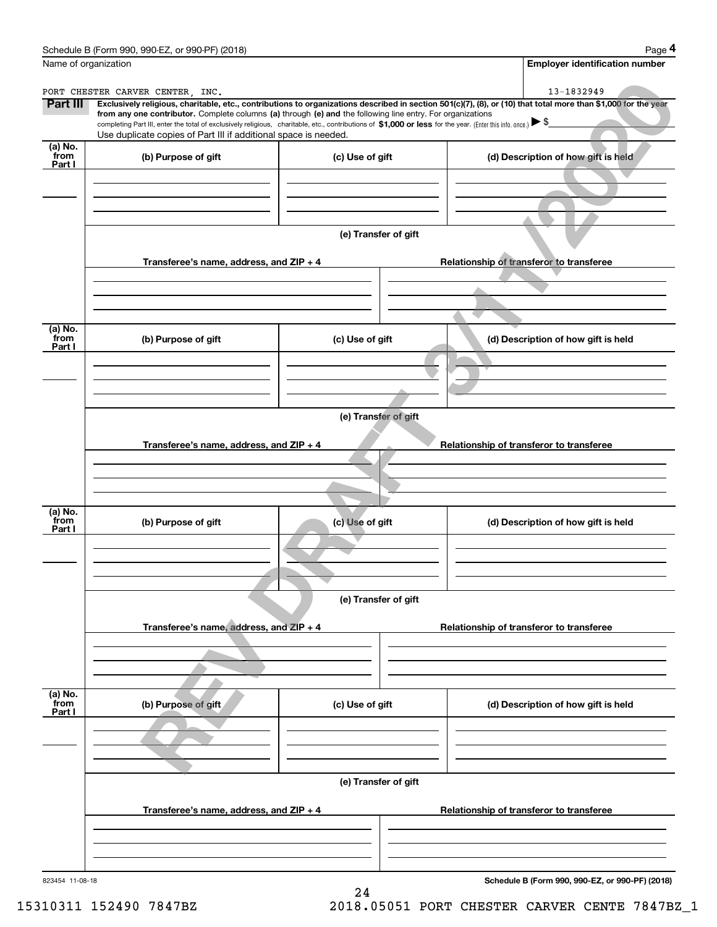|                           | Schedule B (Form 990, 990-EZ, or 990-PF) (2018)<br>Name of organization                                                                                                                                                         |                      | Page 4<br><b>Employer identification number</b>                                                                                                                              |
|---------------------------|---------------------------------------------------------------------------------------------------------------------------------------------------------------------------------------------------------------------------------|----------------------|------------------------------------------------------------------------------------------------------------------------------------------------------------------------------|
|                           |                                                                                                                                                                                                                                 |                      |                                                                                                                                                                              |
| Part III                  | PORT CHESTER CARVER CENTER, INC.                                                                                                                                                                                                |                      | 13-1832949<br>Exclusively religious, charitable, etc., contributions to organizations described in section 501(c)(7), (8), or (10) that total more than \$1,000 for the year |
|                           | from any one contributor. Complete columns (a) through (e) and the following line entry. For organizations                                                                                                                      |                      |                                                                                                                                                                              |
|                           | completing Part III, enter the total of exclusively religious, charitable, etc., contributions of \$1,000 or less for the year. (Enter this info. once.) \\$<br>Use duplicate copies of Part III if additional space is needed. |                      |                                                                                                                                                                              |
| (a) No.                   |                                                                                                                                                                                                                                 |                      |                                                                                                                                                                              |
| from<br>Part I            | (b) Purpose of gift                                                                                                                                                                                                             | (c) Use of gift      | (d) Description of how gift is held                                                                                                                                          |
|                           |                                                                                                                                                                                                                                 |                      |                                                                                                                                                                              |
|                           |                                                                                                                                                                                                                                 |                      |                                                                                                                                                                              |
|                           |                                                                                                                                                                                                                                 |                      |                                                                                                                                                                              |
|                           |                                                                                                                                                                                                                                 |                      |                                                                                                                                                                              |
|                           |                                                                                                                                                                                                                                 | (e) Transfer of gift |                                                                                                                                                                              |
|                           | Transferee's name, address, and ZIP + 4                                                                                                                                                                                         |                      | Relationship of transferor to transferee                                                                                                                                     |
|                           |                                                                                                                                                                                                                                 |                      |                                                                                                                                                                              |
|                           |                                                                                                                                                                                                                                 |                      |                                                                                                                                                                              |
|                           |                                                                                                                                                                                                                                 |                      |                                                                                                                                                                              |
|                           |                                                                                                                                                                                                                                 |                      |                                                                                                                                                                              |
| (a) No.<br>from           | (b) Purpose of gift                                                                                                                                                                                                             | (c) Use of gift      | (d) Description of how gift is held                                                                                                                                          |
| Part I                    |                                                                                                                                                                                                                                 |                      |                                                                                                                                                                              |
|                           |                                                                                                                                                                                                                                 |                      |                                                                                                                                                                              |
|                           |                                                                                                                                                                                                                                 |                      |                                                                                                                                                                              |
|                           |                                                                                                                                                                                                                                 |                      |                                                                                                                                                                              |
|                           |                                                                                                                                                                                                                                 | (e) Transfer of gift |                                                                                                                                                                              |
|                           |                                                                                                                                                                                                                                 |                      |                                                                                                                                                                              |
|                           |                                                                                                                                                                                                                                 |                      |                                                                                                                                                                              |
|                           | Transferee's name, address, and ZIP + 4                                                                                                                                                                                         |                      | Relationship of transferor to transferee                                                                                                                                     |
|                           |                                                                                                                                                                                                                                 |                      |                                                                                                                                                                              |
|                           |                                                                                                                                                                                                                                 |                      |                                                                                                                                                                              |
|                           |                                                                                                                                                                                                                                 |                      |                                                                                                                                                                              |
| (a) No.<br>from           |                                                                                                                                                                                                                                 |                      |                                                                                                                                                                              |
| Part I                    | (b) Purpose of gift                                                                                                                                                                                                             | (c) Use of gift      | (d) Description of how gift is held                                                                                                                                          |
|                           |                                                                                                                                                                                                                                 |                      |                                                                                                                                                                              |
|                           |                                                                                                                                                                                                                                 |                      |                                                                                                                                                                              |
|                           |                                                                                                                                                                                                                                 |                      |                                                                                                                                                                              |
|                           |                                                                                                                                                                                                                                 | (e) Transfer of gift |                                                                                                                                                                              |
|                           |                                                                                                                                                                                                                                 |                      |                                                                                                                                                                              |
|                           | Transferee's name, address, and $ZIP + 4$                                                                                                                                                                                       |                      | Relationship of transferor to transferee                                                                                                                                     |
|                           |                                                                                                                                                                                                                                 |                      |                                                                                                                                                                              |
|                           |                                                                                                                                                                                                                                 |                      |                                                                                                                                                                              |
|                           |                                                                                                                                                                                                                                 |                      |                                                                                                                                                                              |
|                           |                                                                                                                                                                                                                                 |                      |                                                                                                                                                                              |
| (a) No.<br>from<br>Part I | (b) Purpose of gift                                                                                                                                                                                                             | (c) Use of gift      | (d) Description of how gift is held                                                                                                                                          |
|                           |                                                                                                                                                                                                                                 |                      |                                                                                                                                                                              |
|                           |                                                                                                                                                                                                                                 |                      |                                                                                                                                                                              |
|                           |                                                                                                                                                                                                                                 |                      |                                                                                                                                                                              |
|                           |                                                                                                                                                                                                                                 | (e) Transfer of gift |                                                                                                                                                                              |
|                           |                                                                                                                                                                                                                                 |                      |                                                                                                                                                                              |
|                           | Transferee's name, address, and $ZIP + 4$                                                                                                                                                                                       |                      | Relationship of transferor to transferee                                                                                                                                     |
|                           |                                                                                                                                                                                                                                 |                      |                                                                                                                                                                              |
|                           |                                                                                                                                                                                                                                 |                      |                                                                                                                                                                              |

24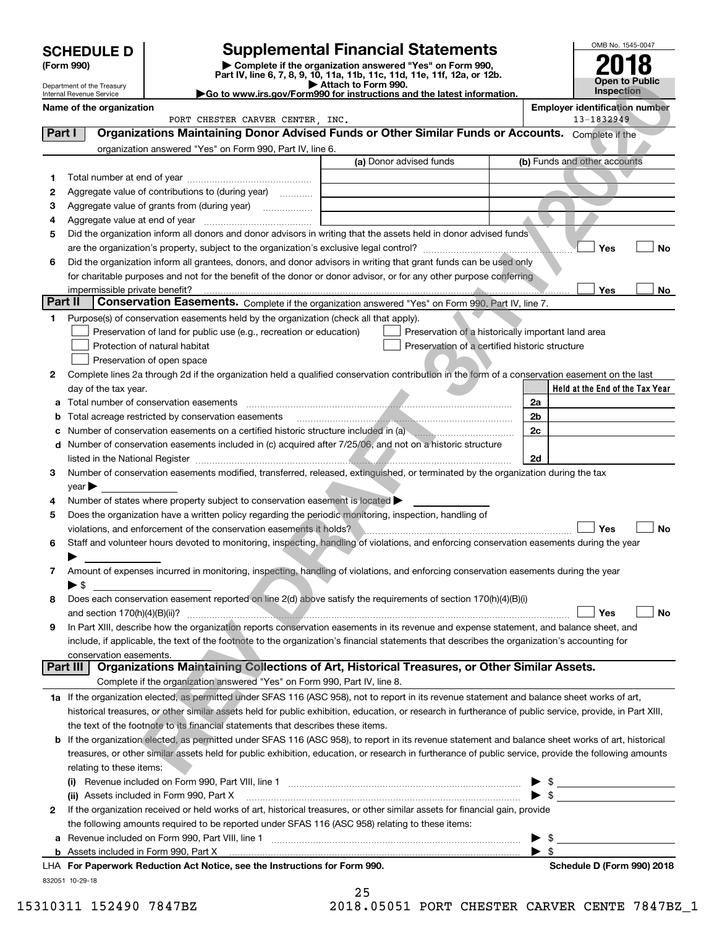|         |                                                        |                                                                                                        |                                                                                                                                                                                                                                         | OMB No. 1545-0047                                   |
|---------|--------------------------------------------------------|--------------------------------------------------------------------------------------------------------|-----------------------------------------------------------------------------------------------------------------------------------------------------------------------------------------------------------------------------------------|-----------------------------------------------------|
|         | <b>SCHEDULE D</b><br>(Form 990)                        |                                                                                                        | <b>Supplemental Financial Statements</b><br>Complete if the organization answered "Yes" on Form 990,                                                                                                                                    |                                                     |
|         |                                                        |                                                                                                        | Part IV, line 6, 7, 8, 9, 10, 11a, 11b, 11c, 11d, 11e, 11f, 12a, or 12b.                                                                                                                                                                | <b>Open to Public</b>                               |
|         | Department of the Treasury<br>Internal Revenue Service |                                                                                                        | Attach to Form 990.<br>Go to www.irs.gov/Form990 for instructions and the latest information.                                                                                                                                           | <b>Inspection</b>                                   |
|         | Name of the organization                               | PORT CHESTER CARVER CENTER, INC.                                                                       |                                                                                                                                                                                                                                         | <b>Employer identification number</b><br>13-1832949 |
| Part I  |                                                        |                                                                                                        | Organizations Maintaining Donor Advised Funds or Other Similar Funds or Accounts. Complete if the                                                                                                                                       |                                                     |
|         |                                                        | organization answered "Yes" on Form 990, Part IV, line 6.                                              |                                                                                                                                                                                                                                         |                                                     |
|         |                                                        |                                                                                                        | (a) Donor advised funds                                                                                                                                                                                                                 | (b) Funds and other accounts                        |
| 1       |                                                        |                                                                                                        |                                                                                                                                                                                                                                         |                                                     |
| 2       |                                                        | Aggregate value of contributions to (during year)                                                      |                                                                                                                                                                                                                                         |                                                     |
| з       |                                                        | Aggregate value of grants from (during year)                                                           |                                                                                                                                                                                                                                         |                                                     |
| 4       |                                                        |                                                                                                        |                                                                                                                                                                                                                                         |                                                     |
| 5       |                                                        |                                                                                                        | Did the organization inform all donors and donor advisors in writing that the assets held in donor advised funds                                                                                                                        |                                                     |
|         |                                                        |                                                                                                        |                                                                                                                                                                                                                                         | Yes<br>No                                           |
| 6       |                                                        |                                                                                                        | Did the organization inform all grantees, donors, and donor advisors in writing that grant funds can be used only<br>for charitable purposes and not for the benefit of the donor or donor advisor, or for any other purpose conferring |                                                     |
|         | impermissible private benefit?                         |                                                                                                        |                                                                                                                                                                                                                                         | Yes<br>No                                           |
| Part II |                                                        |                                                                                                        | Conservation Easements. Complete if the organization answered "Yes" on Form 990, Part IV, line 7.                                                                                                                                       |                                                     |
| 1       |                                                        | Purpose(s) of conservation easements held by the organization (check all that apply).                  |                                                                                                                                                                                                                                         |                                                     |
|         |                                                        | Preservation of land for public use (e.g., recreation or education)                                    | Preservation of a historically important land area                                                                                                                                                                                      |                                                     |
|         |                                                        | Protection of natural habitat                                                                          | Preservation of a certified historic structure                                                                                                                                                                                          |                                                     |
|         |                                                        | Preservation of open space                                                                             |                                                                                                                                                                                                                                         |                                                     |
| 2       |                                                        |                                                                                                        | Complete lines 2a through 2d if the organization held a qualified conservation contribution in the form of a conservation easement on the last                                                                                          |                                                     |
|         | day of the tax year.                                   |                                                                                                        |                                                                                                                                                                                                                                         | Held at the End of the Tax Year                     |
| a       |                                                        |                                                                                                        |                                                                                                                                                                                                                                         | 2a                                                  |
| b<br>с  |                                                        | Total acreage restricted by conservation easements                                                     | Number of conservation easements on a certified historic structure included in (a) manufacture included in (a)                                                                                                                          | 2 <sub>b</sub><br>2 <sub>c</sub>                    |
| d       |                                                        |                                                                                                        | Number of conservation easements included in (c) acquired after 7/25/06, and not on a historic structure                                                                                                                                |                                                     |
|         |                                                        |                                                                                                        |                                                                                                                                                                                                                                         | 2d                                                  |
| з       |                                                        |                                                                                                        | Number of conservation easements modified, transferred, released, extinguished, or terminated by the organization during the tax                                                                                                        |                                                     |
|         | $\vee$ ear $\blacktriangleright$                       |                                                                                                        |                                                                                                                                                                                                                                         |                                                     |
| 4       |                                                        | Number of states where property subject to conservation easement is located                            |                                                                                                                                                                                                                                         |                                                     |
| 5       |                                                        | Does the organization have a written policy regarding the periodic monitoring, inspection, handling of |                                                                                                                                                                                                                                         |                                                     |
|         |                                                        | violations, and enforcement of the conservation easements it holds?                                    |                                                                                                                                                                                                                                         | Yes<br>No                                           |
| 6       |                                                        |                                                                                                        | Staff and volunteer hours devoted to monitoring, inspecting, handling of violations, and enforcing conservation easements during the year                                                                                               |                                                     |
| 7       |                                                        |                                                                                                        | Amount of expenses incurred in monitoring, inspecting, handling of violations, and enforcing conservation easements during the year                                                                                                     |                                                     |
|         | $\blacktriangleright$ \$                               |                                                                                                        |                                                                                                                                                                                                                                         |                                                     |
| 8       |                                                        |                                                                                                        | Does each conservation easement reported on line 2(d) above satisfy the requirements of section 170(h)(4)(B)(i)                                                                                                                         |                                                     |
|         |                                                        |                                                                                                        |                                                                                                                                                                                                                                         | Yes<br>No                                           |
| 9       |                                                        |                                                                                                        | In Part XIII, describe how the organization reports conservation easements in its revenue and expense statement, and balance sheet, and                                                                                                 |                                                     |
|         |                                                        |                                                                                                        | include, if applicable, the text of the footnote to the organization's financial statements that describes the organization's accounting for                                                                                            |                                                     |
|         | conservation easements.<br>Part III                    |                                                                                                        | Organizations Maintaining Collections of Art, Historical Treasures, or Other Similar Assets.                                                                                                                                            |                                                     |
|         |                                                        | Complete if the organization answered "Yes" on Form 990, Part IV, line 8.                              |                                                                                                                                                                                                                                         |                                                     |
|         |                                                        |                                                                                                        | 1a If the organization elected, as permitted under SFAS 116 (ASC 958), not to report in its revenue statement and balance sheet works of art,                                                                                           |                                                     |
|         |                                                        |                                                                                                        | historical treasures, or other similar assets held for public exhibition, education, or research in furtherance of public service, provide, in Part XIII,                                                                               |                                                     |
|         |                                                        | the text of the footnote to its financial statements that describes these items.                       |                                                                                                                                                                                                                                         |                                                     |
| b       |                                                        |                                                                                                        | If the organization elected, as permitted under SFAS 116 (ASC 958), to report in its revenue statement and balance sheet works of art, historical                                                                                       |                                                     |
|         |                                                        |                                                                                                        | treasures, or other similar assets held for public exhibition, education, or research in furtherance of public service, provide the following amounts                                                                                   |                                                     |
|         | relating to these items:                               |                                                                                                        |                                                                                                                                                                                                                                         |                                                     |
|         |                                                        |                                                                                                        |                                                                                                                                                                                                                                         |                                                     |
|         |                                                        |                                                                                                        | (ii) Assets included in Form 990, Part X [11] [12] Assets included in Form 990, Part X [12] [12] Assets included in Form 990, Part X                                                                                                    | $\triangleright$ \$                                 |
| 2       |                                                        |                                                                                                        | If the organization received or held works of art, historical treasures, or other similar assets for financial gain, provide                                                                                                            |                                                     |
|         |                                                        | the following amounts required to be reported under SFAS 116 (ASC 958) relating to these items:        |                                                                                                                                                                                                                                         |                                                     |
| a       |                                                        |                                                                                                        |                                                                                                                                                                                                                                         | $\triangleright$ \$<br>$\blacktriangleright$ \$     |
|         |                                                        |                                                                                                        |                                                                                                                                                                                                                                         |                                                     |

832051 10-29-18 **For Paperwork Reduction Act Notice, see the Instructions for Form 990. Schedule D (Form 990) 2018** LHA

|            | 25 |   |    |  |
|------------|----|---|----|--|
| <b>በ</b> 1 | 92 | n | г. |  |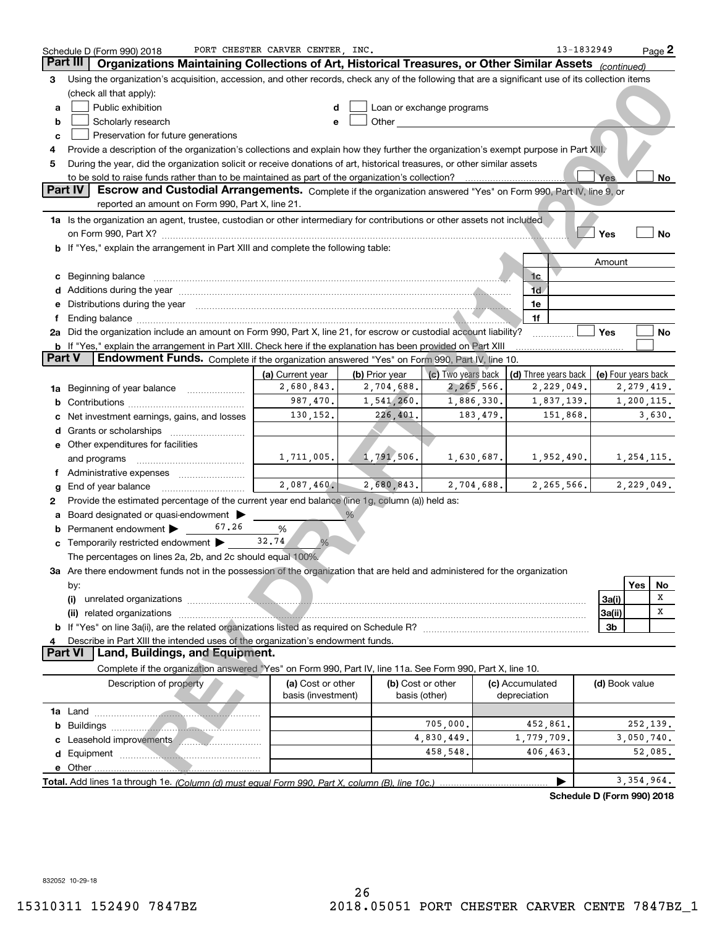|               | Schedule D (Form 990) 2018                                                                                                                                                                                                     | PORT CHESTER CARVER CENTER, INC.        |                              |                                                                                                                                                                                                                                |                                    | 13-1832949     | Page 2                            |
|---------------|--------------------------------------------------------------------------------------------------------------------------------------------------------------------------------------------------------------------------------|-----------------------------------------|------------------------------|--------------------------------------------------------------------------------------------------------------------------------------------------------------------------------------------------------------------------------|------------------------------------|----------------|-----------------------------------|
| Part III      | Organizations Maintaining Collections of Art, Historical Treasures, or Other Similar Assets (continued)                                                                                                                        |                                         |                              |                                                                                                                                                                                                                                |                                    |                |                                   |
| з             | Using the organization's acquisition, accession, and other records, check any of the following that are a significant use of its collection items                                                                              |                                         |                              |                                                                                                                                                                                                                                |                                    |                |                                   |
|               | (check all that apply):                                                                                                                                                                                                        |                                         |                              |                                                                                                                                                                                                                                |                                    |                |                                   |
| а             | Public exhibition                                                                                                                                                                                                              | d                                       |                              | Loan or exchange programs                                                                                                                                                                                                      |                                    |                |                                   |
| b             | Scholarly research                                                                                                                                                                                                             | e                                       |                              | Other the contract of the contract of the contract of the contract of the contract of the contract of the contract of the contract of the contract of the contract of the contract of the contract of the contract of the cont |                                    |                |                                   |
| с             | Preservation for future generations                                                                                                                                                                                            |                                         |                              |                                                                                                                                                                                                                                |                                    |                |                                   |
| 4             | Provide a description of the organization's collections and explain how they further the organization's exempt purpose in Part XIII.                                                                                           |                                         |                              |                                                                                                                                                                                                                                |                                    |                |                                   |
| 5             | During the year, did the organization solicit or receive donations of art, historical treasures, or other similar assets                                                                                                       |                                         |                              |                                                                                                                                                                                                                                |                                    |                |                                   |
|               | to be sold to raise funds rather than to be maintained as part of the organization's collection?                                                                                                                               |                                         |                              |                                                                                                                                                                                                                                |                                    | <b>Yes</b>     | No                                |
|               | Part IV<br>Escrow and Custodial Arrangements. Complete if the organization answered "Yes" on Form 990, Part IV, line 9, or                                                                                                     |                                         |                              |                                                                                                                                                                                                                                |                                    |                |                                   |
|               | reported an amount on Form 990, Part X, line 21.                                                                                                                                                                               |                                         |                              |                                                                                                                                                                                                                                |                                    |                |                                   |
|               | 1a Is the organization an agent, trustee, custodian or other intermediary for contributions or other assets not included                                                                                                       |                                         |                              |                                                                                                                                                                                                                                |                                    |                |                                   |
|               |                                                                                                                                                                                                                                |                                         |                              |                                                                                                                                                                                                                                |                                    | Yes            | No                                |
|               | b If "Yes," explain the arrangement in Part XIII and complete the following table:                                                                                                                                             |                                         |                              |                                                                                                                                                                                                                                |                                    |                |                                   |
|               |                                                                                                                                                                                                                                |                                         |                              |                                                                                                                                                                                                                                |                                    | Amount         |                                   |
| с             |                                                                                                                                                                                                                                |                                         |                              |                                                                                                                                                                                                                                | 1c                                 |                |                                   |
|               | Additions during the year manufactured and an account of the year manufactured and account of the second second                                                                                                                |                                         |                              |                                                                                                                                                                                                                                | 1d                                 |                |                                   |
| е             | Distributions during the year measurement contained and all the state of the state of the state of the state of the state of the state of the state of the state of the state of the state of the state of the state of the st |                                         |                              |                                                                                                                                                                                                                                | 1e                                 |                |                                   |
| f             |                                                                                                                                                                                                                                |                                         |                              |                                                                                                                                                                                                                                | 1f                                 |                |                                   |
|               | 2a Did the organization include an amount on Form 990, Part X, line 21, for escrow or custodial account liability?                                                                                                             |                                         |                              |                                                                                                                                                                                                                                |                                    | Yes            | No                                |
| <b>Part V</b> | <b>b</b> If "Yes," explain the arrangement in Part XIII. Check here if the explanation has been provided on Part XIII<br><b>Endowment Funds.</b> Complete if the organization answered "Yes" on Form 990, Part IV, line 10.    |                                         |                              |                                                                                                                                                                                                                                |                                    |                |                                   |
|               |                                                                                                                                                                                                                                |                                         |                              |                                                                                                                                                                                                                                |                                    |                |                                   |
|               |                                                                                                                                                                                                                                | (a) Current year<br>2,680,843.          | (b) Prior year<br>2,704,688. | (c) Two years back<br>2,265,566.                                                                                                                                                                                               | (d) Three years back<br>2,229,049. |                | (e) Four years back<br>2,279,419. |
| 1a            | Beginning of year balance <i>manumman</i>                                                                                                                                                                                      | 987,470.                                | 1,541,260.                   | 1,886,330.                                                                                                                                                                                                                     | 1,837,139.                         |                | 1,200,115.                        |
| b             |                                                                                                                                                                                                                                | 130,152.                                | 226,401.                     | 183,479.                                                                                                                                                                                                                       | 151,868.                           |                | 3,630.                            |
|               | Net investment earnings, gains, and losses                                                                                                                                                                                     |                                         |                              |                                                                                                                                                                                                                                |                                    |                |                                   |
| d             | e Other expenditures for facilities                                                                                                                                                                                            |                                         |                              |                                                                                                                                                                                                                                |                                    |                |                                   |
|               | and programs                                                                                                                                                                                                                   | 1,711,005.                              | 1,791,506.                   | 1,630,687.                                                                                                                                                                                                                     | 1,952,490.                         |                | 1,254,115.                        |
|               |                                                                                                                                                                                                                                |                                         |                              |                                                                                                                                                                                                                                |                                    |                |                                   |
|               | End of year balance                                                                                                                                                                                                            | 2,087,460.                              | 2,680,843.                   | 2,704,688.                                                                                                                                                                                                                     | 2, 265, 566.                       |                | 2,229,049.                        |
| 2             | Provide the estimated percentage of the current year end balance (line 1g, column (a)) held as:                                                                                                                                |                                         |                              |                                                                                                                                                                                                                                |                                    |                |                                   |
|               | Board designated or quasi-endowment                                                                                                                                                                                            |                                         |                              |                                                                                                                                                                                                                                |                                    |                |                                   |
|               | 67.26<br>Permanent endowment                                                                                                                                                                                                   | %                                       |                              |                                                                                                                                                                                                                                |                                    |                |                                   |
| с             | Temporarily restricted endowment >                                                                                                                                                                                             | 32.74<br>%                              |                              |                                                                                                                                                                                                                                |                                    |                |                                   |
|               | The percentages on lines 2a, 2b, and 2c should equal 100%.                                                                                                                                                                     |                                         |                              |                                                                                                                                                                                                                                |                                    |                |                                   |
|               | 3a Are there endowment funds not in the possession of the organization that are held and administered for the organization                                                                                                     |                                         |                              |                                                                                                                                                                                                                                |                                    |                |                                   |
|               | by:                                                                                                                                                                                                                            |                                         |                              |                                                                                                                                                                                                                                |                                    |                | <b>Yes</b><br>No                  |
|               | (i)                                                                                                                                                                                                                            |                                         |                              |                                                                                                                                                                                                                                |                                    | 3a(i)          | Χ                                 |
|               | (ii) related organizations                                                                                                                                                                                                     |                                         |                              |                                                                                                                                                                                                                                |                                    | 3a(ii)         | х                                 |
|               |                                                                                                                                                                                                                                |                                         |                              |                                                                                                                                                                                                                                |                                    | 3b             |                                   |
| 4             | Describe in Part XIII the intended uses of the organization's endowment funds.                                                                                                                                                 |                                         |                              |                                                                                                                                                                                                                                |                                    |                |                                   |
|               | <b>Part VI</b><br>Land, Buildings, and Equipment.                                                                                                                                                                              |                                         |                              |                                                                                                                                                                                                                                |                                    |                |                                   |
|               | Complete if the organization answered "Yes" on Form 990, Part IV, line 11a. See Form 990, Part X, line 10.                                                                                                                     |                                         |                              |                                                                                                                                                                                                                                |                                    |                |                                   |
|               | Description of property                                                                                                                                                                                                        | (a) Cost or other<br>basis (investment) |                              | (b) Cost or other<br>basis (other)                                                                                                                                                                                             | (c) Accumulated<br>depreciation    | (d) Book value |                                   |
|               |                                                                                                                                                                                                                                |                                         |                              |                                                                                                                                                                                                                                |                                    |                |                                   |
| b             | Buildings <b>Constitution Constitution Constitution Constitution Constitution Constitution Constitution</b>                                                                                                                    |                                         |                              | 705,000.                                                                                                                                                                                                                       | 452,861.                           |                | 252,139.                          |
|               | Leasehold improvements                                                                                                                                                                                                         |                                         |                              | 4,830,449.                                                                                                                                                                                                                     | 1,779,709.                         |                | 3,050,740.                        |
|               |                                                                                                                                                                                                                                |                                         |                              | 458,548.                                                                                                                                                                                                                       | 406,463.                           |                | 52,085.                           |
|               |                                                                                                                                                                                                                                |                                         |                              |                                                                                                                                                                                                                                |                                    |                |                                   |
|               |                                                                                                                                                                                                                                |                                         |                              |                                                                                                                                                                                                                                |                                    |                | 3, 354, 964.                      |

**Schedule D (Form 990) 2018**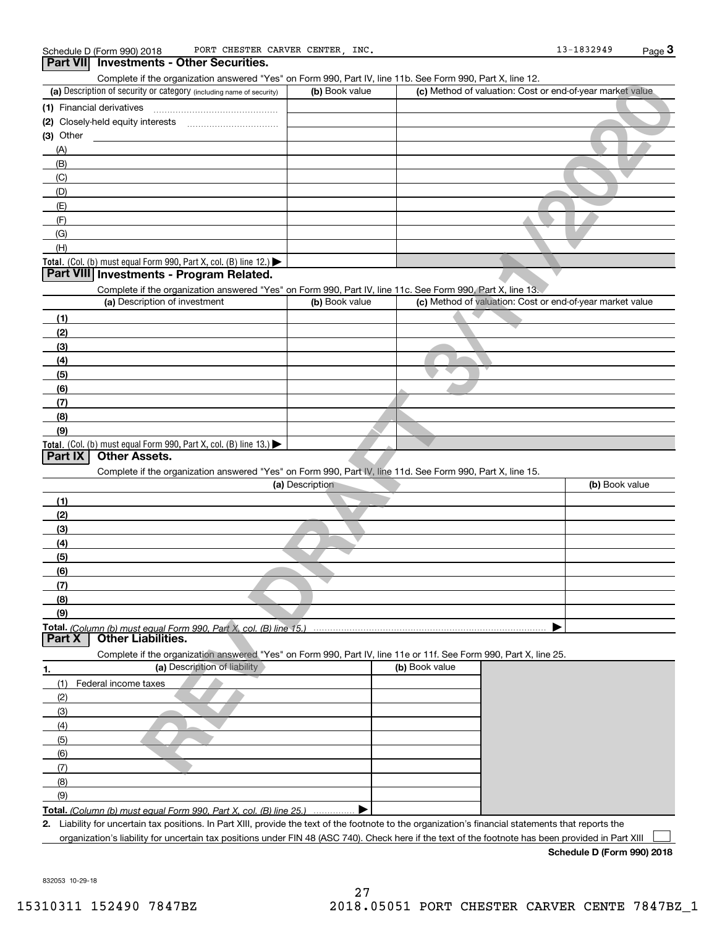| PORT CHESTER CARVER CENTER, INC.<br>Schedule D (Form 990) 2018                                                                                       |                 |                                                           | 13-1832949     | Page $3$ |
|------------------------------------------------------------------------------------------------------------------------------------------------------|-----------------|-----------------------------------------------------------|----------------|----------|
| Part VII Investments - Other Securities.                                                                                                             |                 |                                                           |                |          |
| Complete if the organization answered "Yes" on Form 990, Part IV, line 11b. See Form 990, Part X, line 12.                                           |                 |                                                           |                |          |
| (a) Description of security or category (including name of security)                                                                                 | (b) Book value  | (c) Method of valuation: Cost or end-of-year market value |                |          |
|                                                                                                                                                      |                 |                                                           |                |          |
|                                                                                                                                                      |                 |                                                           |                |          |
| $(3)$ Other                                                                                                                                          |                 |                                                           |                |          |
| (A)                                                                                                                                                  |                 |                                                           |                |          |
| (B)<br>(C)                                                                                                                                           |                 |                                                           |                |          |
| (D)                                                                                                                                                  |                 |                                                           |                |          |
| (E)                                                                                                                                                  |                 |                                                           |                |          |
| (F)                                                                                                                                                  |                 |                                                           |                |          |
| (G)                                                                                                                                                  |                 |                                                           |                |          |
| (H)                                                                                                                                                  |                 |                                                           |                |          |
| Total. (Col. (b) must equal Form 990, Part X, col. (B) line 12.) $\blacktriangleright$                                                               |                 |                                                           |                |          |
| Part VIII Investments - Program Related.                                                                                                             |                 |                                                           |                |          |
| Complete if the organization answered "Yes" on Form 990, Part IV, line 11c. See Form 990, Part X, line 13.                                           |                 |                                                           |                |          |
| (a) Description of investment                                                                                                                        | (b) Book value  | (c) Method of valuation: Cost or end-of-year market value |                |          |
| (1)                                                                                                                                                  |                 |                                                           |                |          |
| (2)                                                                                                                                                  |                 |                                                           |                |          |
| (3)                                                                                                                                                  |                 |                                                           |                |          |
| (4)                                                                                                                                                  |                 |                                                           |                |          |
| (5)                                                                                                                                                  |                 |                                                           |                |          |
| (6)                                                                                                                                                  |                 |                                                           |                |          |
| (7)                                                                                                                                                  |                 |                                                           |                |          |
| (8)<br>(9)                                                                                                                                           |                 |                                                           |                |          |
| Total. (Col. (b) must equal Form 990, Part X, col. (B) line 13.)                                                                                     |                 |                                                           |                |          |
| <b>Other Assets.</b><br>Part IX                                                                                                                      |                 |                                                           |                |          |
| Complete if the organization answered "Yes" on Form 990, Part IV, line 11d. See Form 990, Part X, line 15.                                           |                 |                                                           |                |          |
|                                                                                                                                                      | (a) Description |                                                           | (b) Book value |          |
| (1)                                                                                                                                                  |                 |                                                           |                |          |
| (2)                                                                                                                                                  |                 |                                                           |                |          |
| (3)                                                                                                                                                  |                 |                                                           |                |          |
| (4)                                                                                                                                                  |                 |                                                           |                |          |
| (5)                                                                                                                                                  |                 |                                                           |                |          |
| (6)                                                                                                                                                  |                 |                                                           |                |          |
| (7)                                                                                                                                                  |                 |                                                           |                |          |
| (8)                                                                                                                                                  |                 |                                                           |                |          |
| (9)                                                                                                                                                  |                 |                                                           |                |          |
| Total. (Column (b) must equal Form 990. Part X, col. (B) line 15.)<br><b>Other Liabilities.</b><br>Part X                                            |                 |                                                           |                |          |
| Complete if the organization answered "Yes" on Form 990, Part IV, line 11e or 11f. See Form 990, Part X, line 25.                                    |                 |                                                           |                |          |
| (a) Description of liability<br>1.                                                                                                                   |                 | (b) Book value                                            |                |          |
| (1)<br>Federal income taxes                                                                                                                          |                 |                                                           |                |          |
| (2)                                                                                                                                                  |                 |                                                           |                |          |
| (3)<br>(4)                                                                                                                                           |                 |                                                           |                |          |
| (5)                                                                                                                                                  |                 |                                                           |                |          |
| (6)                                                                                                                                                  |                 |                                                           |                |          |
| (7)                                                                                                                                                  |                 |                                                           |                |          |
| (8)                                                                                                                                                  |                 |                                                           |                |          |
| (9)                                                                                                                                                  |                 |                                                           |                |          |
| Total. (Column (b) must equal Form 990. Part X, col. (B) line 25.)                                                                                   |                 |                                                           |                |          |
| 2. Liability for uncertain tax positions. In Part XIII, provide the text of the footnote to the organization's financial statements that reports the |                 |                                                           |                |          |
| organization's liability for uncertain tax positions under FIN 48 (ASC 740). Check here if the text of the footnote has been provided in Part XIII   |                 |                                                           |                |          |

**Schedule D (Form 990) 2018**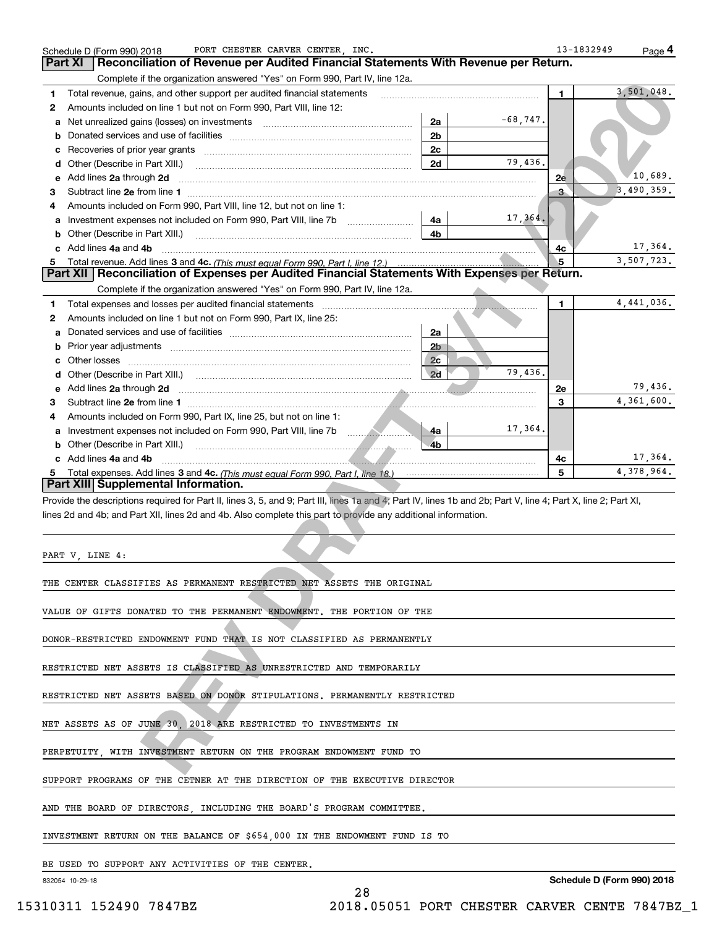| 1            | Complete if the organization answered "Yes" on Form 990, Part IV, line 12a.<br>Total revenue, gains, and other support per audited financial statements                                                                                                                                                                 |    |                                          |            | 1.          | 3,501,048.                 |
|--------------|-------------------------------------------------------------------------------------------------------------------------------------------------------------------------------------------------------------------------------------------------------------------------------------------------------------------------|----|------------------------------------------|------------|-------------|----------------------------|
| $\mathbf{2}$ | Amounts included on line 1 but not on Form 990, Part VIII, line 12:                                                                                                                                                                                                                                                     |    |                                          |            |             |                            |
| a            | Net unrealized gains (losses) on investments [111] [12] matter contracts and all all all all all all all all a                                                                                                                                                                                                          |    | 2a                                       | $-68,747.$ |             |                            |
| b            |                                                                                                                                                                                                                                                                                                                         |    | 2 <sub>b</sub>                           |            |             |                            |
| c            |                                                                                                                                                                                                                                                                                                                         |    | 2c                                       |            |             |                            |
| d            | Other (Describe in Part XIII.) <b>Construction Contract Construction</b> Chern Construction Chern Chern Chern Chern Chern Chern Chern Chern Chern Chern Chern Chern Chern Chern Chern Chern Chern Chern Chern Chern Chern Chern Che                                                                                     |    | 2d                                       | 79.436.    |             |                            |
| е            | Add lines 2a through 2d <b>contract and all anomalisation</b> and all and anomalisation of the state of the state of the state of the state of the state of the state of the state of the state of the state of the state of the st                                                                                     |    |                                          |            | 2e          | 10,689.                    |
| з            |                                                                                                                                                                                                                                                                                                                         |    |                                          |            | в.          | 3,490,359.                 |
| 4            | Amounts included on Form 990, Part VIII, line 12, but not on line 1:                                                                                                                                                                                                                                                    |    |                                          |            |             |                            |
| a            |                                                                                                                                                                                                                                                                                                                         |    | 4a                                       | 17,364.    |             |                            |
| b            | Other (Describe in Part XIII.) (2000) (2000) (2000) (2010) (2010) (2010) (2010) (2010) (2010) (2010) (2010) (20                                                                                                                                                                                                         |    | 4 <sub>b</sub>                           |            |             |                            |
|              | c Add lines 4a and 4b                                                                                                                                                                                                                                                                                                   |    |                                          |            | 4с          | 17,364.                    |
|              |                                                                                                                                                                                                                                                                                                                         |    |                                          |            | 5           | 3,507,723.                 |
|              | 5 Total revenue. Add lines 3 and 4c. (This must equal Form 990, Part I, line 12.)<br><b>Part XII   Reconciliation of Expenses per Audited Financial Statements With Expenses per Return.</b>                                                                                                                            |    |                                          |            |             |                            |
|              | Complete if the organization answered "Yes" on Form 990, Part IV, line 12a.                                                                                                                                                                                                                                             |    | <b><i>Contract Contract Contract</i></b> |            |             |                            |
| 1            |                                                                                                                                                                                                                                                                                                                         |    |                                          |            | $\mathbf 1$ | 4,441,036.                 |
| 2            | Amounts included on line 1 but not on Form 990, Part IX, line 25:                                                                                                                                                                                                                                                       |    |                                          |            |             |                            |
| a            |                                                                                                                                                                                                                                                                                                                         |    | 2a                                       |            |             |                            |
| b            |                                                                                                                                                                                                                                                                                                                         |    | 2 <sub>D</sub>                           |            |             |                            |
| c            |                                                                                                                                                                                                                                                                                                                         |    | 2c                                       |            |             |                            |
| d            |                                                                                                                                                                                                                                                                                                                         |    | 2d                                       | 79 436.    |             |                            |
| е            | Add lines 2a through 2d <b>contained a contained a contained a contained a contained a contained a contained a contained a contact a contact a contact a contact a contact a contact a contact a contact a contact a contact a c</b>                                                                                    |    |                                          |            | 2e          | 79,436.                    |
| з            |                                                                                                                                                                                                                                                                                                                         |    |                                          |            | 3           | 4,361,600.                 |
| 4            | Amounts included on Form 990, Part IX, line 25, but not on line 1:                                                                                                                                                                                                                                                      |    |                                          |            |             |                            |
| a            |                                                                                                                                                                                                                                                                                                                         |    | -4a                                      | 17,364.    |             |                            |
|              |                                                                                                                                                                                                                                                                                                                         |    |                                          |            |             |                            |
| b            |                                                                                                                                                                                                                                                                                                                         |    | $-4b$                                    |            |             |                            |
|              | Other (Describe in Part XIII.) <b>Construction and Construction</b> Change and Change and Change and Change and Change<br>c Add lines 4a and 4b                                                                                                                                                                         |    |                                          |            |             |                            |
| 5            | Part XIII Supplemental Information.<br>Provide the descriptions required for Part II, lines 3, 5, and 9; Part III, lines 1a and 4; Part IV, lines 1b and 2b; Part V, line 4; Part X, line 2; Part XI,<br>lines 2d and 4b; and Part XII, lines 2d and 4b. Also complete this part to provide any additional information. |    |                                          |            | 4с<br>5     |                            |
|              |                                                                                                                                                                                                                                                                                                                         |    |                                          |            |             |                            |
|              |                                                                                                                                                                                                                                                                                                                         |    |                                          |            |             |                            |
|              | PART V, LINE 4:                                                                                                                                                                                                                                                                                                         |    |                                          |            |             | 17,364.<br>4,378,964.      |
|              | THE CENTER CLASSIFIES AS PERMANENT RESTRICTED NET ASSETS THE ORIGINAL                                                                                                                                                                                                                                                   |    |                                          |            |             |                            |
|              |                                                                                                                                                                                                                                                                                                                         |    |                                          |            |             |                            |
|              | VALUE OF GIFTS DONATED TO THE PERMANENT ENDOWMENT. THE PORTION OF THE                                                                                                                                                                                                                                                   |    |                                          |            |             |                            |
|              |                                                                                                                                                                                                                                                                                                                         |    |                                          |            |             |                            |
|              | DONOR-RESTRICTED ENDOWMENT FUND THAT IS NOT CLASSIFIED AS PERMANENTLY                                                                                                                                                                                                                                                   |    |                                          |            |             |                            |
|              |                                                                                                                                                                                                                                                                                                                         |    |                                          |            |             |                            |
|              | RESTRICTED NET ASSETS IS CLASSIFIED AS UNRESTRICTED AND TEMPORARILY                                                                                                                                                                                                                                                     |    |                                          |            |             |                            |
|              |                                                                                                                                                                                                                                                                                                                         |    |                                          |            |             |                            |
|              | RESTRICTED NET ASSETS BASED ON DONOR STIPULATIONS. PERMANENTLY RESTRICTED                                                                                                                                                                                                                                               |    |                                          |            |             |                            |
|              |                                                                                                                                                                                                                                                                                                                         |    |                                          |            |             |                            |
|              | NET ASSETS AS OF JUNE 30, 2018 ARE RESTRICTED TO INVESTMENTS IN                                                                                                                                                                                                                                                         |    |                                          |            |             |                            |
|              |                                                                                                                                                                                                                                                                                                                         |    |                                          |            |             |                            |
|              | PERPETUITY, WITH INVESTMENT RETURN ON THE PROGRAM ENDOWMENT FUND TO                                                                                                                                                                                                                                                     |    |                                          |            |             |                            |
|              | SUPPORT PROGRAMS OF THE CETNER AT THE DIRECTION OF THE EXECUTIVE DIRECTOR                                                                                                                                                                                                                                               |    |                                          |            |             |                            |
|              |                                                                                                                                                                                                                                                                                                                         |    |                                          |            |             |                            |
|              | AND THE BOARD OF DIRECTORS, INCLUDING THE BOARD'S PROGRAM COMMITTEE.                                                                                                                                                                                                                                                    |    |                                          |            |             |                            |
|              | INVESTMENT RETURN ON THE BALANCE OF \$654,000 IN THE ENDOWMENT FUND IS TO                                                                                                                                                                                                                                               |    |                                          |            |             |                            |
|              |                                                                                                                                                                                                                                                                                                                         |    |                                          |            |             |                            |
|              | BE USED TO SUPPORT ANY ACTIVITIES OF THE CENTER.                                                                                                                                                                                                                                                                        |    |                                          |            |             |                            |
|              | 832054 10-29-18                                                                                                                                                                                                                                                                                                         | 28 |                                          |            |             | Schedule D (Form 990) 2018 |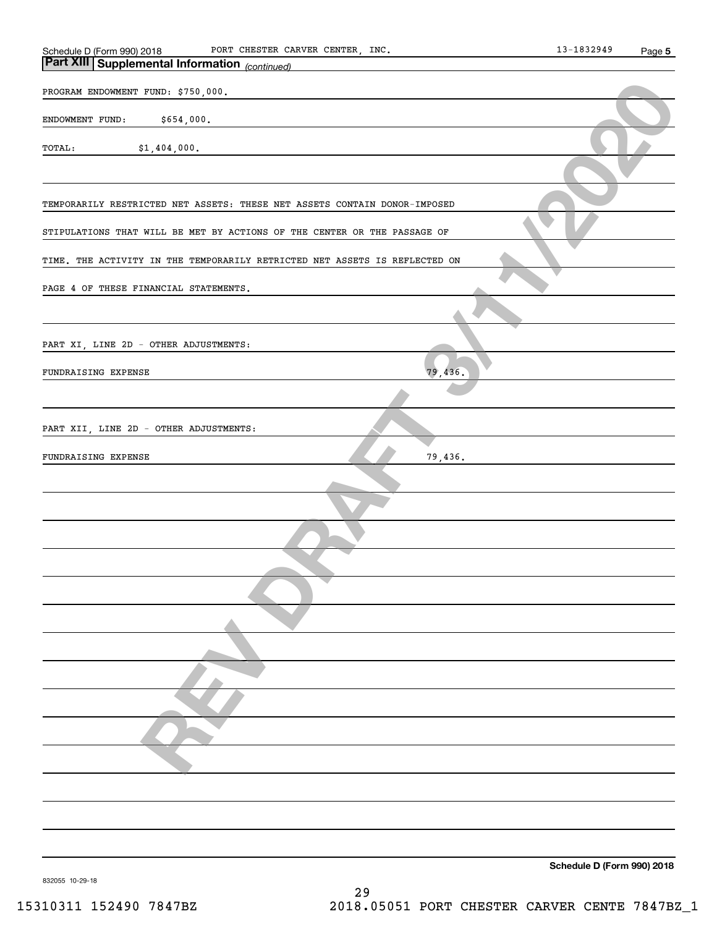| Schedule D (Form 990) 2018                                                 | 13-1832949 | Page 5 |
|----------------------------------------------------------------------------|------------|--------|
| Part XIII Supplemental Information (continued)                             |            |        |
| PROGRAM ENDOWMENT FUND: \$750,000.                                         |            |        |
|                                                                            |            |        |
| ENDOWMENT FUND:<br>\$654,000.                                              |            |        |
| TOTAL:<br>\$1,404,000.                                                     |            |        |
|                                                                            |            |        |
|                                                                            |            |        |
| TEMPORARILY RESTRICTED NET ASSETS: THESE NET ASSETS CONTAIN DONOR-IMPOSED  |            |        |
|                                                                            |            |        |
| STIPULATIONS THAT WILL BE MET BY ACTIONS OF THE CENTER OR THE PASSAGE OF   |            |        |
| TIME. THE ACTIVITY IN THE TEMPORARILY RETRICTED NET ASSETS IS REFLECTED ON |            |        |
|                                                                            |            |        |
| PAGE 4 OF THESE FINANCIAL STATEMENTS.                                      |            |        |
|                                                                            |            |        |
|                                                                            |            |        |
| PART XI, LINE 2D - OTHER ADJUSTMENTS:                                      |            |        |
| 79,436.<br>FUNDRAISING EXPENSE                                             |            |        |
|                                                                            |            |        |
|                                                                            |            |        |
| PART XII, LINE 2D - OTHER ADJUSTMENTS:                                     |            |        |
|                                                                            |            |        |
| 79,436.<br>FUNDRAISING EXPENSE                                             |            |        |
|                                                                            |            |        |
|                                                                            |            |        |
|                                                                            |            |        |
|                                                                            |            |        |
|                                                                            |            |        |
|                                                                            |            |        |
|                                                                            |            |        |
|                                                                            |            |        |
|                                                                            |            |        |
|                                                                            |            |        |
|                                                                            |            |        |
|                                                                            |            |        |
|                                                                            |            |        |
|                                                                            |            |        |
|                                                                            |            |        |
|                                                                            |            |        |
|                                                                            |            |        |
|                                                                            |            |        |
|                                                                            |            |        |
|                                                                            |            |        |

**Schedule D (Form 990) 2018**

832055 10-29-18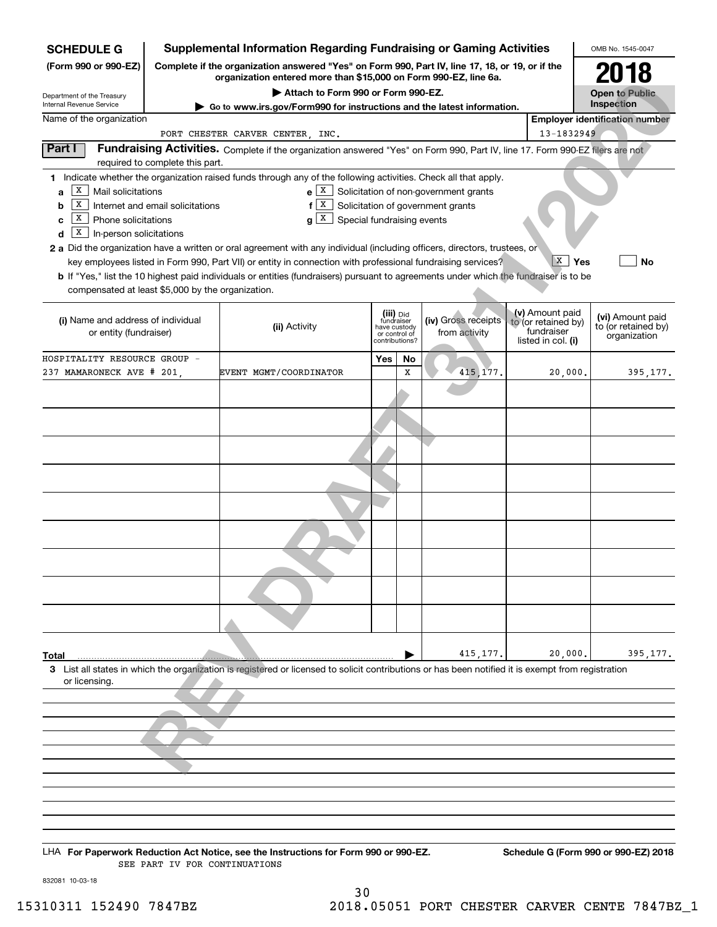| <b>SCHEDULE G</b>                                                                                                                                                   |                                  | <b>Supplemental Information Regarding Fundraising or Gaming Activities</b>                                                                                                                                                                                                                                                                                                                                                                                                                                                                                                            |                                                 |                         |                                             |                                                                            | OMB No. 1545-0047                                       |
|---------------------------------------------------------------------------------------------------------------------------------------------------------------------|----------------------------------|---------------------------------------------------------------------------------------------------------------------------------------------------------------------------------------------------------------------------------------------------------------------------------------------------------------------------------------------------------------------------------------------------------------------------------------------------------------------------------------------------------------------------------------------------------------------------------------|-------------------------------------------------|-------------------------|---------------------------------------------|----------------------------------------------------------------------------|---------------------------------------------------------|
| (Form 990 or 990-EZ)                                                                                                                                                |                                  | Complete if the organization answered "Yes" on Form 990, Part IV, line 17, 18, or 19, or if the<br>organization entered more than \$15,000 on Form 990-EZ, line 6a.                                                                                                                                                                                                                                                                                                                                                                                                                   |                                                 |                         |                                             |                                                                            | 2018                                                    |
| Department of the Treasury<br>Internal Revenue Service                                                                                                              |                                  | Attach to Form 990 or Form 990-EZ.                                                                                                                                                                                                                                                                                                                                                                                                                                                                                                                                                    |                                                 |                         |                                             |                                                                            | <b>Open to Public</b><br>Inspection                     |
| Name of the organization                                                                                                                                            |                                  | Go to www.irs.gov/Form990 for instructions and the latest information.                                                                                                                                                                                                                                                                                                                                                                                                                                                                                                                |                                                 |                         |                                             |                                                                            | <b>Employer identification number</b>                   |
|                                                                                                                                                                     |                                  | PORT CHESTER CARVER CENTER, INC.                                                                                                                                                                                                                                                                                                                                                                                                                                                                                                                                                      |                                                 |                         |                                             | 13-1832949                                                                 |                                                         |
| Part I                                                                                                                                                              | required to complete this part.  | Fundraising Activities. Complete if the organization answered "Yes" on Form 990, Part IV, line 17. Form 990-EZ filers are not                                                                                                                                                                                                                                                                                                                                                                                                                                                         |                                                 |                         |                                             |                                                                            |                                                         |
| X<br>Mail solicitations<br>a<br>x<br>b<br>X<br>Phone solicitations<br>c<br> X <br>In-person solicitations<br>d<br>compensated at least \$5,000 by the organization. | Internet and email solicitations | 1 Indicate whether the organization raised funds through any of the following activities. Check all that apply.<br>$f[X]$ Solicitation of government grants<br>$g X$ Special fundraising events<br>2 a Did the organization have a written or oral agreement with any individual (including officers, directors, trustees, or<br>key employees listed in Form 990, Part VII) or entity in connection with professional fundraising services?<br>b If "Yes," list the 10 highest paid individuals or entities (fundraisers) pursuant to agreements under which the fundraiser is to be |                                                 |                         | $e X$ Solicitation of non-government grants | $X \mid$<br>Yes                                                            | No                                                      |
| (i) Name and address of individual<br>or entity (fundraiser)                                                                                                        |                                  | (ii) Activity                                                                                                                                                                                                                                                                                                                                                                                                                                                                                                                                                                         | have custody<br>or control of<br>contributions? | (iii) Did<br>fundraiser | (iv) Gross receipts<br>from activity        | (v) Amount paid<br>to (or retained by)<br>fundraiser<br>listed in col. (i) | (vi) Amount paid<br>to (or retained by)<br>organization |
| HOSPITALITY RESOURCE GROUP -<br>237 MAMARONECK AVE # 201,                                                                                                           |                                  | EVENT MGMT/COORDINATOR                                                                                                                                                                                                                                                                                                                                                                                                                                                                                                                                                                | Yes                                             | No<br>X                 | 415, 177.                                   | 20,000.                                                                    | 395,177.                                                |
|                                                                                                                                                                     |                                  |                                                                                                                                                                                                                                                                                                                                                                                                                                                                                                                                                                                       |                                                 |                         |                                             |                                                                            |                                                         |
|                                                                                                                                                                     |                                  |                                                                                                                                                                                                                                                                                                                                                                                                                                                                                                                                                                                       |                                                 |                         |                                             |                                                                            |                                                         |
|                                                                                                                                                                     |                                  |                                                                                                                                                                                                                                                                                                                                                                                                                                                                                                                                                                                       |                                                 |                         |                                             |                                                                            |                                                         |
|                                                                                                                                                                     |                                  |                                                                                                                                                                                                                                                                                                                                                                                                                                                                                                                                                                                       |                                                 |                         |                                             |                                                                            |                                                         |
|                                                                                                                                                                     |                                  |                                                                                                                                                                                                                                                                                                                                                                                                                                                                                                                                                                                       |                                                 |                         |                                             |                                                                            |                                                         |
|                                                                                                                                                                     |                                  |                                                                                                                                                                                                                                                                                                                                                                                                                                                                                                                                                                                       |                                                 |                         |                                             |                                                                            |                                                         |
|                                                                                                                                                                     |                                  |                                                                                                                                                                                                                                                                                                                                                                                                                                                                                                                                                                                       |                                                 |                         |                                             |                                                                            |                                                         |
|                                                                                                                                                                     |                                  |                                                                                                                                                                                                                                                                                                                                                                                                                                                                                                                                                                                       |                                                 |                         |                                             |                                                                            |                                                         |
|                                                                                                                                                                     |                                  |                                                                                                                                                                                                                                                                                                                                                                                                                                                                                                                                                                                       |                                                 |                         |                                             |                                                                            |                                                         |
|                                                                                                                                                                     |                                  |                                                                                                                                                                                                                                                                                                                                                                                                                                                                                                                                                                                       |                                                 |                         |                                             |                                                                            |                                                         |
| Total                                                                                                                                                               |                                  |                                                                                                                                                                                                                                                                                                                                                                                                                                                                                                                                                                                       |                                                 |                         | 415, 177.                                   | 20,000.                                                                    | 395,177.                                                |
| or licensing.                                                                                                                                                       |                                  | 3 List all states in which the organization is registered or licensed to solicit contributions or has been notified it is exempt from registration                                                                                                                                                                                                                                                                                                                                                                                                                                    |                                                 |                         |                                             |                                                                            |                                                         |
|                                                                                                                                                                     |                                  |                                                                                                                                                                                                                                                                                                                                                                                                                                                                                                                                                                                       |                                                 |                         |                                             |                                                                            |                                                         |
|                                                                                                                                                                     |                                  |                                                                                                                                                                                                                                                                                                                                                                                                                                                                                                                                                                                       |                                                 |                         |                                             |                                                                            |                                                         |
|                                                                                                                                                                     |                                  |                                                                                                                                                                                                                                                                                                                                                                                                                                                                                                                                                                                       |                                                 |                         |                                             |                                                                            |                                                         |
|                                                                                                                                                                     |                                  |                                                                                                                                                                                                                                                                                                                                                                                                                                                                                                                                                                                       |                                                 |                         |                                             |                                                                            |                                                         |
|                                                                                                                                                                     |                                  |                                                                                                                                                                                                                                                                                                                                                                                                                                                                                                                                                                                       |                                                 |                         |                                             |                                                                            |                                                         |
|                                                                                                                                                                     |                                  |                                                                                                                                                                                                                                                                                                                                                                                                                                                                                                                                                                                       |                                                 |                         |                                             |                                                                            |                                                         |
|                                                                                                                                                                     |                                  |                                                                                                                                                                                                                                                                                                                                                                                                                                                                                                                                                                                       |                                                 |                         |                                             |                                                                            |                                                         |
|                                                                                                                                                                     |                                  |                                                                                                                                                                                                                                                                                                                                                                                                                                                                                                                                                                                       |                                                 |                         |                                             |                                                                            |                                                         |
|                                                                                                                                                                     |                                  |                                                                                                                                                                                                                                                                                                                                                                                                                                                                                                                                                                                       |                                                 |                         |                                             |                                                                            |                                                         |

LHA For Paperwork Reduction Act Notice, see the Instructions for Form 990 or 990-EZ. Schedule G (Form 990 or 990-EZ) 2018 SEE PART IV FOR CONTINUATIONS

832081 10-03-18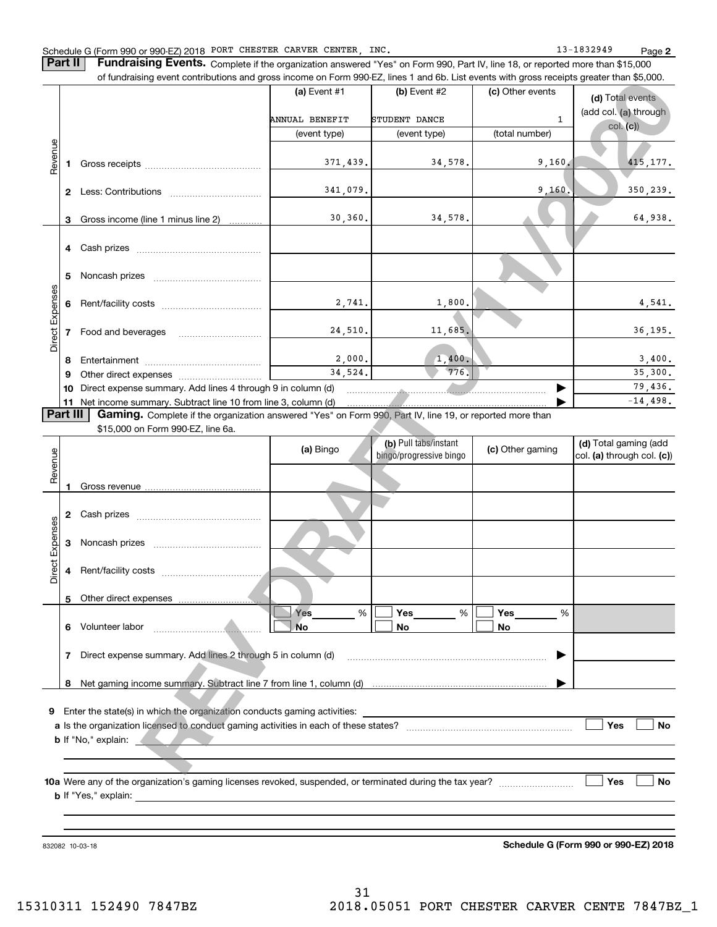**Part II** | Fundraising Events. Complete if the organization answered "Yes" on Form 990, Part IV, line 18, or reported more than \$15,000 of fundraising event contributions and gross income on Form 990-EZ, lines 1 and 6b. List events with gross receipts greater than \$5,000.

|                 |              |                                                                 | (a) Event $#1$                  | $(b)$ Event #2 | (c) Other events | (d) Total events                  |
|-----------------|--------------|-----------------------------------------------------------------|---------------------------------|----------------|------------------|-----------------------------------|
|                 |              |                                                                 | ANNUAL BENEFIT<br>STUDENT DANCE |                | $\mathbf{1}$     | (add col. (a) through<br>col. (c) |
|                 |              |                                                                 | (event type)                    | (event type)   | (total number)   |                                   |
| Revenue         |              |                                                                 | 371,439.                        | 34,578.        | 9,160.           | 415, 177.                         |
|                 | $\mathbf{2}$ | Less: Contributions                                             | 341,079.                        |                | 9,160.           | 350,239.                          |
|                 | 3            | Gross income (line 1 minus line 2)                              | 30, 360.                        | 34,578.        |                  | 64,938.                           |
|                 |              | 4 Cash prizes                                                   |                                 |                |                  |                                   |
|                 | 5            |                                                                 |                                 |                |                  |                                   |
|                 | 6            |                                                                 | 2,741.                          | 1,800.         |                  | 4,541.                            |
| Direct Expenses |              | Food and beverages                                              | 24,510.                         | 11,685.        |                  | 36, 195.                          |
|                 | 8            |                                                                 | 2,000.                          | 1,400.         |                  | 3,400.                            |
|                 | 9            | Other direct expenses <i>manually contained</i>                 | 34,524.                         | 776.           |                  | 35,300.                           |
|                 | 10           | Direct expense summary. Add lines 4 through 9 in column (d)     |                                 |                |                  | 79,436.                           |
|                 |              | 11 Net income summary. Subtract line 10 from line 3, column (d) |                                 |                |                  | $-14,498.$                        |

|                 |    | or iuridiaising event contributions and gross income on Form 990-EZ, lines T and 6D. List events with gross receipts greater than \$5,000. |                |                                                  |                  |                                                     |
|-----------------|----|--------------------------------------------------------------------------------------------------------------------------------------------|----------------|--------------------------------------------------|------------------|-----------------------------------------------------|
|                 |    |                                                                                                                                            | (a) Event $#1$ | $(b)$ Event #2                                   | (c) Other events | (d) Total events                                    |
|                 |    |                                                                                                                                            | ANNUAL BENEFIT | STUDENT DANCE                                    | 1                | (add col. (a) through                               |
|                 |    |                                                                                                                                            | (event type)   | (event type)                                     | (total number)   | col. (c)                                            |
|                 |    |                                                                                                                                            |                |                                                  |                  |                                                     |
| Revenue         | 1  |                                                                                                                                            | 371,439.       | 34,578.                                          | 9,160.           | 415, 177.                                           |
|                 |    |                                                                                                                                            |                |                                                  |                  |                                                     |
|                 |    |                                                                                                                                            | 341,079.       |                                                  | 9,160.           | 350,239.                                            |
|                 |    |                                                                                                                                            |                |                                                  |                  |                                                     |
|                 | 3  | Gross income (line 1 minus line 2)                                                                                                         | 30, 360.       | 34,578.                                          |                  | 64,938.                                             |
|                 |    |                                                                                                                                            |                |                                                  |                  |                                                     |
|                 |    |                                                                                                                                            |                |                                                  |                  |                                                     |
|                 |    |                                                                                                                                            |                |                                                  |                  |                                                     |
|                 | 5  |                                                                                                                                            |                |                                                  |                  |                                                     |
| Direct Expenses | 6  |                                                                                                                                            | 2,741.         | 1,800.                                           |                  | 4,541.                                              |
|                 |    |                                                                                                                                            |                |                                                  |                  |                                                     |
|                 | 7  | Food and beverages                                                                                                                         | 24,510.        | 11,685.                                          |                  | 36, 195.                                            |
|                 |    |                                                                                                                                            |                |                                                  |                  |                                                     |
|                 | 8  |                                                                                                                                            | 2,000.         | 1,400.                                           |                  | 3,400.                                              |
|                 | 9  |                                                                                                                                            | 34,524.        | 776.                                             |                  | 35,300.                                             |
|                 | 10 | Direct expense summary. Add lines 4 through 9 in column (d)                                                                                |                |                                                  |                  | 79,436.                                             |
|                 |    | 11 Net income summary. Subtract line 10 from line 3, column (d)                                                                            |                |                                                  |                  | $-14,498.$                                          |
| Part III        |    | Gaming. Complete if the organization answered "Yes" on Form 990, Part IV, line 19, or reported more than                                   |                |                                                  |                  |                                                     |
|                 |    | \$15,000 on Form 990-EZ, line 6a.                                                                                                          |                |                                                  |                  |                                                     |
|                 |    |                                                                                                                                            | (a) Bingo      | (b) Pull tabs/instant<br>bingo/progressive bingo | (c) Other gaming | (d) Total gaming (add<br>col. (a) through col. (c)) |
| Revenue         |    |                                                                                                                                            |                |                                                  |                  |                                                     |
|                 | 1  |                                                                                                                                            |                |                                                  |                  |                                                     |
|                 |    |                                                                                                                                            |                |                                                  |                  |                                                     |
|                 | 2  |                                                                                                                                            |                |                                                  |                  |                                                     |
|                 |    |                                                                                                                                            |                |                                                  |                  |                                                     |
| Direct Expenses | 3  |                                                                                                                                            |                |                                                  |                  |                                                     |
|                 |    |                                                                                                                                            |                |                                                  |                  |                                                     |
|                 | 4  |                                                                                                                                            |                |                                                  |                  |                                                     |
|                 |    |                                                                                                                                            |                |                                                  |                  |                                                     |
|                 |    | 5 Other direct expenses                                                                                                                    |                |                                                  |                  |                                                     |
|                 |    |                                                                                                                                            | Yes<br>%       | Yes<br>%                                         | Yes<br>%         |                                                     |
|                 | 6  | Volunteer labor                                                                                                                            | No             | No                                               | No               |                                                     |
|                 | 7  | Direct expense summary. Add lines 2 through 5 in column (d)                                                                                |                |                                                  |                  |                                                     |
|                 |    |                                                                                                                                            |                |                                                  |                  |                                                     |
|                 | 8  |                                                                                                                                            |                |                                                  |                  |                                                     |
|                 |    |                                                                                                                                            |                |                                                  |                  |                                                     |
| 9               |    |                                                                                                                                            |                |                                                  |                  |                                                     |
|                 |    | Enter the state(s) in which the organization conducts gaming activities:                                                                   |                |                                                  |                  |                                                     |
|                 |    |                                                                                                                                            |                |                                                  |                  | Yes<br>No                                           |
|                 |    | <b>b</b> If "No," explain:                                                                                                                 |                |                                                  |                  |                                                     |
|                 |    |                                                                                                                                            |                |                                                  |                  |                                                     |
|                 |    |                                                                                                                                            |                |                                                  |                  |                                                     |
|                 |    |                                                                                                                                            |                |                                                  |                  | Yes<br>No                                           |
|                 |    | <b>b</b> If "Yes," explain:                                                                                                                |                |                                                  |                  |                                                     |
|                 |    |                                                                                                                                            |                |                                                  |                  |                                                     |

832082 10-03-18

**Schedule G (Form 990 or 990-EZ) 2018**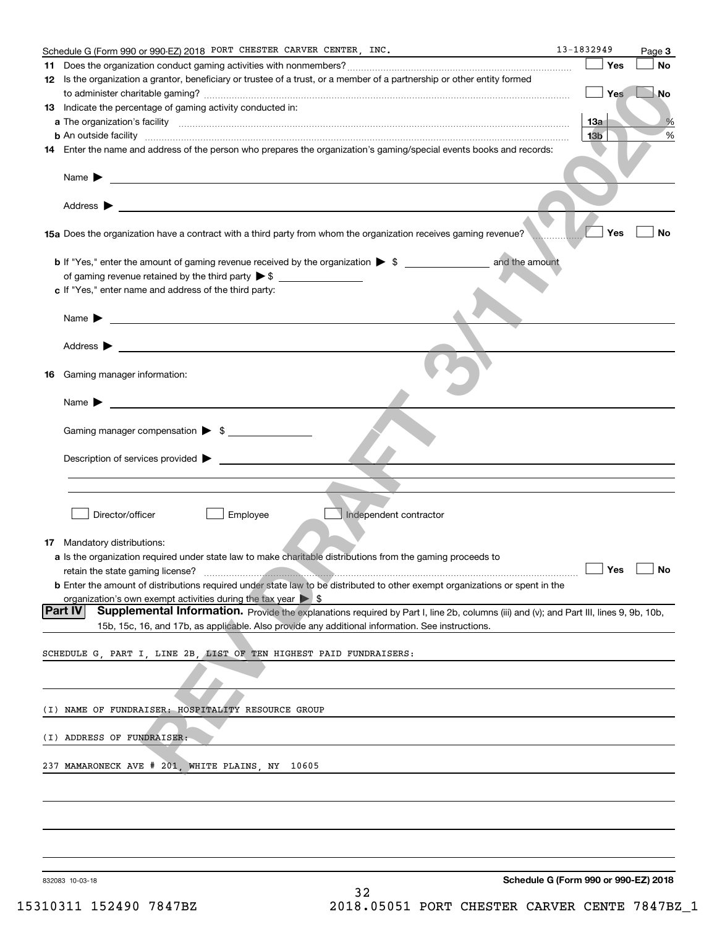|    | Schedule G (Form 990 or 990-EZ) 2018 PORT CHESTER CARVER CENTER, INC.                                                                                                                                                                     | 13-1832949                           | Page 3    |
|----|-------------------------------------------------------------------------------------------------------------------------------------------------------------------------------------------------------------------------------------------|--------------------------------------|-----------|
|    |                                                                                                                                                                                                                                           | Yes                                  | <b>No</b> |
|    | 12 Is the organization a grantor, beneficiary or trustee of a trust, or a member of a partnership or other entity formed                                                                                                                  |                                      |           |
|    |                                                                                                                                                                                                                                           | <b>Yes</b>                           | No        |
|    | 13 Indicate the percentage of gaming activity conducted in:                                                                                                                                                                               |                                      |           |
|    |                                                                                                                                                                                                                                           | 13a                                  | %         |
|    | <b>b</b> An outside facility <i>www.communically.communically.communically.communically.communically.communically.communically.communically.communically.communically.communically.communically.communically.communically.communicall</i> | 13 <sub>b</sub>                      | $\%$      |
|    | 14 Enter the name and address of the person who prepares the organization's gaming/special events books and records:                                                                                                                      |                                      |           |
|    |                                                                                                                                                                                                                                           |                                      |           |
|    |                                                                                                                                                                                                                                           |                                      |           |
|    | Name $\blacktriangleright$ $\bot$                                                                                                                                                                                                         |                                      |           |
|    |                                                                                                                                                                                                                                           |                                      |           |
|    |                                                                                                                                                                                                                                           |                                      |           |
|    | 15a Does the organization have a contract with a third party from whom the organization receives gaming revenue?                                                                                                                          | Yes                                  | No        |
|    |                                                                                                                                                                                                                                           |                                      |           |
|    | and the amount<br><b>b</b> If "Yes," enter the amount of gaming revenue received by the organization $\triangleright$ \$                                                                                                                  |                                      |           |
|    |                                                                                                                                                                                                                                           |                                      |           |
|    | c If "Yes," enter name and address of the third party:                                                                                                                                                                                    |                                      |           |
|    |                                                                                                                                                                                                                                           |                                      |           |
|    | Name $\blacktriangleright$ $\frac{1}{\sqrt{1-\frac{1}{2}}\left(1-\frac{1}{2}\right)}$                                                                                                                                                     |                                      |           |
|    |                                                                                                                                                                                                                                           |                                      |           |
|    | Address $\blacktriangleright$<br><u> 1989 - Andrea Stadt Britain, amerikansk politiker (</u>                                                                                                                                              |                                      |           |
|    |                                                                                                                                                                                                                                           |                                      |           |
|    | Gaming manager information:                                                                                                                                                                                                               |                                      |           |
| 16 |                                                                                                                                                                                                                                           |                                      |           |
|    |                                                                                                                                                                                                                                           |                                      |           |
|    |                                                                                                                                                                                                                                           |                                      |           |
|    |                                                                                                                                                                                                                                           |                                      |           |
|    | Gaming manager compensation > \$                                                                                                                                                                                                          |                                      |           |
|    |                                                                                                                                                                                                                                           |                                      |           |
|    | Description of services provided $\blacktriangleright$                                                                                                                                                                                    |                                      |           |
|    |                                                                                                                                                                                                                                           |                                      |           |
|    |                                                                                                                                                                                                                                           |                                      |           |
|    |                                                                                                                                                                                                                                           |                                      |           |
|    | Director/officer<br>Employee<br>Independent contractor                                                                                                                                                                                    |                                      |           |
|    |                                                                                                                                                                                                                                           |                                      |           |
|    | 17 Mandatory distributions:                                                                                                                                                                                                               |                                      |           |
|    | a Is the organization required under state law to make charitable distributions from the gaming proceeds to                                                                                                                               |                                      |           |
|    | $\begin{tabular}{c} \hline \textbf{Yes} \\ \hline \end{tabular}$<br>retain the state gaming license?                                                                                                                                      |                                      | $\Box$ No |
|    | <b>b</b> Enter the amount of distributions required under state law to be distributed to other exempt organizations or spent in the                                                                                                       |                                      |           |
|    | organization's own exempt activities during the tax year $\triangleright$ \$                                                                                                                                                              |                                      |           |
|    | Part IV<br>Supplemental Information. Provide the explanations required by Part I, line 2b, columns (iii) and (v); and Part III, lines 9, 9b, 10b,                                                                                         |                                      |           |
|    | 15b, 15c, 16, and 17b, as applicable. Also provide any additional information. See instructions.                                                                                                                                          |                                      |           |
|    |                                                                                                                                                                                                                                           |                                      |           |
|    | SCHEDULE G. PART I. LINE 2B. LIST OF TEN HIGHEST PAID FUNDRAISERS:                                                                                                                                                                        |                                      |           |
|    |                                                                                                                                                                                                                                           |                                      |           |
|    |                                                                                                                                                                                                                                           |                                      |           |
|    |                                                                                                                                                                                                                                           |                                      |           |
|    | (I) NAME OF FUNDRAISER: HOSPITALITY RESOURCE GROUP                                                                                                                                                                                        |                                      |           |
|    |                                                                                                                                                                                                                                           |                                      |           |
|    | (I) ADDRESS OF FUNDRAISER:                                                                                                                                                                                                                |                                      |           |
|    |                                                                                                                                                                                                                                           |                                      |           |
|    |                                                                                                                                                                                                                                           |                                      |           |
|    | 237 MAMARONECK AVE # 201, WHITE PLAINS, NY 10605                                                                                                                                                                                          |                                      |           |
|    |                                                                                                                                                                                                                                           |                                      |           |
|    |                                                                                                                                                                                                                                           |                                      |           |
|    |                                                                                                                                                                                                                                           |                                      |           |
|    |                                                                                                                                                                                                                                           |                                      |           |
|    |                                                                                                                                                                                                                                           |                                      |           |
|    |                                                                                                                                                                                                                                           |                                      |           |
|    |                                                                                                                                                                                                                                           |                                      |           |
|    | 832083 10-03-18<br>32                                                                                                                                                                                                                     | Schedule G (Form 990 or 990-EZ) 2018 |           |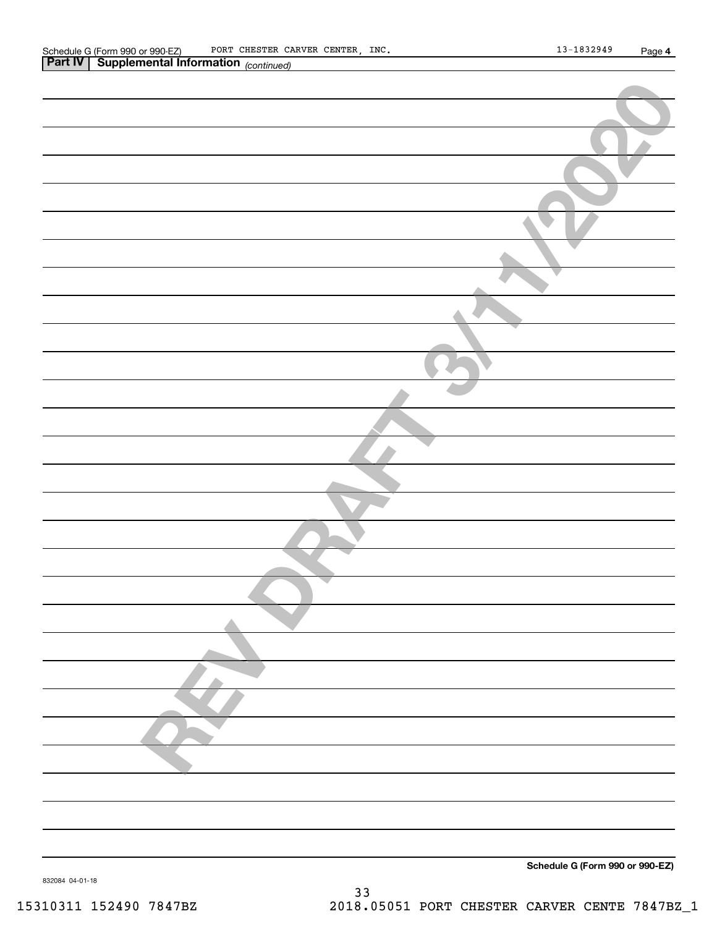| <b>Part IV</b> Supplemental Information (continued) |
|-----------------------------------------------------|
|                                                     |
|                                                     |
|                                                     |
|                                                     |
|                                                     |
|                                                     |
|                                                     |
|                                                     |
|                                                     |
|                                                     |
|                                                     |
|                                                     |
|                                                     |
|                                                     |
|                                                     |
|                                                     |
|                                                     |
|                                                     |
|                                                     |
|                                                     |
|                                                     |
|                                                     |
|                                                     |
|                                                     |
|                                                     |
|                                                     |
|                                                     |
|                                                     |
|                                                     |
|                                                     |
|                                                     |
|                                                     |
|                                                     |
|                                                     |
|                                                     |
| Schedule G (Form 990 or 990-EZ)                     |
| 832084 04-01-18                                     |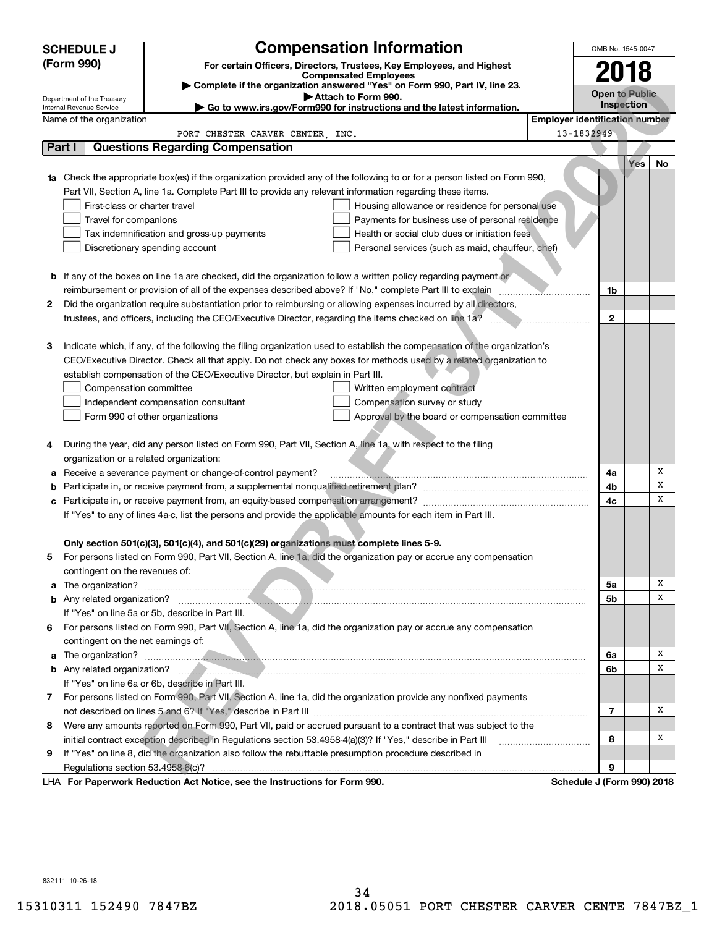|    | <b>SCHEDULE J</b>                                                                   | <b>Compensation Information</b>                                                                                                                                                                                                     |                                       | OMB No. 1545-0047     |      |        |
|----|-------------------------------------------------------------------------------------|-------------------------------------------------------------------------------------------------------------------------------------------------------------------------------------------------------------------------------------|---------------------------------------|-----------------------|------|--------|
|    | (Form 990)<br>For certain Officers, Directors, Trustees, Key Employees, and Highest |                                                                                                                                                                                                                                     |                                       |                       | 2018 |        |
|    | <b>Compensated Employees</b>                                                        |                                                                                                                                                                                                                                     |                                       |                       |      |        |
|    |                                                                                     | Complete if the organization answered "Yes" on Form 990, Part IV, line 23.<br>Attach to Form 990.                                                                                                                                   |                                       | <b>Open to Public</b> |      |        |
|    | Department of the Treasury<br>Internal Revenue Service                              | Go to www.irs.gov/Form990 for instructions and the latest information.                                                                                                                                                              |                                       | Inspection            |      |        |
|    | Name of the organization                                                            |                                                                                                                                                                                                                                     | <b>Employer identification number</b> |                       |      |        |
|    |                                                                                     | PORT CHESTER CARVER CENTER, INC.                                                                                                                                                                                                    | 13-1832949                            |                       |      |        |
|    | Part I                                                                              | <b>Questions Regarding Compensation</b>                                                                                                                                                                                             |                                       |                       |      |        |
|    |                                                                                     |                                                                                                                                                                                                                                     |                                       |                       | Yes  | No     |
|    |                                                                                     | Check the appropriate box(es) if the organization provided any of the following to or for a person listed on Form 990,                                                                                                              |                                       |                       |      |        |
|    |                                                                                     | Part VII, Section A, line 1a. Complete Part III to provide any relevant information regarding these items.                                                                                                                          |                                       |                       |      |        |
|    | First-class or charter travel                                                       | Housing allowance or residence for personal use                                                                                                                                                                                     |                                       |                       |      |        |
|    | Travel for companions                                                               | Payments for business use of personal residence                                                                                                                                                                                     |                                       |                       |      |        |
|    |                                                                                     | Health or social club dues or initiation fees<br>Tax indemnification and gross-up payments                                                                                                                                          |                                       |                       |      |        |
|    |                                                                                     | Discretionary spending account<br>Personal services (such as maid, chauffeur, chef)                                                                                                                                                 |                                       |                       |      |        |
|    |                                                                                     |                                                                                                                                                                                                                                     |                                       |                       |      |        |
|    |                                                                                     | <b>b</b> If any of the boxes on line 1a are checked, did the organization follow a written policy regarding payment or                                                                                                              |                                       |                       |      |        |
|    |                                                                                     | reimbursement or provision of all of the expenses described above? If "No," complete Part III to explain                                                                                                                            |                                       | 1b                    |      |        |
| 2  |                                                                                     | Did the organization require substantiation prior to reimbursing or allowing expenses incurred by all directors,                                                                                                                    |                                       |                       |      |        |
|    |                                                                                     | trustees, and officers, including the CEO/Executive Director, regarding the items checked on line 1a?                                                                                                                               |                                       | $\mathbf{2}$          |      |        |
|    |                                                                                     |                                                                                                                                                                                                                                     |                                       |                       |      |        |
| 3  |                                                                                     | Indicate which, if any, of the following the filing organization used to establish the compensation of the organization's                                                                                                           |                                       |                       |      |        |
|    |                                                                                     | CEO/Executive Director. Check all that apply. Do not check any boxes for methods used by a related organization to                                                                                                                  |                                       |                       |      |        |
|    |                                                                                     | establish compensation of the CEO/Executive Director, but explain in Part III.                                                                                                                                                      |                                       |                       |      |        |
|    | Compensation committee                                                              | Written employment contract                                                                                                                                                                                                         |                                       |                       |      |        |
|    |                                                                                     | Compensation survey or study<br>Independent compensation consultant                                                                                                                                                                 |                                       |                       |      |        |
|    |                                                                                     | Form 990 of other organizations<br>Approval by the board or compensation committee                                                                                                                                                  |                                       |                       |      |        |
|    |                                                                                     |                                                                                                                                                                                                                                     |                                       |                       |      |        |
| 4  |                                                                                     | During the year, did any person listed on Form 990, Part VII, Section A, line 1a, with respect to the filing                                                                                                                        |                                       |                       |      |        |
|    | organization or a related organization:                                             |                                                                                                                                                                                                                                     |                                       |                       |      |        |
| а  |                                                                                     | Receive a severance payment or change-of-control payment?                                                                                                                                                                           |                                       | 4a                    |      | Х      |
| b  |                                                                                     |                                                                                                                                                                                                                                     |                                       | 4b                    |      | X      |
| с  |                                                                                     |                                                                                                                                                                                                                                     |                                       | 4c                    |      | х      |
|    |                                                                                     | If "Yes" to any of lines 4a-c, list the persons and provide the applicable amounts for each item in Part III.                                                                                                                       |                                       |                       |      |        |
|    |                                                                                     |                                                                                                                                                                                                                                     |                                       |                       |      |        |
|    |                                                                                     | Only section 501(c)(3), 501(c)(4), and 501(c)(29) organizations must complete lines 5-9.                                                                                                                                            |                                       |                       |      |        |
|    |                                                                                     | For persons listed on Form 990, Part VII, Section A, line 1a, did the organization pay or accrue any compensation                                                                                                                   |                                       |                       |      |        |
|    | contingent on the revenues of:                                                      |                                                                                                                                                                                                                                     |                                       |                       |      |        |
| a  |                                                                                     |                                                                                                                                                                                                                                     |                                       | 5a                    |      | х      |
|    |                                                                                     |                                                                                                                                                                                                                                     |                                       | 5b                    |      | x      |
|    |                                                                                     | If "Yes" on line 5a or 5b, describe in Part III.                                                                                                                                                                                    |                                       |                       |      |        |
|    |                                                                                     | 6 For persons listed on Form 990, Part VII, Section A, line 1a, did the organization pay or accrue any compensation                                                                                                                 |                                       |                       |      |        |
|    | contingent on the net earnings of:                                                  |                                                                                                                                                                                                                                     |                                       |                       |      |        |
| a  |                                                                                     | The organization? <b>Constitution</b> and the construction of the construction of the construction of the construction of the construction of the construction of the construction of the construction of the construction of the c |                                       | 6a                    |      | х<br>x |
|    |                                                                                     | b Any related organization? <b>Contract of the Contract of Annual Contract of Any related organization?</b>                                                                                                                         |                                       | 6b                    |      |        |
|    |                                                                                     | If "Yes" on line 6a or 6b, describe in Part III.                                                                                                                                                                                    |                                       |                       |      |        |
|    |                                                                                     | 7 For persons listed on Form 990, Part VII, Section A, line 1a, did the organization provide any nonfixed payments                                                                                                                  |                                       |                       |      | х      |
|    |                                                                                     |                                                                                                                                                                                                                                     |                                       | $\overline{7}$        |      |        |
| 8. |                                                                                     | Were any amounts reported on Form 990, Part VII, paid or accrued pursuant to a contract that was subject to the                                                                                                                     |                                       |                       |      |        |
|    |                                                                                     | initial contract exception described in Regulations section 53.4958-4(a)(3)? If "Yes," describe in Part III                                                                                                                         |                                       | 8                     |      | х      |
| 9  |                                                                                     | If "Yes" on line 8, did the organization also follow the rebuttable presumption procedure described in                                                                                                                              |                                       |                       |      |        |
|    | Regulations section 53.4958-6(c)?                                                   |                                                                                                                                                                                                                                     |                                       | 9                     |      |        |
|    |                                                                                     | LHA For Paperwork Reduction Act Notice, see the Instructions for Form 990.                                                                                                                                                          | Schedule J (Form 990) 2018            |                       |      |        |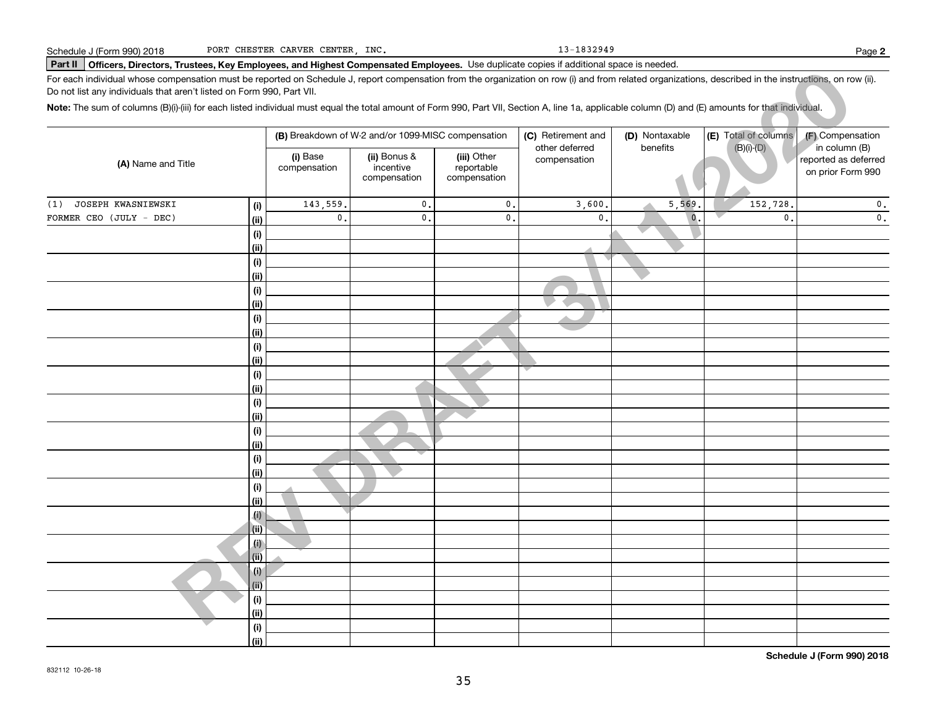13-1832949

# **Part II Officers, Directors, Trustees, Key Employees, and Highest Compensated Employees.**  Schedule J (Form 990) 2018 Page Use duplicate copies if additional space is needed.

| For each individual whose compensation must be reported on Schedule J, report compensation from the organization on row (i) and from related organizations, described in the instructions, on row (ii).<br>Do not list any individuals that aren't listed on Form 990, Part VII. |                           |                          |                                                    |                                           |                                      |                |                      |                                                            |  |
|----------------------------------------------------------------------------------------------------------------------------------------------------------------------------------------------------------------------------------------------------------------------------------|---------------------------|--------------------------|----------------------------------------------------|-------------------------------------------|--------------------------------------|----------------|----------------------|------------------------------------------------------------|--|
| Note: The sum of columns (B)(i)-(iii) for each listed individual must equal the total amount of Form 990, Part VII, Section A, line 1a, applicable column (D) and (E) amounts for that individual.                                                                               |                           |                          |                                                    |                                           |                                      |                |                      |                                                            |  |
|                                                                                                                                                                                                                                                                                  |                           |                          | (B) Breakdown of W-2 and/or 1099-MISC compensation |                                           | (C) Retirement and<br>other deferred | (D) Nontaxable | (E) Total of columns | (F) Compensation                                           |  |
| (A) Name and Title                                                                                                                                                                                                                                                               |                           | (i) Base<br>compensation | (ii) Bonus &<br>incentive<br>compensation          | (iii) Other<br>reportable<br>compensation | compensation                         | benefits       | $(B)(i)-(D)$         | in column (B)<br>reported as deferred<br>on prior Form 990 |  |
| JOSEPH KWASNIEWSKI<br>(1)                                                                                                                                                                                                                                                        | (i)                       | 143,559.                 | $\mathbf{0}$ .                                     | $\mathbf{0}$ .                            | 3,600.                               | 5,569          | 152,728.             | 0.                                                         |  |
| FORMER CEO (JULY - DEC)                                                                                                                                                                                                                                                          | (i)                       | $\mathbf{0}$ .           | $\mathbf{0}$ .                                     | 0.                                        | $\mathbf{0}$ .                       | $\mathbf{0}$ . | $\mathbf{0}$ .       | $\mathbf 0$ .                                              |  |
|                                                                                                                                                                                                                                                                                  | (i)                       |                          |                                                    |                                           |                                      |                |                      |                                                            |  |
|                                                                                                                                                                                                                                                                                  | (ii)                      |                          |                                                    |                                           |                                      |                |                      |                                                            |  |
|                                                                                                                                                                                                                                                                                  | (i)                       |                          |                                                    |                                           |                                      |                |                      |                                                            |  |
|                                                                                                                                                                                                                                                                                  | (ii)                      |                          |                                                    |                                           |                                      |                |                      |                                                            |  |
|                                                                                                                                                                                                                                                                                  | $(\sf{i})$                |                          |                                                    |                                           |                                      |                |                      |                                                            |  |
|                                                                                                                                                                                                                                                                                  | (ii)                      |                          |                                                    |                                           |                                      |                |                      |                                                            |  |
|                                                                                                                                                                                                                                                                                  | (i)                       |                          |                                                    |                                           |                                      |                |                      |                                                            |  |
|                                                                                                                                                                                                                                                                                  | (ii)                      |                          |                                                    |                                           |                                      |                |                      |                                                            |  |
|                                                                                                                                                                                                                                                                                  | (i)                       |                          |                                                    |                                           |                                      |                |                      |                                                            |  |
|                                                                                                                                                                                                                                                                                  | (i)                       |                          |                                                    |                                           |                                      |                |                      |                                                            |  |
|                                                                                                                                                                                                                                                                                  | (i)                       |                          |                                                    |                                           |                                      |                |                      |                                                            |  |
|                                                                                                                                                                                                                                                                                  | (ii)                      |                          |                                                    |                                           |                                      |                |                      |                                                            |  |
|                                                                                                                                                                                                                                                                                  | (i)<br>(ii)               |                          |                                                    |                                           |                                      |                |                      |                                                            |  |
|                                                                                                                                                                                                                                                                                  | (i)                       |                          |                                                    |                                           |                                      |                |                      |                                                            |  |
|                                                                                                                                                                                                                                                                                  | (ii)                      |                          |                                                    |                                           |                                      |                |                      |                                                            |  |
|                                                                                                                                                                                                                                                                                  | (i)                       |                          |                                                    |                                           |                                      |                |                      |                                                            |  |
|                                                                                                                                                                                                                                                                                  | (i)                       |                          |                                                    |                                           |                                      |                |                      |                                                            |  |
|                                                                                                                                                                                                                                                                                  | (i)                       |                          |                                                    |                                           |                                      |                |                      |                                                            |  |
|                                                                                                                                                                                                                                                                                  | (ii)                      |                          |                                                    |                                           |                                      |                |                      |                                                            |  |
|                                                                                                                                                                                                                                                                                  | $\left(\mathbf{i}\right)$ |                          |                                                    |                                           |                                      |                |                      |                                                            |  |
|                                                                                                                                                                                                                                                                                  | (ii)                      |                          |                                                    |                                           |                                      |                |                      |                                                            |  |
|                                                                                                                                                                                                                                                                                  | (i)                       |                          |                                                    |                                           |                                      |                |                      |                                                            |  |
|                                                                                                                                                                                                                                                                                  | (ii)                      |                          |                                                    |                                           |                                      |                |                      |                                                            |  |
|                                                                                                                                                                                                                                                                                  | (i)                       |                          |                                                    |                                           |                                      |                |                      |                                                            |  |
|                                                                                                                                                                                                                                                                                  | (ii)                      |                          |                                                    |                                           |                                      |                |                      |                                                            |  |
|                                                                                                                                                                                                                                                                                  | (i)                       |                          |                                                    |                                           |                                      |                |                      |                                                            |  |
|                                                                                                                                                                                                                                                                                  | (i)                       |                          |                                                    |                                           |                                      |                |                      |                                                            |  |
|                                                                                                                                                                                                                                                                                  | (i)                       |                          |                                                    |                                           |                                      |                |                      |                                                            |  |
|                                                                                                                                                                                                                                                                                  | (ii)                      |                          |                                                    |                                           |                                      |                |                      |                                                            |  |

**Schedule J (Form 990) 2018**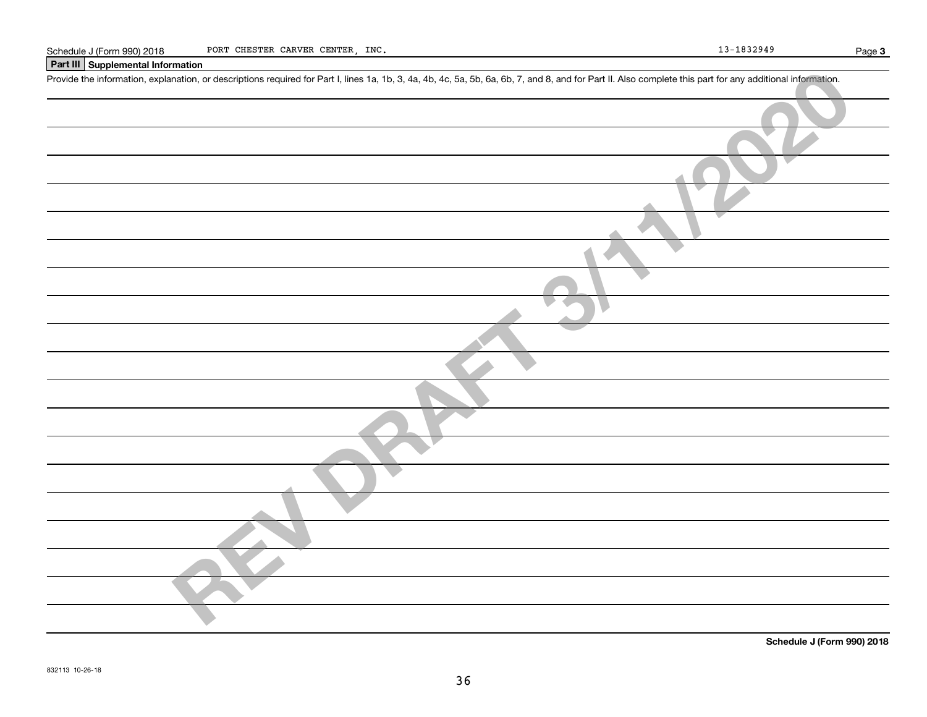# **Part III Supplemental Information**

Schedule J (Form 990) 2018 PORT CHESTER CARVER CENTER, INC.<br>Part III Supplemental Information<br>Provide the information, explanation, or descriptions required for Part I, lines 1a, 1b, 3, 4a, 4b, 4c, 5a, 5b, 6a, 6b, 7, and 8

| Turn ouppremental information                                                                                                                                                                              |
|------------------------------------------------------------------------------------------------------------------------------------------------------------------------------------------------------------|
| Provide the information, explanation, or descriptions required for Part I, lines 1a, 1b, 3, 4a, 4b, 4c, 5a, 5b, 6a, 6b, 7, and 8, and for Part II. Also complete this part for any additional information. |
|                                                                                                                                                                                                            |
|                                                                                                                                                                                                            |
|                                                                                                                                                                                                            |
|                                                                                                                                                                                                            |
|                                                                                                                                                                                                            |
|                                                                                                                                                                                                            |
|                                                                                                                                                                                                            |
|                                                                                                                                                                                                            |
|                                                                                                                                                                                                            |
|                                                                                                                                                                                                            |
|                                                                                                                                                                                                            |
|                                                                                                                                                                                                            |
|                                                                                                                                                                                                            |
|                                                                                                                                                                                                            |
|                                                                                                                                                                                                            |
|                                                                                                                                                                                                            |
|                                                                                                                                                                                                            |
|                                                                                                                                                                                                            |
|                                                                                                                                                                                                            |
|                                                                                                                                                                                                            |

**Schedule J (Form 990) 2018**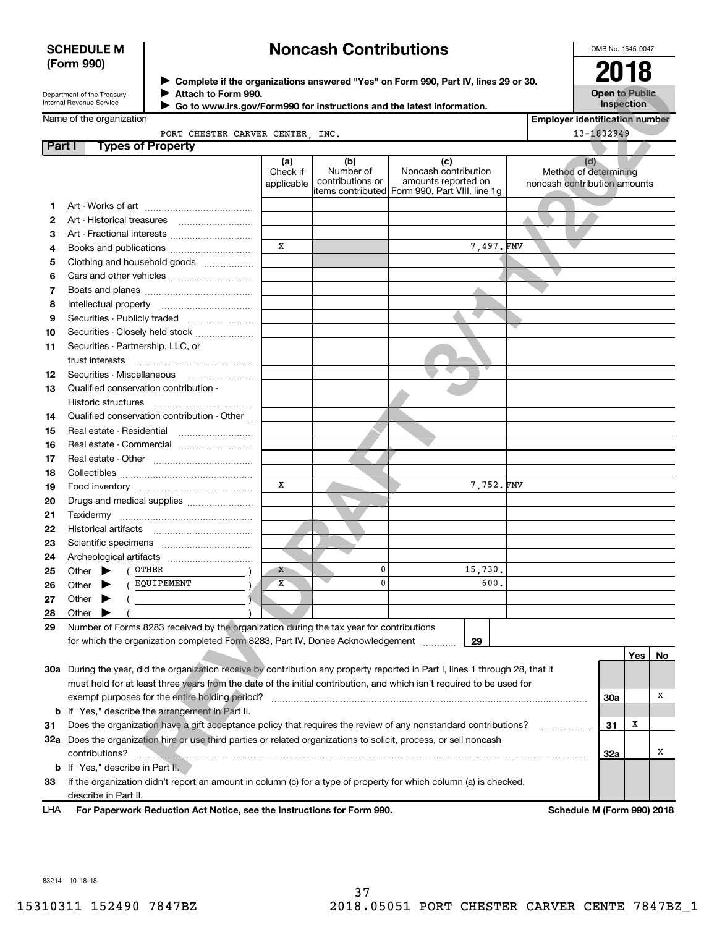# **SCHEDULE M (Form 990)**

# **Noncash Contributions**

OMB No. 1545-0047

| Department of the Treasury      |  |
|---------------------------------|--|
| <b>Internal Revenue Service</b> |  |

**Complete if the organizations answered "Yes" on Form 990, Part IV, lines 29 or 30.** <sup>J</sup>**2018 Attach to Form 990.** J

|  | Name of the organization |
|--|--------------------------|
|--|--------------------------|

| e:        |  |                                 |  | $\triangleright$ Go to www.irs.gov/Form990 for instructions and the latest information. |  |  |
|-----------|--|---------------------------------|--|-----------------------------------------------------------------------------------------|--|--|
| ınization |  |                                 |  |                                                                                         |  |  |
|           |  | PORT CHESTER CARVER CENTER INC. |  |                                                                                         |  |  |

|        |                                                                                                                            |                        |                               | ▶ Complete if the organizations answered "Yes" on Form 990, Part IV, lines 29 or 30.          |                              | LV IV                                 |            |    |
|--------|----------------------------------------------------------------------------------------------------------------------------|------------------------|-------------------------------|-----------------------------------------------------------------------------------------------|------------------------------|---------------------------------------|------------|----|
|        | Attach to Form 990.<br>Department of the Treasury<br>Internal Revenue Service                                              |                        |                               |                                                                                               |                              | <b>Open to Public</b>                 |            |    |
|        | Go to www.irs.gov/Form990 for instructions and the latest information.                                                     |                        |                               |                                                                                               |                              | Inspection                            |            |    |
|        | Name of the organization                                                                                                   |                        |                               |                                                                                               |                              | <b>Employer identification number</b> |            |    |
| Part I | PORT CHESTER CARVER CENTER, INC.<br><b>Types of Property</b>                                                               |                        |                               |                                                                                               |                              | 13-1832949                            |            |    |
|        |                                                                                                                            | (a)                    | (b)                           | (c)                                                                                           |                              | (d)                                   |            |    |
|        |                                                                                                                            | Check if<br>applicable | Number of<br>contributions or | Noncash contribution<br>amounts reported on<br>items contributed Form 990, Part VIII, line 1g | noncash contribution amounts | Method of determining                 |            |    |
| 1      |                                                                                                                            |                        |                               |                                                                                               |                              |                                       |            |    |
| 2      |                                                                                                                            |                        |                               |                                                                                               |                              |                                       |            |    |
| з      |                                                                                                                            |                        |                               |                                                                                               |                              |                                       |            |    |
| 4      | Books and publications                                                                                                     | X                      |                               | 7,497.FMV                                                                                     |                              |                                       |            |    |
| 5      | Clothing and household goods                                                                                               |                        |                               |                                                                                               |                              |                                       |            |    |
| 6      |                                                                                                                            |                        |                               |                                                                                               |                              |                                       |            |    |
| 7      |                                                                                                                            |                        |                               |                                                                                               |                              |                                       |            |    |
| 8      | Intellectual property                                                                                                      |                        |                               |                                                                                               |                              |                                       |            |    |
| 9      | Securities - Publicly traded                                                                                               |                        |                               |                                                                                               |                              |                                       |            |    |
| 10     | Securities - Closely held stock                                                                                            |                        |                               |                                                                                               |                              |                                       |            |    |
| 11     | Securities - Partnership, LLC, or                                                                                          |                        |                               |                                                                                               |                              |                                       |            |    |
|        | trust interests                                                                                                            |                        |                               |                                                                                               |                              |                                       |            |    |
| 12     | Securities - Miscellaneous                                                                                                 |                        |                               |                                                                                               |                              |                                       |            |    |
| 13     | Qualified conservation contribution -                                                                                      |                        |                               |                                                                                               |                              |                                       |            |    |
|        | Historic structures                                                                                                        |                        |                               |                                                                                               |                              |                                       |            |    |
| 14     | Qualified conservation contribution - Other                                                                                |                        |                               |                                                                                               |                              |                                       |            |    |
| 15     | Real estate - Residential                                                                                                  |                        |                               |                                                                                               |                              |                                       |            |    |
| 16     | Real estate - Commercial                                                                                                   |                        |                               |                                                                                               |                              |                                       |            |    |
| 17     |                                                                                                                            |                        |                               |                                                                                               |                              |                                       |            |    |
| 18     |                                                                                                                            |                        |                               |                                                                                               |                              |                                       |            |    |
| 19     |                                                                                                                            | x                      |                               | 7,752.FMV                                                                                     |                              |                                       |            |    |
| 20     | Drugs and medical supplies                                                                                                 |                        |                               |                                                                                               |                              |                                       |            |    |
| 21     |                                                                                                                            |                        |                               |                                                                                               |                              |                                       |            |    |
| 22     |                                                                                                                            |                        |                               |                                                                                               |                              |                                       |            |    |
| 23     |                                                                                                                            |                        |                               |                                                                                               |                              |                                       |            |    |
| 24     |                                                                                                                            |                        |                               |                                                                                               |                              |                                       |            |    |
| 25     | OTHER<br>Other $\blacktriangleright$                                                                                       | X                      | 0                             | 15,730.                                                                                       |                              |                                       |            |    |
| 26     | EQUIPEMENT<br>Other $\blacktriangleright$                                                                                  | х                      | 0                             | 600.                                                                                          |                              |                                       |            |    |
| 27     | Other $\blacktriangleright$                                                                                                |                        |                               |                                                                                               |                              |                                       |            |    |
| 28     | Other                                                                                                                      |                        |                               |                                                                                               |                              |                                       |            |    |
| 29     | Number of Forms 8283 received by the organization during the tax year for contributions                                    |                        |                               |                                                                                               |                              |                                       |            |    |
|        | for which the organization completed Form 8283, Part IV, Donee Acknowledgement                                             |                        |                               | 29                                                                                            |                              |                                       |            |    |
|        |                                                                                                                            |                        |                               |                                                                                               |                              |                                       | <b>Yes</b> | No |
| 30a    | During the year, did the organization receive by contribution any property reported in Part I, lines 1 through 28, that it |                        |                               |                                                                                               |                              |                                       |            |    |
|        | must hold for at least three years from the date of the initial contribution, and which isn't required to be used for      |                        |                               |                                                                                               |                              |                                       |            |    |
|        | exempt purposes for the entire holding period?                                                                             |                        |                               |                                                                                               |                              | 30a                                   |            | х  |
| b      | If "Yes," describe the arrangement in Part II.                                                                             |                        |                               |                                                                                               |                              |                                       |            |    |
| 31     | Does the organization have a gift acceptance policy that requires the review of any nonstandard contributions?             |                        |                               |                                                                                               |                              | 31                                    | x          |    |
| 32a    | Does the organization hire or use third parties or related organizations to solicit, process, or sell noncash              |                        |                               |                                                                                               |                              |                                       |            |    |
|        | contributions?                                                                                                             |                        |                               |                                                                                               |                              | 32a                                   |            | х  |
| b      | If "Yes," describe in Part II.                                                                                             |                        |                               |                                                                                               |                              |                                       |            |    |
| 33     | If the organization didn't report an amount in column (c) for a type of property for which column (a) is checked,          |                        |                               |                                                                                               |                              |                                       |            |    |

describe in Part II.

832141 10-18-18

LHA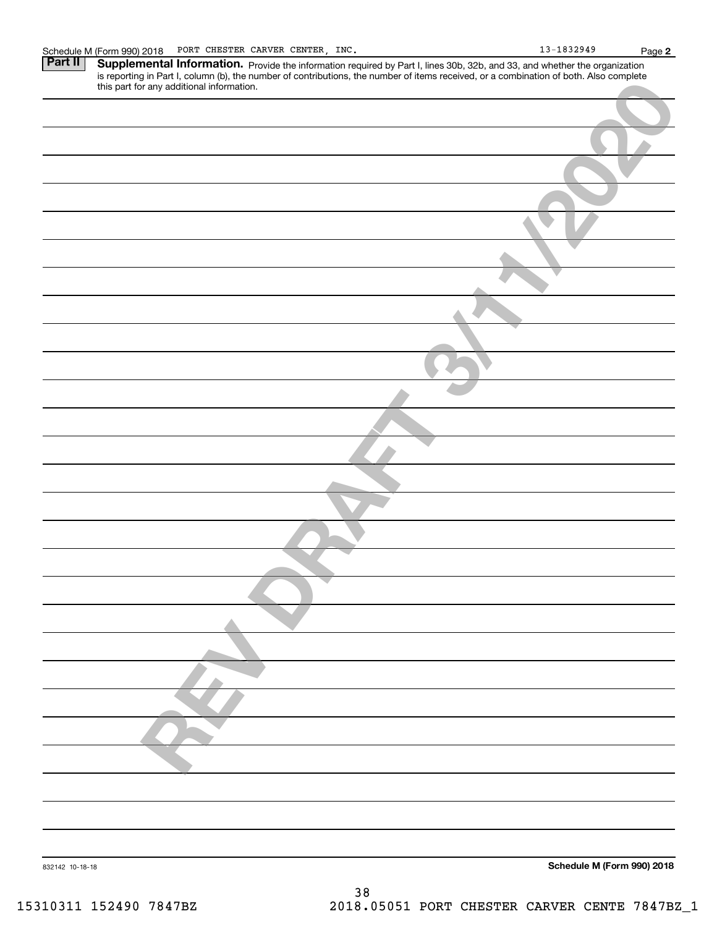Part II | Supplemental Information. Provide the information required by Part I, lines 30b, 32b, and 33, and whether the organization is reporting in Part I, column (b), the number of contributions, the number of items received, or a combination of both. Also complete this part for any additional information.

| this part for any additional information. |                            |
|-------------------------------------------|----------------------------|
|                                           |                            |
|                                           |                            |
|                                           |                            |
|                                           |                            |
|                                           |                            |
|                                           |                            |
|                                           |                            |
|                                           |                            |
|                                           |                            |
|                                           |                            |
|                                           |                            |
|                                           |                            |
|                                           |                            |
|                                           |                            |
|                                           |                            |
|                                           |                            |
|                                           |                            |
|                                           |                            |
|                                           |                            |
|                                           |                            |
|                                           |                            |
|                                           |                            |
|                                           |                            |
|                                           |                            |
|                                           |                            |
|                                           |                            |
|                                           |                            |
|                                           |                            |
|                                           |                            |
|                                           |                            |
|                                           |                            |
|                                           |                            |
|                                           |                            |
| 832142 10-18-18                           | Schedule M (Form 990) 2018 |
| 38                                        |                            |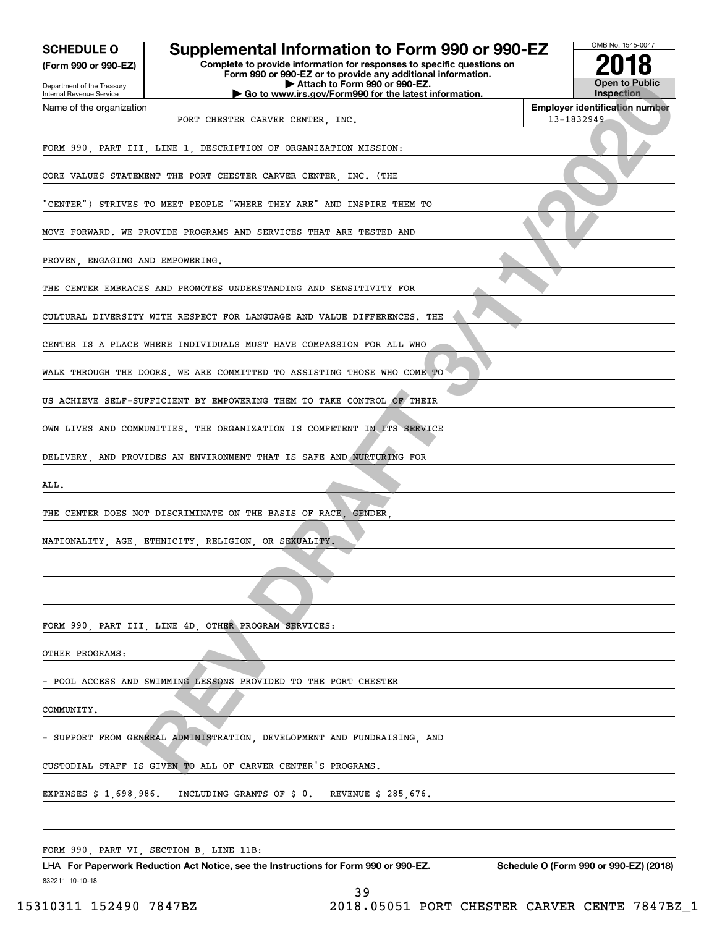| <b>SCHEDULE O</b><br>(Form 990 or 990-EZ)              | Supplemental Information to Form 990 or 990-EZ<br>Complete to provide information for responses to specific questions on<br>Form 990 or 990-EZ or to provide any additional information. | OMB No. 1545-0047<br><b>Open to Public</b>          |
|--------------------------------------------------------|------------------------------------------------------------------------------------------------------------------------------------------------------------------------------------------|-----------------------------------------------------|
| Department of the Treasury<br>Internal Revenue Service | Attach to Form 990 or 990-EZ.<br>Go to www.irs.gov/Form990 for the latest information.                                                                                                   | Inspection                                          |
| Name of the organization                               | PORT CHESTER CARVER CENTER, INC.                                                                                                                                                         | <b>Employer identification number</b><br>13-1832949 |
|                                                        | FORM 990, PART III, LINE 1, DESCRIPTION OF ORGANIZATION MISSION:                                                                                                                         |                                                     |
|                                                        | CORE VALUES STATEMENT THE PORT CHESTER CARVER CENTER, INC. (THE                                                                                                                          |                                                     |
|                                                        | "CENTER") STRIVES TO MEET PEOPLE "WHERE THEY ARE" AND INSPIRE THEM TO                                                                                                                    |                                                     |
|                                                        | MOVE FORWARD. WE PROVIDE PROGRAMS AND SERVICES THAT ARE TESTED AND                                                                                                                       |                                                     |
| PROVEN, ENGAGING AND EMPOWERING.                       |                                                                                                                                                                                          |                                                     |
|                                                        | THE CENTER EMBRACES AND PROMOTES UNDERSTANDING AND SENSITIVITY FOR                                                                                                                       |                                                     |
|                                                        | CULTURAL DIVERSITY WITH RESPECT FOR LANGUAGE AND VALUE DIFFERENCES. THE                                                                                                                  |                                                     |
|                                                        | CENTER IS A PLACE WHERE INDIVIDUALS MUST HAVE COMPASSION FOR ALL WHO                                                                                                                     |                                                     |
|                                                        | WALK THROUGH THE DOORS. WE ARE COMMITTED TO ASSISTING THOSE WHO COME TO                                                                                                                  |                                                     |
|                                                        | US ACHIEVE SELF-SUFFICIENT BY EMPOWERING THEM TO TAKE CONTROL OF THEIR                                                                                                                   |                                                     |
|                                                        | OWN LIVES AND COMMUNITIES. THE ORGANIZATION IS COMPETENT IN ITS SERVICE                                                                                                                  |                                                     |
|                                                        | DELIVERY AND PROVIDES AN ENVIRONMENT THAT IS SAFE AND NURTURING FOR                                                                                                                      |                                                     |
| ALL.                                                   |                                                                                                                                                                                          |                                                     |
|                                                        | THE CENTER DOES NOT DISCRIMINATE ON THE BASIS OF RACE, GENDER,                                                                                                                           |                                                     |
|                                                        | NATIONALITY, AGE, ETHNICITY, RELIGION, OR SEXUALITY.                                                                                                                                     |                                                     |
|                                                        |                                                                                                                                                                                          |                                                     |
|                                                        |                                                                                                                                                                                          |                                                     |
|                                                        | FORM 990, PART III, LINE 4D, OTHER PROGRAM SERVICES:                                                                                                                                     |                                                     |
| OTHER PROGRAMS:                                        |                                                                                                                                                                                          |                                                     |
|                                                        | - POOL ACCESS AND SWIMMING LESSONS PROVIDED TO THE PORT CHESTER                                                                                                                          |                                                     |
| COMMUNITY.                                             |                                                                                                                                                                                          |                                                     |
|                                                        | - SUPPORT FROM GENERAL ADMINISTRATION, DEVELOPMENT AND FUNDRAISING, AND                                                                                                                  |                                                     |
|                                                        | CUSTODIAL STAFF IS GIVEN TO ALL OF CARVER CENTER'S PROGRAMS.                                                                                                                             |                                                     |
| EXPENSES \$ 1,698,986.                                 | INCLUDING GRANTS OF \$ 0.<br>REVENUE \$ 285,676.                                                                                                                                         |                                                     |
|                                                        |                                                                                                                                                                                          |                                                     |
|                                                        | FORM 990, PART VI, SECTION B, LINE 11B:                                                                                                                                                  |                                                     |
| 832211 10-10-18                                        | LHA For Paperwork Reduction Act Notice, see the Instructions for Form 990 or 990-EZ.                                                                                                     | Schedule O (Form 990 or 990-EZ) (2018)              |
|                                                        | 39                                                                                                                                                                                       |                                                     |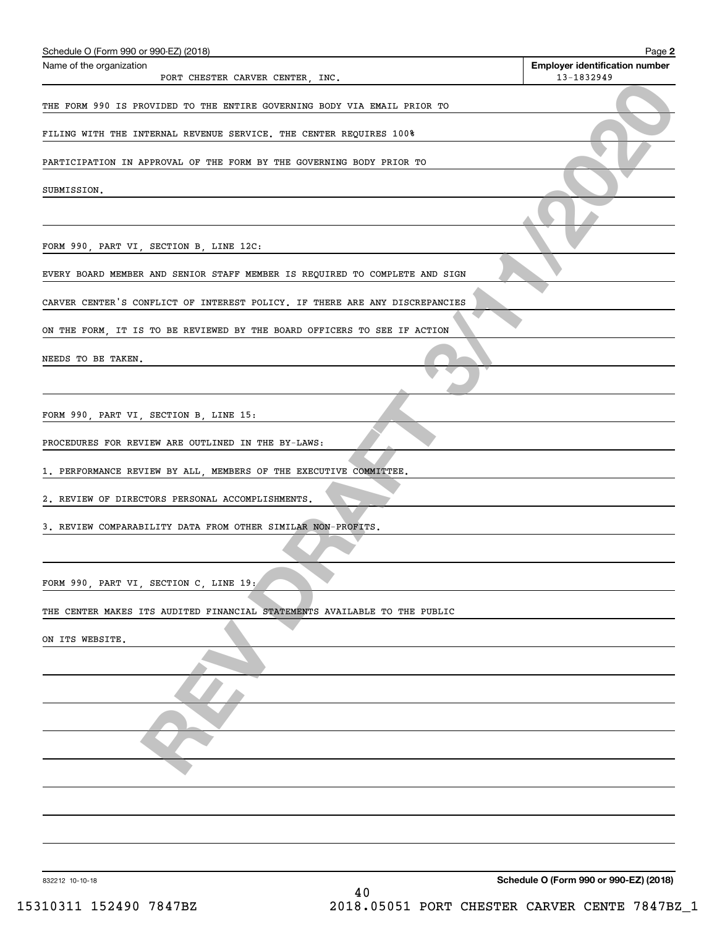| Schedule O (Form 990 or 990-EZ) (2018)                                      | Page 2                                              |
|-----------------------------------------------------------------------------|-----------------------------------------------------|
| Name of the organization                                                    | <b>Employer identification number</b><br>13-1832949 |
| PORT CHESTER CARVER CENTER, INC.                                            |                                                     |
| THE FORM 990 IS PROVIDED TO THE ENTIRE GOVERNING BODY VIA EMAIL PRIOR TO    |                                                     |
| FILING WITH THE INTERNAL REVENUE SERVICE. THE CENTER REQUIRES 100%          |                                                     |
| PARTICIPATION IN APPROVAL OF THE FORM BY THE GOVERNING BODY PRIOR TO        |                                                     |
| SUBMISSION.                                                                 |                                                     |
|                                                                             |                                                     |
| FORM 990, PART VI, SECTION B, LINE 12C:                                     |                                                     |
| EVERY BOARD MEMBER AND SENIOR STAFF MEMBER IS REQUIRED TO COMPLETE AND SIGN |                                                     |
| CARVER CENTER'S CONFLICT OF INTEREST POLICY. IF THERE ARE ANY DISCREPANCIES |                                                     |
| ON THE FORM, IT IS TO BE REVIEWED BY THE BOARD OFFICERS TO SEE IF ACTION    |                                                     |
| NEEDS TO BE TAKEN.                                                          |                                                     |
|                                                                             |                                                     |
| FORM 990, PART VI, SECTION B, LINE 15:                                      |                                                     |
| PROCEDURES FOR REVIEW ARE OUTLINED IN THE BY-LAWS:                          |                                                     |
| 1. PERFORMANCE REVIEW BY ALL, MEMBERS OF THE EXECUTIVE COMMITTEE.           |                                                     |
| 2. REVIEW OF DIRECTORS PERSONAL ACCOMPLISHMENTS.                            |                                                     |
| 3. REVIEW COMPARABILITY DATA FROM OTHER SIMILAR NON-PROFITS.                |                                                     |
|                                                                             |                                                     |
| FORM 990, PART VI, SECTION C, LINE 19:                                      |                                                     |
| THE CENTER MAKES ITS AUDITED FINANCIAL STATEMENTS AVAILABLE TO THE PUBLIC   |                                                     |
| ON ITS WEBSITE.                                                             |                                                     |
|                                                                             |                                                     |
|                                                                             |                                                     |
|                                                                             |                                                     |
|                                                                             |                                                     |
|                                                                             |                                                     |
|                                                                             |                                                     |
|                                                                             |                                                     |
|                                                                             |                                                     |

832212 10-10-18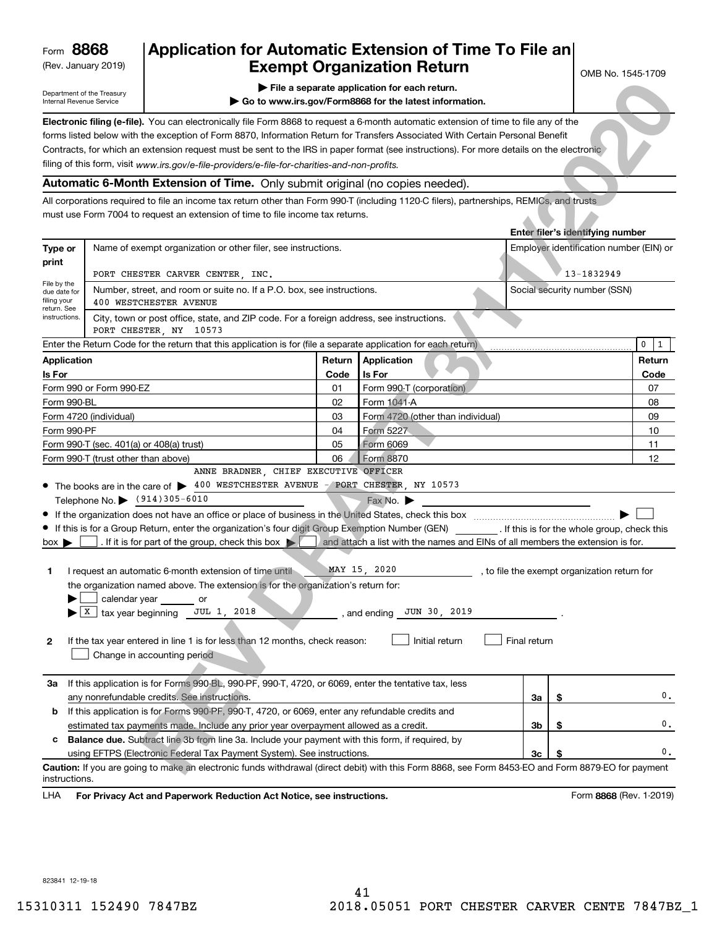(Rev. January 2019)

# **Application for Automatic Extension of Time To File an Exempt Organization Return**

- **| File a separate application for each return.**
- **| Go to www.irs.gov/Form8868 for the latest information.**

OMB No. 1545-1709

| Electronic filing (e-file). You can electronically file Form 8868 to request a 6-month automatic extension of time to file any of the    |  |
|------------------------------------------------------------------------------------------------------------------------------------------|--|
| forms listed below with the exception of Form 8870, Information Return for Transfers Associated With Certain Personal Benefit            |  |
| Contracts, for which an extension request must be sent to the IRS in paper format (see instructions). For more details on the electronic |  |
| filing of this form, visit www.irs.gov/e-file-providers/e-file-for-charities-and-non-profits.                                            |  |

# **Automatic 6-Month Extension of Time.** Only submit original (no copies needed).

|                                                           | Department of the Treasury<br>Internal Revenue Service       |                                                                                                                                                       |                 | File a separate application for each return.<br>Go to www.irs.gov/Form8868 for the latest information. |              |                                              |        |
|-----------------------------------------------------------|--------------------------------------------------------------|-------------------------------------------------------------------------------------------------------------------------------------------------------|-----------------|--------------------------------------------------------------------------------------------------------|--------------|----------------------------------------------|--------|
|                                                           |                                                              | Electronic filing (e-file). You can electronically file Form 8868 to request a 6-month automatic extension of time to file any of the                 |                 |                                                                                                        |              |                                              |        |
|                                                           |                                                              | forms listed below with the exception of Form 8870, Information Return for Transfers Associated With Certain Personal Benefit                         |                 |                                                                                                        |              |                                              |        |
|                                                           |                                                              | Contracts, for which an extension request must be sent to the IRS in paper format (see instructions). For more details on the electronic              |                 |                                                                                                        |              |                                              |        |
|                                                           |                                                              | filing of this form, visit www.irs.gov/e-file-providers/e-file-for-charities-and-non-profits.                                                         |                 |                                                                                                        |              |                                              |        |
|                                                           |                                                              | Automatic 6-Month Extension of Time. Only submit original (no copies needed).                                                                         |                 |                                                                                                        |              |                                              |        |
|                                                           |                                                              | All corporations required to file an income tax return other than Form 990-T (including 1120-C filers), partnerships, REMICs, and trusts              |                 |                                                                                                        |              |                                              |        |
|                                                           |                                                              | must use Form 7004 to request an extension of time to file income tax returns.                                                                        |                 |                                                                                                        |              | Enter filer's identifying number             |        |
| Type or<br>print                                          |                                                              | Name of exempt organization or other filer, see instructions.                                                                                         |                 |                                                                                                        |              | Employer identification number (EIN) or      |        |
|                                                           |                                                              | PORT CHESTER CARVER CENTER, INC.                                                                                                                      |                 |                                                                                                        |              | 13-1832949                                   |        |
| File by the<br>due date for<br>filing your<br>return. See |                                                              | Number, street, and room or suite no. If a P.O. box, see instructions.<br>400 WESTCHESTER AVENUE                                                      |                 |                                                                                                        |              | Social security number (SSN)                 |        |
| instructions.                                             | PORT CHESTER, NY                                             | City, town or post office, state, and ZIP code. For a foreign address, see instructions.<br>10573                                                     |                 |                                                                                                        |              |                                              |        |
|                                                           |                                                              | Enter the Return Code for the return that this application is for (file a separate application for each return)                                       |                 |                                                                                                        |              |                                              | 0<br>1 |
| <b>Application</b>                                        |                                                              |                                                                                                                                                       | Return          | Application                                                                                            |              |                                              | Return |
| Is For                                                    |                                                              |                                                                                                                                                       | Code            | Is For                                                                                                 |              |                                              | Code   |
|                                                           | Form 990 or Form 990-EZ                                      |                                                                                                                                                       | 01              | Form 990-T (corporation)                                                                               |              |                                              | 07     |
| Form 990-BL                                               |                                                              |                                                                                                                                                       | 02              | Form 1041-A                                                                                            |              |                                              | 08     |
|                                                           | Form 4720 (individual)                                       |                                                                                                                                                       | 03              | Form 4720 (other than individual)                                                                      |              |                                              | 09     |
| Form 990-PF                                               |                                                              |                                                                                                                                                       | Form 5227<br>04 |                                                                                                        |              |                                              | 10     |
|                                                           | Form 990-T (sec. 401(a) or 408(a) trust)                     |                                                                                                                                                       | 05              | Form 6069                                                                                              |              |                                              | 11     |
| Form 990-T (trust other than above)                       |                                                              |                                                                                                                                                       | 06              | Form 8870                                                                                              |              |                                              | 12     |
|                                                           |                                                              | ANNE BRADNER, CHIEF EXECUTIVE OFFICER                                                                                                                 |                 |                                                                                                        |              |                                              |        |
|                                                           | Telephone No. \ (914)305-6010                                | • The books are in the care of > 400 WESTCHESTER AVENUE - PORT CHESTER, NY 10573                                                                      |                 |                                                                                                        |              |                                              |        |
|                                                           |                                                              |                                                                                                                                                       |                 | Fax No.                                                                                                |              |                                              |        |
|                                                           |                                                              | If this is for a Group Return, enter the organization's four digit Group Exemption Number (GEN) _________. If this is for the whole group, check this |                 |                                                                                                        |              |                                              |        |
| $box \blacktriangleright$                                 |                                                              | . If it is for part of the group, check this box $\blacktriangleright$                                                                                |                 | and attach a list with the names and EINs of all members the extension is for.                         |              |                                              |        |
|                                                           |                                                              |                                                                                                                                                       |                 |                                                                                                        |              |                                              |        |
| 1                                                         |                                                              | I request an automatic 6-month extension of time until                                                                                                |                 | MAY 15, 2020                                                                                           |              | , to file the exempt organization return for |        |
|                                                           |                                                              | the organization named above. The extension is for the organization's return for:                                                                     |                 |                                                                                                        |              |                                              |        |
|                                                           | calendar year                                                | or                                                                                                                                                    |                 |                                                                                                        |              |                                              |        |
|                                                           | $\blacktriangleright$ $\lfloor x \rfloor$ tax year beginning | JUL 1, 2018                                                                                                                                           |                 | JUN 30, 2019<br>, and ending                                                                           |              |                                              |        |
| 2                                                         |                                                              | If the tax year entered in line 1 is for less than 12 months, check reason:                                                                           |                 | Initial return                                                                                         | Final return |                                              |        |
|                                                           |                                                              | Change in accounting period                                                                                                                           |                 |                                                                                                        |              |                                              |        |
| За                                                        |                                                              | If this application is for Forms 990-BL, 990-PF, 990-T, 4720, or 6069, enter the tentative tax, less                                                  |                 |                                                                                                        |              |                                              |        |
|                                                           |                                                              | any nonrefundable credits. See instructions.                                                                                                          |                 |                                                                                                        | За           | \$                                           | 0.     |
| b                                                         |                                                              | If this application is for Forms 990-PF, 990-T, 4720, or 6069, enter any refundable credits and                                                       |                 |                                                                                                        |              |                                              |        |
|                                                           |                                                              | estimated tax payments made. Include any prior year overpayment allowed as a credit.                                                                  |                 |                                                                                                        | 3b           | \$                                           | 0.     |
| c                                                         |                                                              | <b>Balance due.</b> Subtract line 3b from line 3a. Include your payment with this form, if required, by                                               |                 |                                                                                                        |              |                                              |        |
|                                                           |                                                              | using EFTPS (Electronic Federal Tax Payment System). See instructions.                                                                                |                 |                                                                                                        | Зc           | \$                                           | 0.     |
| instructions.                                             |                                                              | Caution: If you are going to make an electronic funds withdrawal (direct debit) with this Form 8868, see Form 8453-EO and Form 8879-EO for payment    |                 |                                                                                                        |              |                                              |        |
| LHA                                                       |                                                              | For Privacy Act and Paperwork Reduction Act Notice, see instructions.                                                                                 |                 |                                                                                                        |              | Form 8868 (Rev. 1-2019)                      |        |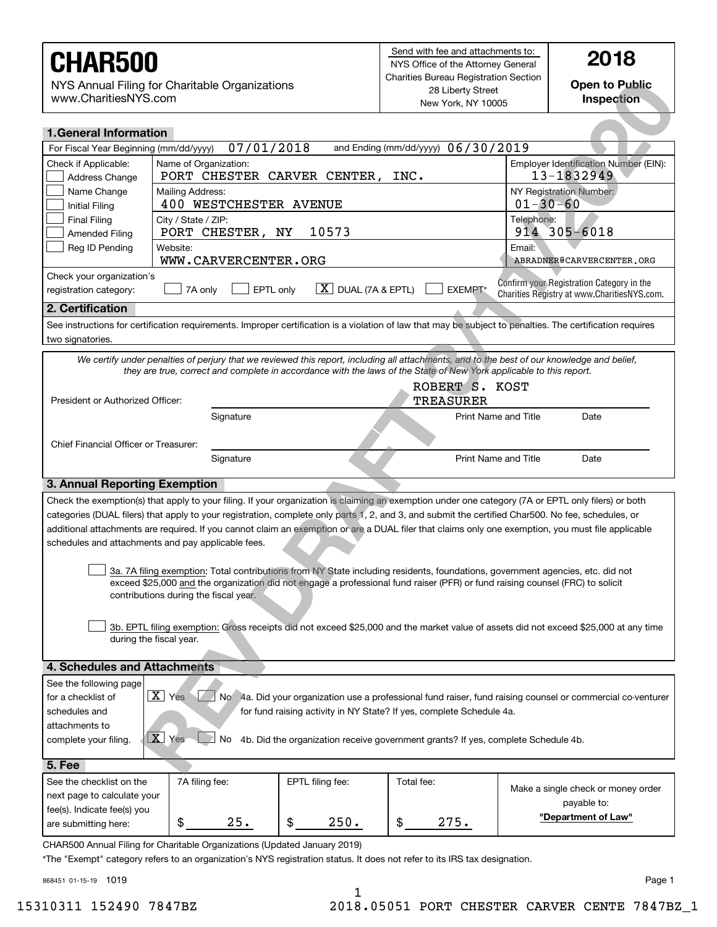| www.CharitiesNYS.com                                                                       | NYS Annual Filing for Charitable Organizations                                                                                                                                                                                                                                                                                                                                                                                                                                                                        |                                                  | Grianues Bureau Registration Section<br><b>Open to Public</b><br>28 Liberty Street<br>Inspection<br>New York, NY 10005 |                |                                                                                                             |
|--------------------------------------------------------------------------------------------|-----------------------------------------------------------------------------------------------------------------------------------------------------------------------------------------------------------------------------------------------------------------------------------------------------------------------------------------------------------------------------------------------------------------------------------------------------------------------------------------------------------------------|--------------------------------------------------|------------------------------------------------------------------------------------------------------------------------|----------------|-------------------------------------------------------------------------------------------------------------|
| <b>1. General Information</b>                                                              |                                                                                                                                                                                                                                                                                                                                                                                                                                                                                                                       |                                                  |                                                                                                                        |                |                                                                                                             |
| 07/01/2018<br>and Ending (mm/dd/yyyy) 06/30/2019<br>For Fiscal Year Beginning (mm/dd/yyyy) |                                                                                                                                                                                                                                                                                                                                                                                                                                                                                                                       |                                                  |                                                                                                                        |                |                                                                                                             |
| Check if Applicable:<br>Address Change                                                     | Name of Organization:<br>PORT CHESTER CARVER CENTER,                                                                                                                                                                                                                                                                                                                                                                                                                                                                  |                                                  | INC.                                                                                                                   |                | Employer Identification Number (EIN):<br>13-1832949                                                         |
| Name Change<br><b>Initial Filing</b>                                                       | Mailing Address:<br>400 WESTCHESTER AVENUE                                                                                                                                                                                                                                                                                                                                                                                                                                                                            |                                                  |                                                                                                                        | $01 - 30 - 60$ | NY Registration Number:                                                                                     |
| <b>Final Filing</b><br><b>Amended Filing</b>                                               | City / State / ZIP:<br>PORT CHESTER, NY                                                                                                                                                                                                                                                                                                                                                                                                                                                                               | 10573                                            |                                                                                                                        | Telephone:     | 914 305-6018                                                                                                |
| Reg ID Pending                                                                             | Website:<br>WWW.CARVERCENTER.ORG                                                                                                                                                                                                                                                                                                                                                                                                                                                                                      |                                                  |                                                                                                                        | Email:         | ABRADNER@CARVERCENTER.ORG                                                                                   |
| Check your organization's                                                                  |                                                                                                                                                                                                                                                                                                                                                                                                                                                                                                                       |                                                  |                                                                                                                        |                |                                                                                                             |
| registration category:                                                                     | EPTL only<br>7A only                                                                                                                                                                                                                                                                                                                                                                                                                                                                                                  | $\lfloor \underline{X} \rfloor$ DUAL (7A & EPTL) | EXEMPT*                                                                                                                |                | Confirm your Registration Category in the<br>Charities Registry at www.CharitiesNYS.com.                    |
| 2. Certification                                                                           |                                                                                                                                                                                                                                                                                                                                                                                                                                                                                                                       |                                                  |                                                                                                                        |                |                                                                                                             |
| two signatories.                                                                           | See instructions for certification requirements. Improper certification is a violation of law that may be subject to penalties. The certification requires                                                                                                                                                                                                                                                                                                                                                            |                                                  |                                                                                                                        |                |                                                                                                             |
|                                                                                            | We certify under penalties of perjury that we reviewed this report, including all attachments, and to the best of our knowledge and belief,                                                                                                                                                                                                                                                                                                                                                                           |                                                  |                                                                                                                        |                |                                                                                                             |
|                                                                                            | they are true, correct and complete in accordance with the laws of the State of New York applicable to this report.                                                                                                                                                                                                                                                                                                                                                                                                   |                                                  |                                                                                                                        |                |                                                                                                             |
| President or Authorized Officer:                                                           |                                                                                                                                                                                                                                                                                                                                                                                                                                                                                                                       |                                                  | ROBERT S. KOST<br>TREASURER                                                                                            |                |                                                                                                             |
|                                                                                            | Signature                                                                                                                                                                                                                                                                                                                                                                                                                                                                                                             |                                                  | <b>Print Name and Title</b>                                                                                            |                | Date                                                                                                        |
|                                                                                            |                                                                                                                                                                                                                                                                                                                                                                                                                                                                                                                       |                                                  |                                                                                                                        |                |                                                                                                             |
| Chief Financial Officer or Treasurer:                                                      |                                                                                                                                                                                                                                                                                                                                                                                                                                                                                                                       |                                                  |                                                                                                                        |                |                                                                                                             |
|                                                                                            | Signature                                                                                                                                                                                                                                                                                                                                                                                                                                                                                                             |                                                  | <b>Print Name and Title</b>                                                                                            |                | Date                                                                                                        |
| 3. Annual Reporting Exemption                                                              |                                                                                                                                                                                                                                                                                                                                                                                                                                                                                                                       |                                                  |                                                                                                                        |                |                                                                                                             |
|                                                                                            | Check the exemption(s) that apply to your filing. If your organization is claiming an exemption under one category (7A or EPTL only filers) or both<br>categories (DUAL filers) that apply to your registration, complete only parts 1, 2, and 3, and submit the certified Char500. No fee, schedules, or<br>additional attachments are required. If you cannot claim an exemption or are a DUAL filer that claims only one exemption, you must file applicable<br>schedules and attachments and pay applicable fees. |                                                  |                                                                                                                        |                |                                                                                                             |
|                                                                                            | 3a. 7A filing exemption: Total contributions from NY State including residents, foundations, government agencies, etc. did not<br>exceed \$25,000 and the organization did not engage a professional fund raiser (PFR) or fund raising counsel (FRC) to solicit<br>contributions during the fiscal year.                                                                                                                                                                                                              |                                                  |                                                                                                                        |                |                                                                                                             |
|                                                                                            | 3b. EPTL filing exemption: Gross receipts did not exceed \$25,000 and the market value of assets did not exceed \$25,000 at any time<br>during the fiscal year.                                                                                                                                                                                                                                                                                                                                                       |                                                  |                                                                                                                        |                |                                                                                                             |
| 4. Schedules and Attachments                                                               |                                                                                                                                                                                                                                                                                                                                                                                                                                                                                                                       |                                                  |                                                                                                                        |                |                                                                                                             |
| See the following page<br>for a checklist of                                               | $\boxed{\mathbf{X}}$ Yes                                                                                                                                                                                                                                                                                                                                                                                                                                                                                              |                                                  |                                                                                                                        |                | No 4a. Did your organization use a professional fund raiser, fund raising counsel or commercial co-venturer |
| schedules and                                                                              |                                                                                                                                                                                                                                                                                                                                                                                                                                                                                                                       |                                                  | for fund raising activity in NY State? If yes, complete Schedule 4a.                                                   |                |                                                                                                             |
| attachments to                                                                             |                                                                                                                                                                                                                                                                                                                                                                                                                                                                                                                       |                                                  |                                                                                                                        |                |                                                                                                             |
| complete your filing.                                                                      | $\boxed{\mathbf{X}}$ Yes<br>No.                                                                                                                                                                                                                                                                                                                                                                                                                                                                                       |                                                  | 4b. Did the organization receive government grants? If yes, complete Schedule 4b.                                      |                |                                                                                                             |
| <b>5. Fee</b>                                                                              |                                                                                                                                                                                                                                                                                                                                                                                                                                                                                                                       |                                                  |                                                                                                                        |                |                                                                                                             |
| See the checklist on the                                                                   | 7A filing fee:                                                                                                                                                                                                                                                                                                                                                                                                                                                                                                        | EPTL filing fee:                                 | Total fee:                                                                                                             |                |                                                                                                             |
| next page to calculate your                                                                |                                                                                                                                                                                                                                                                                                                                                                                                                                                                                                                       |                                                  |                                                                                                                        |                | Make a single check or money order<br>payable to:                                                           |
| fee(s). Indicate fee(s) you                                                                |                                                                                                                                                                                                                                                                                                                                                                                                                                                                                                                       |                                                  |                                                                                                                        |                | "Department of Law"                                                                                         |
| are submitting here:                                                                       | 25.<br>\$                                                                                                                                                                                                                                                                                                                                                                                                                                                                                                             | \$<br>250.                                       | \$<br>275.                                                                                                             |                |                                                                                                             |
|                                                                                            | CHAR500 Annual Filing for Charitable Organizations (Updated January 2019)                                                                                                                                                                                                                                                                                                                                                                                                                                             |                                                  |                                                                                                                        |                |                                                                                                             |

\*The "Exempt" category refers to an organization's NYS registration status. It does not refer to its IRS tax designation.

868451 01-15-19 1019

1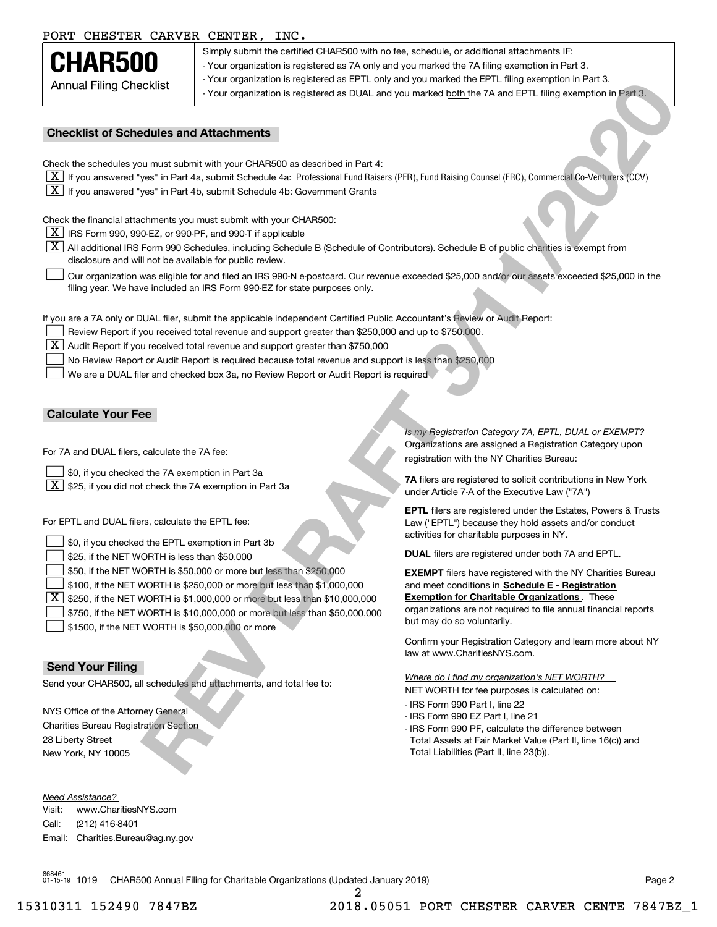# PORT CHESTER CARVER CENTER, INC.

| CHAR500                        |
|--------------------------------|
| <b>Annual Filing Checklist</b> |

Simply submit the certified CHAR500 with no fee, schedule, or additional attachments IF: - Your organization is registered as 7A only and you marked the 7A filing exemption in Part 3. - Your organization is registered as EPTL only and you marked the EPTL filing exemption in Part 3. - Your organization is registered as DUAL and you marked both the 7A and EPTL filing exemption in Part 3.

### **Checklist of Schedules and Attachments**

- $\boxed{\textbf{X}}$  If you answered "yes" in Part 4a, submit Schedule 4a: Professional Fund Raisers (PFR), Fund Raising Counsel (FRC), Commercial Co-Venturers (CCV)
- $\boxed{\textbf{X}}$  If you answered "yes" in Part 4b, submit Schedule 4b: Government Grants

- $\boxed{\textbf{X}}$  IRS Form 990, 990-EZ, or 990-PF, and 990-T if applicable
- $\boxed{\textbf{X}}$  All additional IRS Form 990 Schedules, including Schedule B (Schedule of Contributors). Schedule B of public charities is exempt from disclosure and will not be available for public review.
- Our organization was eligible for and filed an IRS 990-N e-postcard. Our revenue exceeded \$25,000 and/or our assets exceeded \$25,000 in the filing year. We have included an IRS Form 990-EZ for state purposes only.  $\mathcal{L}^{\text{max}}$

- Review Report if you received total revenue and support greater than \$250,000 and up to \$750,000.
- $\boxed{\textbf{X}}$  Audit Report if you received total revenue and support greater than \$750,000
- No Review Report or Audit Report is required because total revenue and support is less than \$250,000  $\mathcal{L}^{\text{max}}$

### **Calculate Your Fee**

- \$0, if you checked the 7A exemption in Part 3a  $\mathcal{L}^{\text{max}}$
- $\boxed{\textbf{X}}$  \$25, if you did not check the 7A exemption in Part 3a

| <b>Annual Filing Checklist</b>                                                                    |                                                                                                                                                                                                                                    | - Your organization is registered as EPTL only and you marked the EPTL filing exemption in Part 3.<br>- Your organization is registered as DUAL and you marked both the 7A and EPTL filing exemption in Part 3. |
|---------------------------------------------------------------------------------------------------|------------------------------------------------------------------------------------------------------------------------------------------------------------------------------------------------------------------------------------|-----------------------------------------------------------------------------------------------------------------------------------------------------------------------------------------------------------------|
| <b>Checklist of Schedules and Attachments</b>                                                     |                                                                                                                                                                                                                                    |                                                                                                                                                                                                                 |
|                                                                                                   | Check the schedules you must submit with your CHAR500 as described in Part 4:                                                                                                                                                      |                                                                                                                                                                                                                 |
|                                                                                                   |                                                                                                                                                                                                                                    | [X] If you answered "yes" in Part 4a, submit Schedule 4a: Professional Fund Raisers (PFR), Fund Raising Counsel (FRC), Commercial Co-Venturers (CCV)                                                            |
|                                                                                                   | $X$ If you answered "yes" in Part 4b, submit Schedule 4b: Government Grants                                                                                                                                                        |                                                                                                                                                                                                                 |
|                                                                                                   |                                                                                                                                                                                                                                    |                                                                                                                                                                                                                 |
| Check the financial attachments you must submit with your CHAR500:                                |                                                                                                                                                                                                                                    |                                                                                                                                                                                                                 |
| $X$ IRS Form 990, 990-EZ, or 990-PF, and 990-T if applicable                                      |                                                                                                                                                                                                                                    | $\boxed{\text{X}}$ All additional IRS Form 990 Schedules, including Schedule B (Schedule of Contributors). Schedule B of public charities is exempt from                                                        |
| disclosure and will not be available for public review.                                           |                                                                                                                                                                                                                                    |                                                                                                                                                                                                                 |
|                                                                                                   | filing year. We have included an IRS Form 990-EZ for state purposes only.                                                                                                                                                          | Our organization was eligible for and filed an IRS 990-N e-postcard. Our revenue exceeded \$25,000 and/or our assets exceeded \$25,000 in the                                                                   |
|                                                                                                   |                                                                                                                                                                                                                                    |                                                                                                                                                                                                                 |
|                                                                                                   | If you are a 7A only or DUAL filer, submit the applicable independent Certified Public Accountant's Review or Audit Report:<br>Review Report if you received total revenue and support greater than \$250,000 and up to \$750,000. |                                                                                                                                                                                                                 |
| X                                                                                                 | Audit Report if you received total revenue and support greater than \$750,000                                                                                                                                                      |                                                                                                                                                                                                                 |
|                                                                                                   | No Review Report or Audit Report is required because total revenue and support is less than \$250,000                                                                                                                              |                                                                                                                                                                                                                 |
|                                                                                                   | We are a DUAL filer and checked box 3a, no Review Report or Audit Report is required.                                                                                                                                              |                                                                                                                                                                                                                 |
|                                                                                                   |                                                                                                                                                                                                                                    |                                                                                                                                                                                                                 |
|                                                                                                   |                                                                                                                                                                                                                                    |                                                                                                                                                                                                                 |
| <b>Calculate Your Fee</b>                                                                         |                                                                                                                                                                                                                                    |                                                                                                                                                                                                                 |
| For 7A and DUAL filers, calculate the 7A fee:                                                     |                                                                                                                                                                                                                                    | Is my Registration Category 7A, EPTL, DUAL or EXEMPT?<br>Organizations are assigned a Registration Category upon<br>registration with the NY Charities Bureau:                                                  |
| \$0, if you checked the 7A exemption in Part 3a                                                   |                                                                                                                                                                                                                                    | 7A filers are registered to solicit contributions in New York                                                                                                                                                   |
| $\lfloor x \rfloor$<br>\$25, if you did not check the 7A exemption in Part 3a                     |                                                                                                                                                                                                                                    | under Article 7-A of the Executive Law ("7A")                                                                                                                                                                   |
| For EPTL and DUAL filers, calculate the EPTL fee:                                                 |                                                                                                                                                                                                                                    | <b>EPTL</b> filers are registered under the Estates, Powers & Trusts<br>Law ("EPTL") because they hold assets and/or conduct<br>activities for charitable purposes in NY.                                       |
| \$0, if you checked the EPTL exemption in Part 3b<br>\$25, if the NET WORTH is less than \$50,000 |                                                                                                                                                                                                                                    | <b>DUAL</b> filers are registered under both 7A and EPTL.                                                                                                                                                       |
|                                                                                                   | \$50, if the NET WORTH is \$50,000 or more but less than \$250,000                                                                                                                                                                 | <b>EXEMPT</b> filers have registered with the NY Charities Bureau                                                                                                                                               |
|                                                                                                   | \$100, if the NET WORTH is \$250,000 or more but less than \$1,000,000                                                                                                                                                             | and meet conditions in Schedule E - Registration                                                                                                                                                                |
| х                                                                                                 | \$250, if the NET WORTH is \$1,000,000 or more but less than \$10,000,000                                                                                                                                                          | <b>Exemption for Charitable Organizations</b> . These                                                                                                                                                           |
|                                                                                                   | \$750, if the NET WORTH is \$10,000,000 or more but less than \$50,000,000                                                                                                                                                         | organizations are not required to file annual financial reports<br>but may do so voluntarily.                                                                                                                   |
| \$1500, if the NET WORTH is \$50,000,000 or more                                                  |                                                                                                                                                                                                                                    | Confirm your Registration Category and learn more about NY                                                                                                                                                      |
|                                                                                                   |                                                                                                                                                                                                                                    | law at www.CharitiesNYS.com.                                                                                                                                                                                    |
| <b>Send Your Filing</b>                                                                           |                                                                                                                                                                                                                                    | Where do I find my organization's NET WORTH?                                                                                                                                                                    |
| Send your CHAR500, all schedules and attachments, and total fee to:                               |                                                                                                                                                                                                                                    | NET WORTH for fee purposes is calculated on:                                                                                                                                                                    |
|                                                                                                   |                                                                                                                                                                                                                                    | - IRS Form 990 Part I, line 22                                                                                                                                                                                  |
| NYS Office of the Attorney General                                                                |                                                                                                                                                                                                                                    | - IRS Form 990 EZ Part I, line 21                                                                                                                                                                               |
| <b>Charities Bureau Registration Section</b><br>28 Liberty Street                                 |                                                                                                                                                                                                                                    | - IRS Form 990 PF, calculate the difference between                                                                                                                                                             |
| New York, NY 10005                                                                                |                                                                                                                                                                                                                                    | Total Assets at Fair Market Value (Part II, line 16(c)) and<br>Total Liabilities (Part II, line 23(b)).                                                                                                         |
|                                                                                                   |                                                                                                                                                                                                                                    |                                                                                                                                                                                                                 |

### **Send Your Filing**

*Need Assistance?*

Visit:Call:Email:Charities.Bureau@ag.ny.gov www.CharitiesNYS.com(212) 416-8401

- IRS Form 990 Part I, line 22
- IRS Form 990 EZ Part I, line 21
- IRS Form 990 PF, calculate the difference between Total Assets at Fair Market Value (Part II, line 16(c)) and Total Liabilities (Part II, line 23(b)).

868461 01-15-19 1019 CHAR500 Annual Filing for Charitable Organizations (Updated January 2019) Page 2

# 15310311 152490 7847BZ 2018.05051 PORT CHESTER CARVER CENTE 7847BZ\_1

2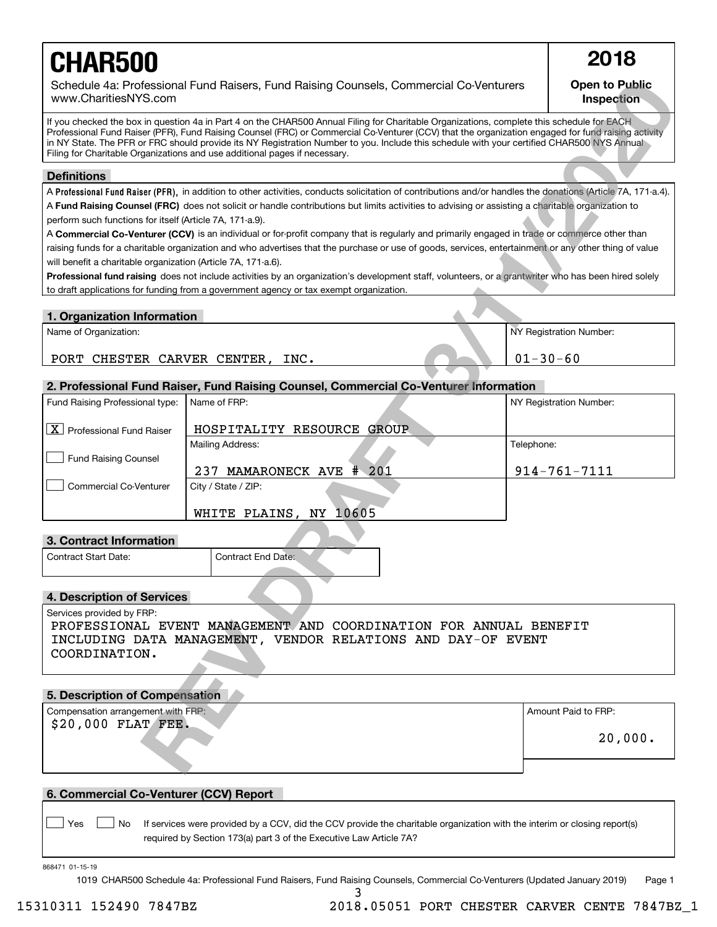# **CHAR500 2018**

# **Open to Public Inspection**

## **Definitions**

### **1. Organization Information**

# **2. Professional Fund Raiser, Fund Raising Counsel, Commercial Co-Venturer Information**

| Schedule 4a: Professional Fund Raisers, Fund Raising Counsels, Commercial Co-Venturers<br>www.CharitiesNYS.com                                                                                                                                                                                                                                                                                                                                                                                                               |                                                                                                                                                               |                | <b>Open to Public</b><br>Inspection |  |  |
|------------------------------------------------------------------------------------------------------------------------------------------------------------------------------------------------------------------------------------------------------------------------------------------------------------------------------------------------------------------------------------------------------------------------------------------------------------------------------------------------------------------------------|---------------------------------------------------------------------------------------------------------------------------------------------------------------|----------------|-------------------------------------|--|--|
| If you checked the box in question 4a in Part 4 on the CHAR500 Annual Filing for Charitable Organizations, complete this schedule for EACH<br>Professional Fund Raiser (PFR), Fund Raising Counsel (FRC) or Commercial Co-Venturer (CCV) that the organization engaged for fund raising activity<br>in NY State. The PFR or FRC should provide its NY Registration Number to you. Include this schedule with your certified CHAR500 NYS Annual<br>Filing for Charitable Organizations and use additional pages if necessary. |                                                                                                                                                               |                |                                     |  |  |
| <b>Definitions</b>                                                                                                                                                                                                                                                                                                                                                                                                                                                                                                           |                                                                                                                                                               |                |                                     |  |  |
|                                                                                                                                                                                                                                                                                                                                                                                                                                                                                                                              | A Professional Fund Raiser (PFR), in addition to other activities, conducts solicitation of contributions and/or handles the donations (Article 7A, 171-a.4). |                |                                     |  |  |
|                                                                                                                                                                                                                                                                                                                                                                                                                                                                                                                              | A Fund Raising Counsel (FRC) does not solicit or handle contributions but limits activities to advising or assisting a charitable organization to             |                |                                     |  |  |
| perform such functions for itself (Article 7A, 171-a.9).                                                                                                                                                                                                                                                                                                                                                                                                                                                                     |                                                                                                                                                               |                |                                     |  |  |
|                                                                                                                                                                                                                                                                                                                                                                                                                                                                                                                              | A Commercial Co-Venturer (CCV) is an individual or for-profit company that is regularly and primarily engaged in trade or commerce other than                 |                |                                     |  |  |
|                                                                                                                                                                                                                                                                                                                                                                                                                                                                                                                              | raising funds for a charitable organization and who advertises that the purchase or use of goods, services, entertainment or any other thing of value         |                |                                     |  |  |
| will benefit a charitable organization (Article 7A, 171-a.6).                                                                                                                                                                                                                                                                                                                                                                                                                                                                |                                                                                                                                                               |                |                                     |  |  |
|                                                                                                                                                                                                                                                                                                                                                                                                                                                                                                                              | Professional fund raising does not include activities by an organization's development staff, volunteers, or a grantwriter who has been hired solely          |                |                                     |  |  |
|                                                                                                                                                                                                                                                                                                                                                                                                                                                                                                                              | to draft applications for funding from a government agency or tax exempt organization.                                                                        |                |                                     |  |  |
| 1. Organization Information                                                                                                                                                                                                                                                                                                                                                                                                                                                                                                  |                                                                                                                                                               |                |                                     |  |  |
| Name of Organization:                                                                                                                                                                                                                                                                                                                                                                                                                                                                                                        |                                                                                                                                                               |                | NY Registration Number:             |  |  |
|                                                                                                                                                                                                                                                                                                                                                                                                                                                                                                                              |                                                                                                                                                               |                |                                     |  |  |
| PORT CHESTER CARVER CENTER, INC.                                                                                                                                                                                                                                                                                                                                                                                                                                                                                             |                                                                                                                                                               | $01 - 30 - 60$ |                                     |  |  |
|                                                                                                                                                                                                                                                                                                                                                                                                                                                                                                                              |                                                                                                                                                               |                |                                     |  |  |
|                                                                                                                                                                                                                                                                                                                                                                                                                                                                                                                              | 2. Professional Fund Raiser, Fund Raising Counsel, Commercial Co-Venturer Information                                                                         |                |                                     |  |  |
| Fund Raising Professional type:                                                                                                                                                                                                                                                                                                                                                                                                                                                                                              | Name of FRP:                                                                                                                                                  |                | NY Registration Number:             |  |  |
| $\boxed{\textbf{X}}$ Professional Fund Raiser                                                                                                                                                                                                                                                                                                                                                                                                                                                                                | HOSPITALITY RESOURCE GROUP                                                                                                                                    |                |                                     |  |  |
|                                                                                                                                                                                                                                                                                                                                                                                                                                                                                                                              | Mailing Address:                                                                                                                                              | Telephone:     |                                     |  |  |
| <b>Fund Raising Counsel</b>                                                                                                                                                                                                                                                                                                                                                                                                                                                                                                  |                                                                                                                                                               |                |                                     |  |  |
|                                                                                                                                                                                                                                                                                                                                                                                                                                                                                                                              | 237 MAMARONECK AVE # 201                                                                                                                                      |                | $914 - 761 - 7111$                  |  |  |
| <b>Commercial Co-Venturer</b>                                                                                                                                                                                                                                                                                                                                                                                                                                                                                                | City / State / ZIP:                                                                                                                                           |                |                                     |  |  |
|                                                                                                                                                                                                                                                                                                                                                                                                                                                                                                                              |                                                                                                                                                               |                |                                     |  |  |
|                                                                                                                                                                                                                                                                                                                                                                                                                                                                                                                              | WHITE PLAINS, NY 10605                                                                                                                                        |                |                                     |  |  |
| 3. Contract Information                                                                                                                                                                                                                                                                                                                                                                                                                                                                                                      |                                                                                                                                                               |                |                                     |  |  |
| Contract Start Date:                                                                                                                                                                                                                                                                                                                                                                                                                                                                                                         | Contract End Date:                                                                                                                                            |                |                                     |  |  |
|                                                                                                                                                                                                                                                                                                                                                                                                                                                                                                                              |                                                                                                                                                               |                |                                     |  |  |
|                                                                                                                                                                                                                                                                                                                                                                                                                                                                                                                              |                                                                                                                                                               |                |                                     |  |  |
| 4. Description of Services                                                                                                                                                                                                                                                                                                                                                                                                                                                                                                   |                                                                                                                                                               |                |                                     |  |  |
| Services provided by FRP:                                                                                                                                                                                                                                                                                                                                                                                                                                                                                                    |                                                                                                                                                               |                |                                     |  |  |
| PROFESSIONAL EVENT MANAGEMENT AND COORDINATION FOR ANNUAL BENEFIT                                                                                                                                                                                                                                                                                                                                                                                                                                                            |                                                                                                                                                               |                |                                     |  |  |
| INCLUDING DATA MANAGEMENT, VENDOR RELATIONS AND DAY-OF EVENT                                                                                                                                                                                                                                                                                                                                                                                                                                                                 |                                                                                                                                                               |                |                                     |  |  |
| COORDINATION.                                                                                                                                                                                                                                                                                                                                                                                                                                                                                                                |                                                                                                                                                               |                |                                     |  |  |
|                                                                                                                                                                                                                                                                                                                                                                                                                                                                                                                              |                                                                                                                                                               |                |                                     |  |  |
| 5. Description of Compensation                                                                                                                                                                                                                                                                                                                                                                                                                                                                                               |                                                                                                                                                               |                |                                     |  |  |
| Compensation arrangement with FRP:                                                                                                                                                                                                                                                                                                                                                                                                                                                                                           |                                                                                                                                                               |                | Amount Paid to FRP:                 |  |  |
| \$20,000 FLAT FEE.                                                                                                                                                                                                                                                                                                                                                                                                                                                                                                           |                                                                                                                                                               |                |                                     |  |  |
|                                                                                                                                                                                                                                                                                                                                                                                                                                                                                                                              |                                                                                                                                                               |                | 20,000.                             |  |  |
|                                                                                                                                                                                                                                                                                                                                                                                                                                                                                                                              |                                                                                                                                                               |                |                                     |  |  |
|                                                                                                                                                                                                                                                                                                                                                                                                                                                                                                                              |                                                                                                                                                               |                |                                     |  |  |

# **3. Contract Information**

| Contract Start Date: | Contract End Date: |  |
|----------------------|--------------------|--|
|                      |                    |  |

# **4. Description of Services**

# **5. Description of Compensation**

| Compensation arrangement with FRP: | Amount Paid to FRP: |
|------------------------------------|---------------------|
| $$20,000$ FLAT FEE.                | 20,000.             |
|                                    |                     |

# **6. Commercial Co-Venturer (CCV) Report**

Yes **D**  $\Box$  No If services were provided by a CCV, did the CCV provide the charitable organization with the interim or closing report(s) required by Section 173(a) part 3 of the Executive Law Article 7A?  $\mathcal{L}^{\text{max}}$ 

868471 01-15-19

1019 CHAR500 Schedule 4a: Professional Fund Raisers, Fund Raising Counsels, Commercial Co-Venturers (Updated January 2019) Page 1

3